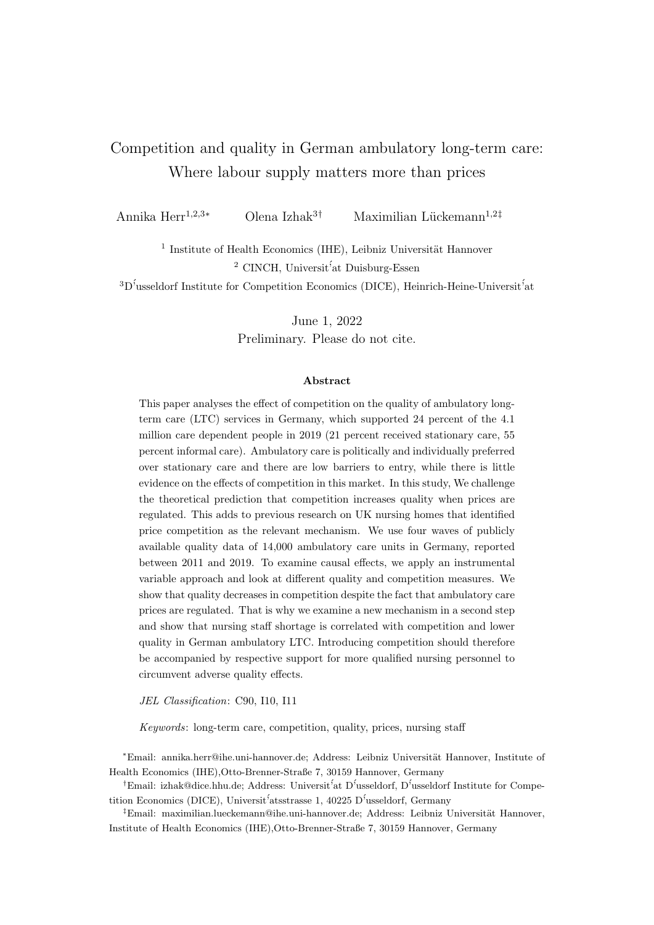# <span id="page-0-0"></span>Competition and quality in German ambulatory long-term care: Where labour supply matters more than prices

Annika Herr<sup>1,2,3</sup>\* Olena Izhak<sup>3†</sup> Maximilian Lückemann<sup>1,2‡</sup>

<sup>1</sup> Institute of Health Economics (IHE), Leibniz Universität Hannover <sup>2</sup> CINCH, Universit<sup>*'*</sup>at Duisburg-Essen</sub>  ${}^{3}D^{\dagger}$ usseldorf Institute for Competition Economics (DICE), Heinrich-Heine-Universit<sup> $\dagger$ </sup>at

> June 1, 2022 Preliminary. Please do not cite.

#### Abstract

This paper analyses the effect of competition on the quality of ambulatory longterm care (LTC) services in Germany, which supported 24 percent of the 4.1 million care dependent people in 2019 (21 percent received stationary care, 55 percent informal care). Ambulatory care is politically and individually preferred over stationary care and there are low barriers to entry, while there is little evidence on the effects of competition in this market. In this study, We challenge the theoretical prediction that competition increases quality when prices are regulated. This adds to previous research on UK nursing homes that identified price competition as the relevant mechanism. We use four waves of publicly available quality data of 14,000 ambulatory care units in Germany, reported between 2011 and 2019. To examine causal effects, we apply an instrumental variable approach and look at different quality and competition measures. We show that quality decreases in competition despite the fact that ambulatory care prices are regulated. That is why we examine a new mechanism in a second step and show that nursing staff shortage is correlated with competition and lower quality in German ambulatory LTC. Introducing competition should therefore be accompanied by respective support for more qualified nursing personnel to circumvent adverse quality effects.

JEL Classification: C90, I10, I11

Keywords: long-term care, competition, quality, prices, nursing staff

<sup>∗</sup>Email: annika.herr@ihe.uni-hannover.de; Address: Leibniz Universit¨at Hannover, Institute of Health Economics (IHE),Otto-Brenner-Straße 7, 30159 Hannover, Germany

<sup>†</sup>Email: izhak@dice.hhu.de; Address: Universit<sup>5</sup> at D<sup>5</sup>usseldorf, D<sup>5</sup>usseldorf Institute for Competition Economics (DICE), Universit<sup>'</sup>atsstrasse 1, 40225 D<sup>'</sup>usseldorf, Germany

 ${}^{\ddagger}$ Email: maximilian.lueckemann@ihe.uni-hannover.de; Address: Leibniz Universität Hannover, Institute of Health Economics (IHE),Otto-Brenner-Straße 7, 30159 Hannover, Germany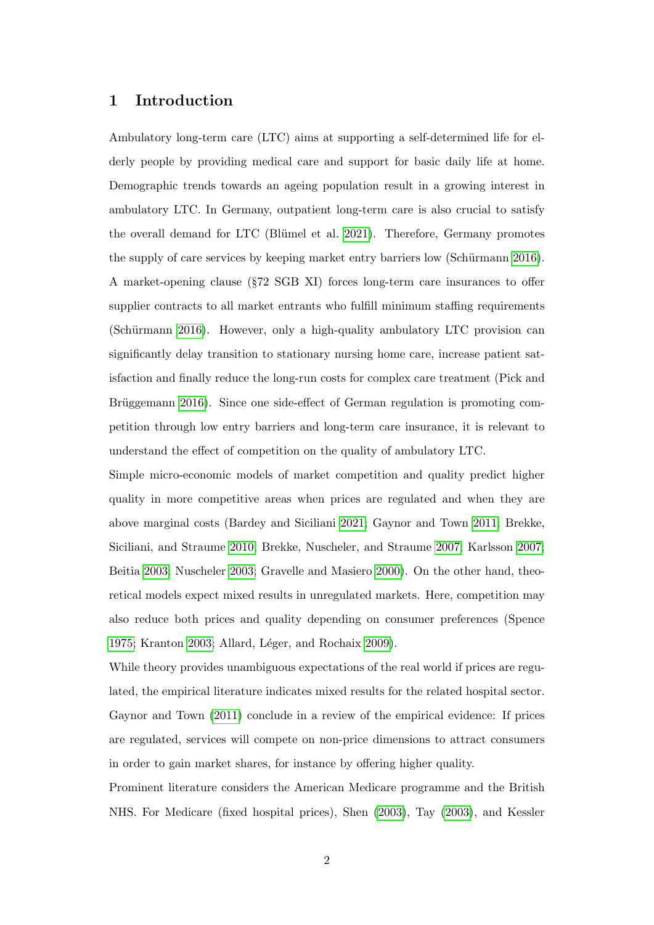## 1 Introduction

Ambulatory long-term care (LTC) aims at supporting a self-determined life for elderly people by providing medical care and support for basic daily life at home. Demographic trends towards an ageing population result in a growing interest in ambulatory LTC. In Germany, outpatient long-term care is also crucial to satisfy the overall demand for LTC (Blümel et al. [2021\)](#page-25-0). Therefore, Germany promotes the supply of care services by keeping market entry barriers low (Schürmann [2016\)](#page-30-0). A market-opening clause (§72 SGB XI) forces long-term care insurances to offer supplier contracts to all market entrants who fulfill minimum staffing requirements (Schürmann [2016\)](#page-30-0). However, only a high-quality ambulatory LTC provision can significantly delay transition to stationary nursing home care, increase patient satisfaction and finally reduce the long-run costs for complex care treatment (Pick and Brüggemann [2016\)](#page-30-1). Since one side-effect of German regulation is promoting competition through low entry barriers and long-term care insurance, it is relevant to understand the effect of competition on the quality of ambulatory LTC.

Simple micro-economic models of market competition and quality predict higher quality in more competitive areas when prices are regulated and when they are above marginal costs (Bardey and Siciliani [2021;](#page-25-1) Gaynor and Town [2011;](#page-27-0) Brekke, Siciliani, and Straume [2010;](#page-26-0) Brekke, Nuscheler, and Straume [2007;](#page-25-2) Karlsson [2007;](#page-28-0) Beitia [2003;](#page-25-3) Nuscheler [2003;](#page-29-0) Gravelle and Masiero [2000\)](#page-27-1). On the other hand, theoretical models expect mixed results in unregulated markets. Here, competition may also reduce both prices and quality depending on consumer preferences (Spence [1975;](#page-30-2) Kranton [2003;](#page-29-1) Allard, Léger, and Rochaix [2009\)](#page-25-4).

While theory provides unambiguous expectations of the real world if prices are regulated, the empirical literature indicates mixed results for the related hospital sector. Gaynor and Town [\(2011\)](#page-27-0) conclude in a review of the empirical evidence: If prices are regulated, services will compete on non-price dimensions to attract consumers in order to gain market shares, for instance by offering higher quality.

Prominent literature considers the American Medicare programme and the British NHS. For Medicare (fixed hospital prices), Shen [\(2003\)](#page-30-3), Tay [\(2003\)](#page-31-0), and Kessler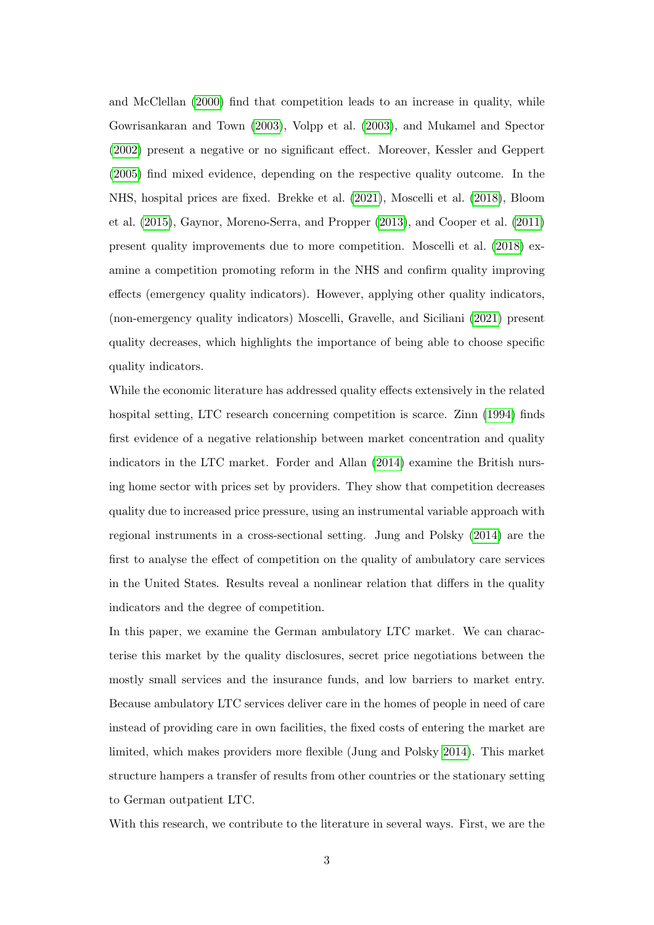and McClellan [\(2000\)](#page-28-1) find that competition leads to an increase in quality, while Gowrisankaran and Town [\(2003\)](#page-27-2), Volpp et al. [\(2003\)](#page-31-1), and Mukamel and Spector [\(2002\)](#page-29-2) present a negative or no significant effect. Moreover, Kessler and Geppert [\(2005\)](#page-28-2) find mixed evidence, depending on the respective quality outcome. In the NHS, hospital prices are fixed. Brekke et al. [\(2021\)](#page-25-5), Moscelli et al. [\(2018\)](#page-29-3), Bloom et al. [\(2015\)](#page-25-6), Gaynor, Moreno-Serra, and Propper [\(2013\)](#page-27-3), and Cooper et al. [\(2011\)](#page-26-1) present quality improvements due to more competition. Moscelli et al. [\(2018\)](#page-29-3) examine a competition promoting reform in the NHS and confirm quality improving effects (emergency quality indicators). However, applying other quality indicators, (non-emergency quality indicators) Moscelli, Gravelle, and Siciliani [\(2021\)](#page-29-4) present quality decreases, which highlights the importance of being able to choose specific quality indicators.

While the economic literature has addressed quality effects extensively in the related hospital setting, LTC research concerning competition is scarce. Zinn [\(1994\)](#page-31-2) finds first evidence of a negative relationship between market concentration and quality indicators in the LTC market. Forder and Allan [\(2014\)](#page-26-2) examine the British nursing home sector with prices set by providers. They show that competition decreases quality due to increased price pressure, using an instrumental variable approach with regional instruments in a cross-sectional setting. Jung and Polsky [\(2014\)](#page-28-3) are the first to analyse the effect of competition on the quality of ambulatory care services in the United States. Results reveal a nonlinear relation that differs in the quality indicators and the degree of competition.

In this paper, we examine the German ambulatory LTC market. We can characterise this market by the quality disclosures, secret price negotiations between the mostly small services and the insurance funds, and low barriers to market entry. Because ambulatory LTC services deliver care in the homes of people in need of care instead of providing care in own facilities, the fixed costs of entering the market are limited, which makes providers more flexible (Jung and Polsky [2014\)](#page-28-3). This market structure hampers a transfer of results from other countries or the stationary setting to German outpatient LTC.

With this research, we contribute to the literature in several ways. First, we are the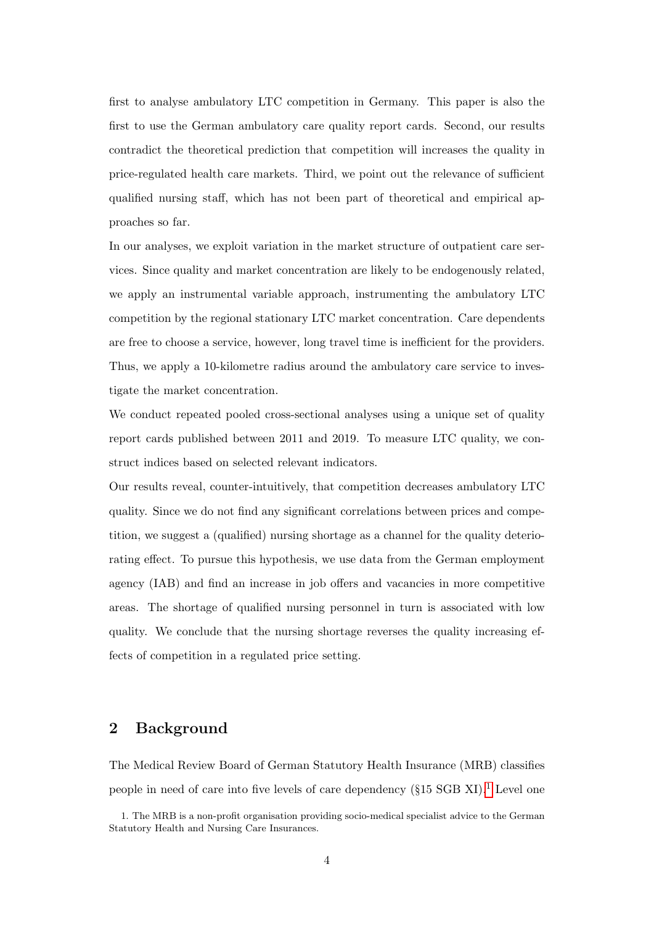first to analyse ambulatory LTC competition in Germany. This paper is also the first to use the German ambulatory care quality report cards. Second, our results contradict the theoretical prediction that competition will increases the quality in price-regulated health care markets. Third, we point out the relevance of sufficient qualified nursing staff, which has not been part of theoretical and empirical approaches so far.

In our analyses, we exploit variation in the market structure of outpatient care services. Since quality and market concentration are likely to be endogenously related, we apply an instrumental variable approach, instrumenting the ambulatory LTC competition by the regional stationary LTC market concentration. Care dependents are free to choose a service, however, long travel time is inefficient for the providers. Thus, we apply a 10-kilometre radius around the ambulatory care service to investigate the market concentration.

We conduct repeated pooled cross-sectional analyses using a unique set of quality report cards published between 2011 and 2019. To measure LTC quality, we construct indices based on selected relevant indicators.

Our results reveal, counter-intuitively, that competition decreases ambulatory LTC quality. Since we do not find any significant correlations between prices and competition, we suggest a (qualified) nursing shortage as a channel for the quality deteriorating effect. To pursue this hypothesis, we use data from the German employment agency (IAB) and find an increase in job offers and vacancies in more competitive areas. The shortage of qualified nursing personnel in turn is associated with low quality. We conclude that the nursing shortage reverses the quality increasing effects of competition in a regulated price setting.

# 2 Background

The Medical Review Board of German Statutory Health Insurance (MRB) classifies people in need of care into five levels of care dependency  $(\$15 \text{ SGB XI})$  $(\$15 \text{ SGB XI})$  $(\$15 \text{ SGB XI})$ .<sup>1</sup> Level one

<sup>1.</sup> The MRB is a non-profit organisation providing socio-medical specialist advice to the German Statutory Health and Nursing Care Insurances.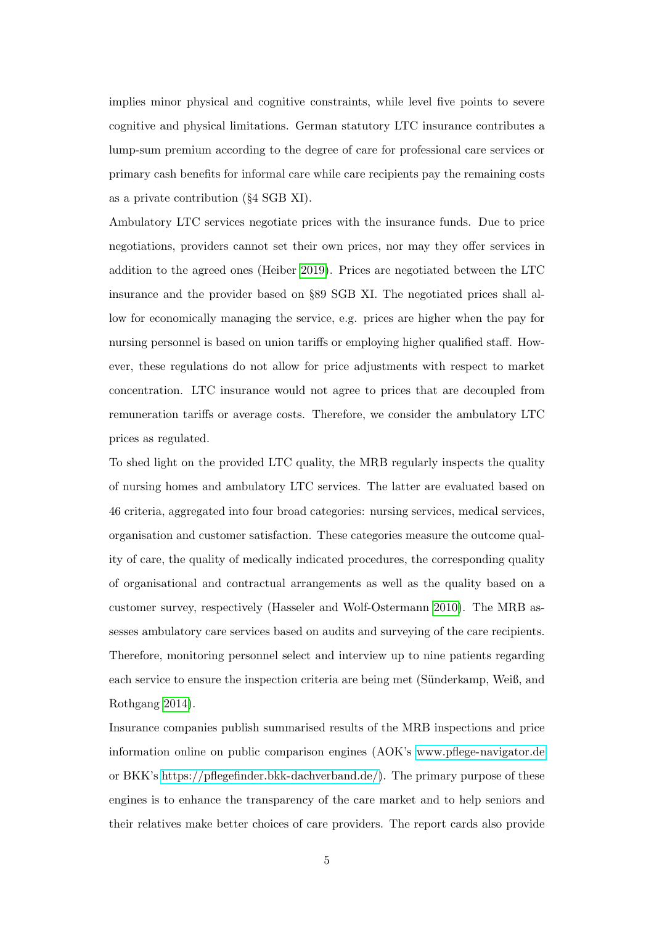implies minor physical and cognitive constraints, while level five points to severe cognitive and physical limitations. German statutory LTC insurance contributes a lump-sum premium according to the degree of care for professional care services or primary cash benefits for informal care while care recipients pay the remaining costs as a private contribution (§4 SGB XI).

Ambulatory LTC services negotiate prices with the insurance funds. Due to price negotiations, providers cannot set their own prices, nor may they offer services in addition to the agreed ones (Heiber [2019\)](#page-27-4). Prices are negotiated between the LTC insurance and the provider based on §89 SGB XI. The negotiated prices shall allow for economically managing the service, e.g. prices are higher when the pay for nursing personnel is based on union tariffs or employing higher qualified staff. However, these regulations do not allow for price adjustments with respect to market concentration. LTC insurance would not agree to prices that are decoupled from remuneration tariffs or average costs. Therefore, we consider the ambulatory LTC prices as regulated.

To shed light on the provided LTC quality, the MRB regularly inspects the quality of nursing homes and ambulatory LTC services. The latter are evaluated based on 46 criteria, aggregated into four broad categories: nursing services, medical services, organisation and customer satisfaction. These categories measure the outcome quality of care, the quality of medically indicated procedures, the corresponding quality of organisational and contractual arrangements as well as the quality based on a customer survey, respectively (Hasseler and Wolf-Ostermann [2010\)](#page-27-5). The MRB assesses ambulatory care services based on audits and surveying of the care recipients. Therefore, monitoring personnel select and interview up to nine patients regarding each service to ensure the inspection criteria are being met (Sünderkamp, Weiß, and Rothgang [2014\)](#page-31-3).

Insurance companies publish summarised results of the MRB inspections and price information online on public comparison engines (AOK's<www.pflege-navigator.de> or BKK's [https://pflegefinder.bkk-dachverband.de/\)](https://pflegefinder.bkk-dachverband.de/). The primary purpose of these engines is to enhance the transparency of the care market and to help seniors and their relatives make better choices of care providers. The report cards also provide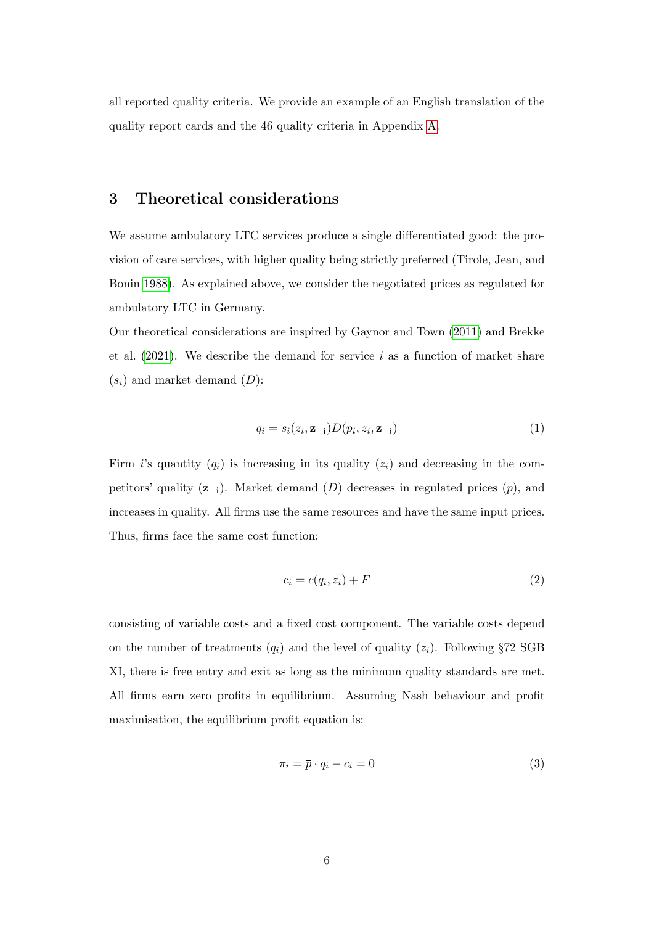all reported quality criteria. We provide an example of an English translation of the quality report cards and the 46 quality criteria in Appendix [A.](#page-32-0)

## <span id="page-5-0"></span>3 Theoretical considerations

We assume ambulatory LTC services produce a single differentiated good: the provision of care services, with higher quality being strictly preferred (Tirole, Jean, and Bonin [1988\)](#page-31-4). As explained above, we consider the negotiated prices as regulated for ambulatory LTC in Germany.

Our theoretical considerations are inspired by Gaynor and Town [\(2011\)](#page-27-0) and Brekke et al.  $(2021)$ . We describe the demand for service i as a function of market share  $(s_i)$  and market demand  $(D)$ :

$$
q_i = s_i(z_i, \mathbf{z}_{-i}) D(\overline{p_i}, z_i, \mathbf{z}_{-i})
$$
\n(1)

Firm i's quantity  $(q_i)$  is increasing in its quality  $(z_i)$  and decreasing in the competitors' quality  $(z_{-i})$ . Market demand  $(D)$  decreases in regulated prices  $(\bar{p})$ , and increases in quality. All firms use the same resources and have the same input prices. Thus, firms face the same cost function:

$$
c_i = c(q_i, z_i) + F \tag{2}
$$

consisting of variable costs and a fixed cost component. The variable costs depend on the number of treatments  $(q_i)$  and the level of quality  $(z_i)$ . Following §72 SGB XI, there is free entry and exit as long as the minimum quality standards are met. All firms earn zero profits in equilibrium. Assuming Nash behaviour and profit maximisation, the equilibrium profit equation is:

$$
\pi_i = \overline{p} \cdot q_i - c_i = 0 \tag{3}
$$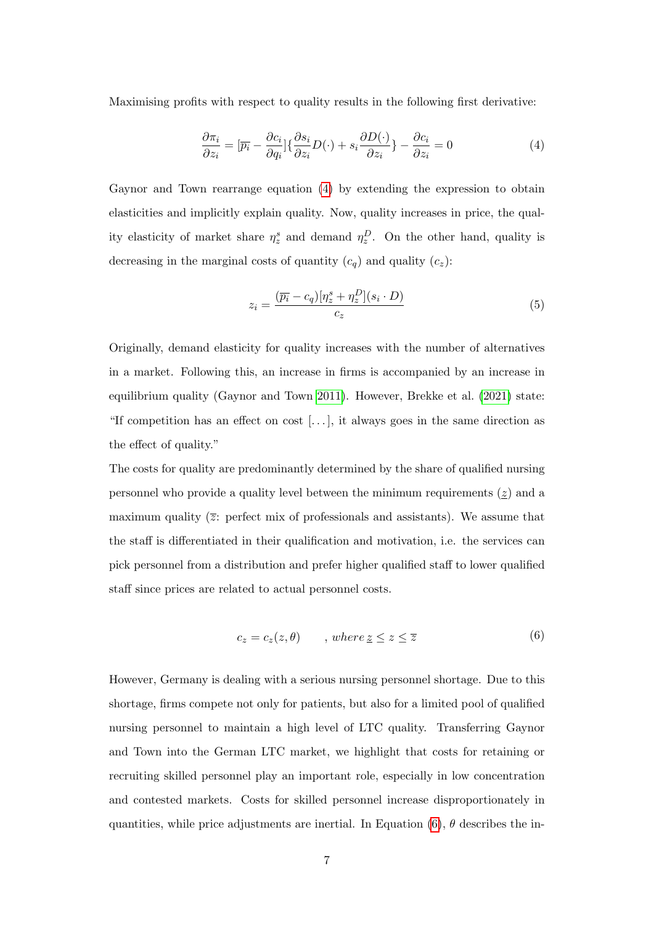Maximising profits with respect to quality results in the following first derivative:

<span id="page-6-0"></span>
$$
\frac{\partial \pi_i}{\partial z_i} = [\overline{p_i} - \frac{\partial c_i}{\partial q_i}] \{ \frac{\partial s_i}{\partial z_i} D(\cdot) + s_i \frac{\partial D(\cdot)}{\partial z_i} \} - \frac{\partial c_i}{\partial z_i} = 0 \tag{4}
$$

Gaynor and Town rearrange equation [\(4\)](#page-6-0) by extending the expression to obtain elasticities and implicitly explain quality. Now, quality increases in price, the quality elasticity of market share  $\eta_z^s$  and demand  $\eta_z^D$ . On the other hand, quality is decreasing in the marginal costs of quantity  $(c_q)$  and quality  $(c_z)$ :

<span id="page-6-2"></span>
$$
z_i = \frac{(\overline{p_i} - c_q)[\eta_z^s + \eta_z^D](s_i \cdot D)}{c_z} \tag{5}
$$

Originally, demand elasticity for quality increases with the number of alternatives in a market. Following this, an increase in firms is accompanied by an increase in equilibrium quality (Gaynor and Town [2011\)](#page-27-0). However, Brekke et al. [\(2021\)](#page-25-5) state: "If competition has an effect on cost [. . . ], it always goes in the same direction as the effect of quality."

The costs for quality are predominantly determined by the share of qualified nursing personnel who provide a quality level between the minimum requirements  $(z)$  and a maximum quality  $(\overline{z})$ : perfect mix of professionals and assistants). We assume that the staff is differentiated in their qualification and motivation, i.e. the services can pick personnel from a distribution and prefer higher qualified staff to lower qualified staff since prices are related to actual personnel costs.

$$
c_z = c_z(z, \theta) \qquad , \text{ where } \underline{z} \le z \le \overline{z} \tag{6}
$$

<span id="page-6-1"></span>However, Germany is dealing with a serious nursing personnel shortage. Due to this shortage, firms compete not only for patients, but also for a limited pool of qualified nursing personnel to maintain a high level of LTC quality. Transferring Gaynor and Town into the German LTC market, we highlight that costs for retaining or recruiting skilled personnel play an important role, especially in low concentration and contested markets. Costs for skilled personnel increase disproportionately in quantities, while price adjustments are inertial. In Equation [\(6\)](#page-6-1),  $\theta$  describes the in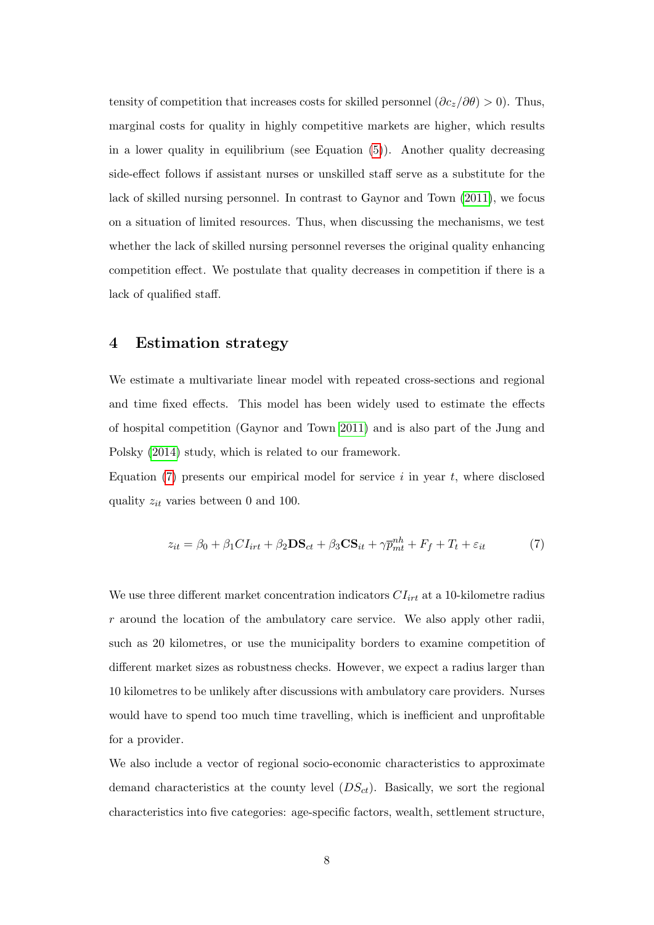tensity of competition that increases costs for skilled personnel  $(\partial c_z/\partial \theta) > 0$ . Thus, marginal costs for quality in highly competitive markets are higher, which results in a lower quality in equilibrium (see Equation [\(5\)](#page-6-2)). Another quality decreasing side-effect follows if assistant nurses or unskilled staff serve as a substitute for the lack of skilled nursing personnel. In contrast to Gaynor and Town [\(2011\)](#page-27-0), we focus on a situation of limited resources. Thus, when discussing the mechanisms, we test whether the lack of skilled nursing personnel reverses the original quality enhancing competition effect. We postulate that quality decreases in competition if there is a lack of qualified staff.

## 4 Estimation strategy

We estimate a multivariate linear model with repeated cross-sections and regional and time fixed effects. This model has been widely used to estimate the effects of hospital competition (Gaynor and Town [2011\)](#page-27-0) and is also part of the Jung and Polsky [\(2014\)](#page-28-3) study, which is related to our framework.

Equation  $(7)$  presents our empirical model for service i in year t, where disclosed quality  $z_{it}$  varies between 0 and 100.

<span id="page-7-0"></span>
$$
z_{it} = \beta_0 + \beta_1 CI_{irt} + \beta_2 DS_{ct} + \beta_3 CS_{it} + \gamma \bar{p}_{mt}^{nh} + F_f + T_t + \varepsilon_{it}
$$
(7)

We use three different market concentration indicators  $CI_{irt}$  at a 10-kilometre radius  $r$  around the location of the ambulatory care service. We also apply other radii, such as 20 kilometres, or use the municipality borders to examine competition of different market sizes as robustness checks. However, we expect a radius larger than 10 kilometres to be unlikely after discussions with ambulatory care providers. Nurses would have to spend too much time travelling, which is inefficient and unprofitable for a provider.

We also include a vector of regional socio-economic characteristics to approximate demand characteristics at the county level  $(DS<sub>ct</sub>)$ . Basically, we sort the regional characteristics into five categories: age-specific factors, wealth, settlement structure,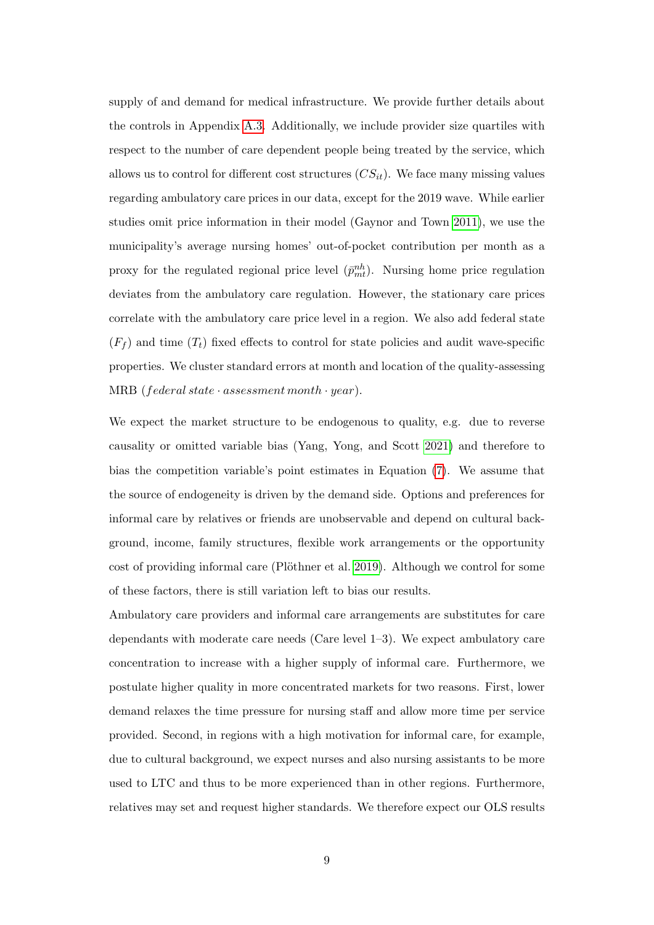supply of and demand for medical infrastructure. We provide further details about the controls in Appendix [A.3.](#page-39-0) Additionally, we include provider size quartiles with respect to the number of care dependent people being treated by the service, which allows us to control for different cost structures  $(CS_{it})$ . We face many missing values regarding ambulatory care prices in our data, except for the 2019 wave. While earlier studies omit price information in their model (Gaynor and Town [2011\)](#page-27-0), we use the municipality's average nursing homes' out-of-pocket contribution per month as a proxy for the regulated regional price level  $(\bar{p}_{mt}^{nh})$ . Nursing home price regulation deviates from the ambulatory care regulation. However, the stationary care prices correlate with the ambulatory care price level in a region. We also add federal state  $(F_f)$  and time  $(T_t)$  fixed effects to control for state policies and audit wave-specific properties. We cluster standard errors at month and location of the quality-assessing MRB (federal state  $\cdot$  assessment month  $\cdot$  year).

We expect the market structure to be endogenous to quality, e.g. due to reverse causality or omitted variable bias (Yang, Yong, and Scott [2021\)](#page-31-5) and therefore to bias the competition variable's point estimates in Equation [\(7\)](#page-7-0). We assume that the source of endogeneity is driven by the demand side. Options and preferences for informal care by relatives or friends are unobservable and depend on cultural background, income, family structures, flexible work arrangements or the opportunity cost of providing informal care (Plöthner et al. [2019\)](#page-30-4). Although we control for some of these factors, there is still variation left to bias our results.

Ambulatory care providers and informal care arrangements are substitutes for care dependants with moderate care needs (Care level 1–3). We expect ambulatory care concentration to increase with a higher supply of informal care. Furthermore, we postulate higher quality in more concentrated markets for two reasons. First, lower demand relaxes the time pressure for nursing staff and allow more time per service provided. Second, in regions with a high motivation for informal care, for example, due to cultural background, we expect nurses and also nursing assistants to be more used to LTC and thus to be more experienced than in other regions. Furthermore, relatives may set and request higher standards. We therefore expect our OLS results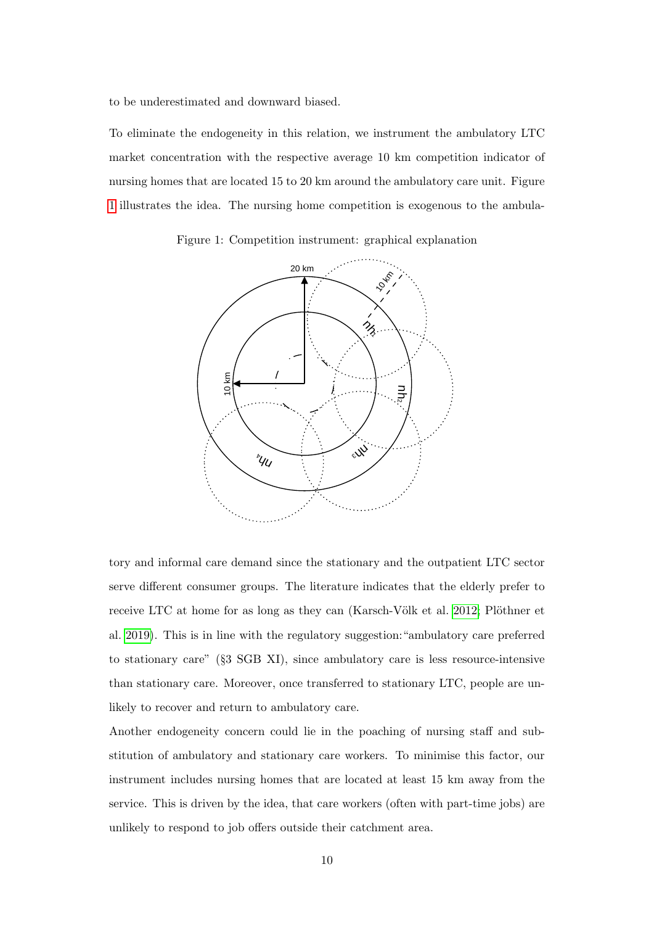to be underestimated and downward biased.

To eliminate the endogeneity in this relation, we instrument the ambulatory LTC market concentration with the respective average 10 km competition indicator of nursing homes that are located 15 to 20 km around the ambulatory care unit. Figure [1](#page-9-0) illustrates the idea. The nursing home competition is exogenous to the ambula-

Figure 1: Competition instrument: graphical explanation

<span id="page-9-0"></span>

tory and informal care demand since the stationary and the outpatient LTC sector serve different consumer groups. The literature indicates that the elderly prefer to receive LTC at home for as long as they can (Karsch-Völk et al. [2012;](#page-28-4) Plöthner et al. [2019\)](#page-30-4). This is in line with the regulatory suggestion:"ambulatory care preferred to stationary care" (§3 SGB XI), since ambulatory care is less resource-intensive than stationary care. Moreover, once transferred to stationary LTC, people are unlikely to recover and return to ambulatory care.

Another endogeneity concern could lie in the poaching of nursing staff and substitution of ambulatory and stationary care workers. To minimise this factor, our instrument includes nursing homes that are located at least 15 km away from the service. This is driven by the idea, that care workers (often with part-time jobs) are unlikely to respond to job offers outside their catchment area.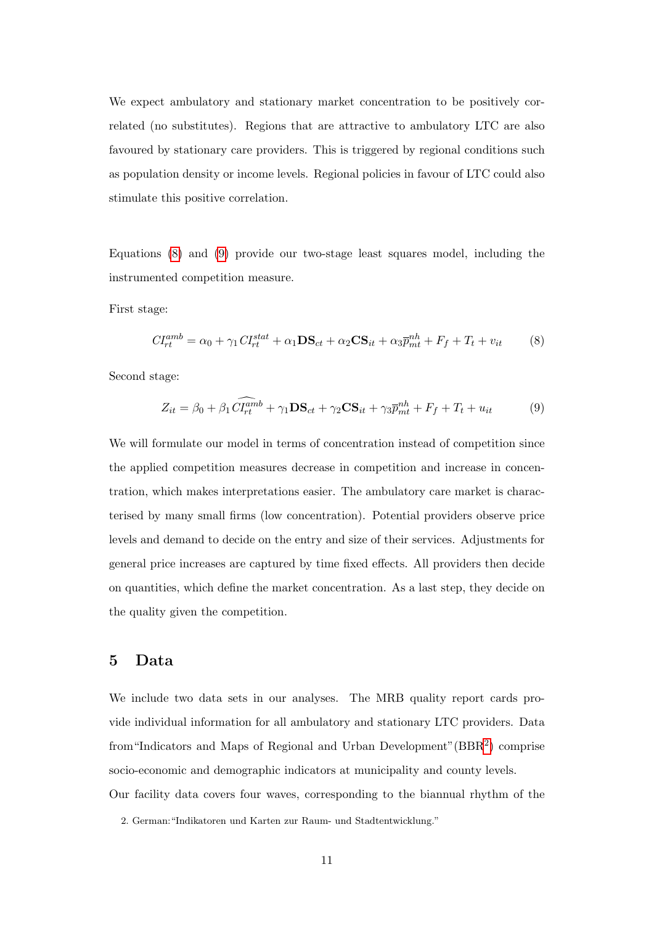We expect ambulatory and stationary market concentration to be positively correlated (no substitutes). Regions that are attractive to ambulatory LTC are also favoured by stationary care providers. This is triggered by regional conditions such as population density or income levels. Regional policies in favour of LTC could also stimulate this positive correlation.

Equations [\(8\)](#page-10-0) and [\(9\)](#page-10-1) provide our two-stage least squares model, including the instrumented competition measure.

First stage:

<span id="page-10-0"></span>
$$
CI_{rt}^{amb} = \alpha_0 + \gamma_1 CI_{rt}^{stat} + \alpha_1 DS_{ct} + \alpha_2 CS_{it} + \alpha_3 \bar{p}_{mt}^{nh} + F_f + T_t + v_{it}
$$
(8)

Second stage:

<span id="page-10-1"></span>
$$
Z_{it} = \beta_0 + \beta_1 \widehat{CI_{rt}^{amb}} + \gamma_1 \mathbf{DS}_{ct} + \gamma_2 \mathbf{CS}_{it} + \gamma_3 \overline{p}_{mt}^{nh} + F_f + T_t + u_{it}
$$
(9)

We will formulate our model in terms of concentration instead of competition since the applied competition measures decrease in competition and increase in concentration, which makes interpretations easier. The ambulatory care market is characterised by many small firms (low concentration). Potential providers observe price levels and demand to decide on the entry and size of their services. Adjustments for general price increases are captured by time fixed effects. All providers then decide on quantities, which define the market concentration. As a last step, they decide on the quality given the competition.

## 5 Data

We include two data sets in our analyses. The MRB quality report cards provide individual information for all ambulatory and stationary LTC providers. Data from "Indicators and Maps of Regional and Urban Development" (BBR<sup>[2](#page-0-0)</sup>) comprise socio-economic and demographic indicators at municipality and county levels. Our facility data covers four waves, corresponding to the biannual rhythm of the

<sup>2.</sup> German:"Indikatoren und Karten zur Raum- und Stadtentwicklung."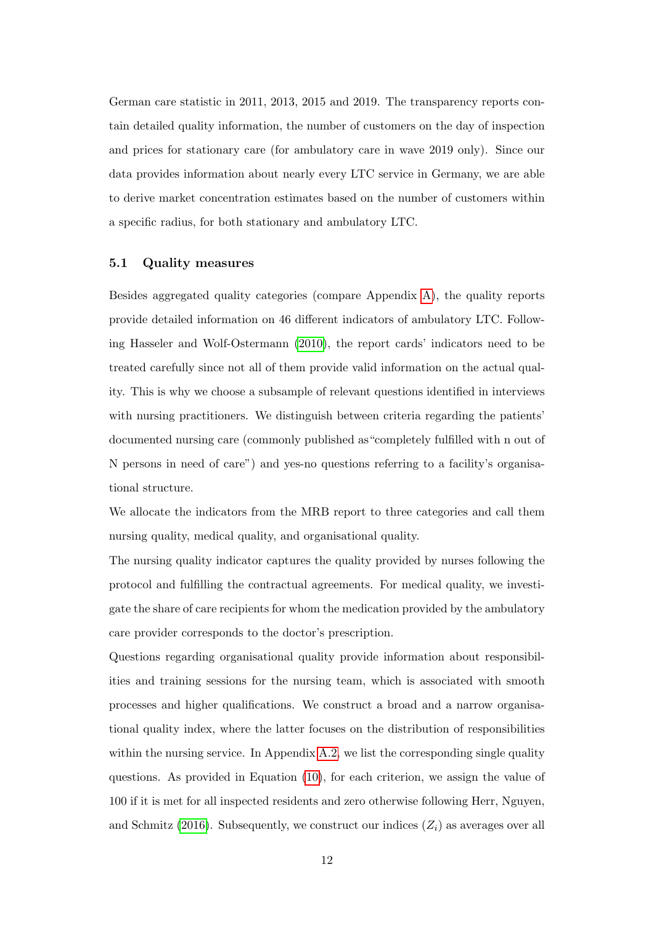German care statistic in 2011, 2013, 2015 and 2019. The transparency reports contain detailed quality information, the number of customers on the day of inspection and prices for stationary care (for ambulatory care in wave 2019 only). Since our data provides information about nearly every LTC service in Germany, we are able to derive market concentration estimates based on the number of customers within a specific radius, for both stationary and ambulatory LTC.

#### 5.1 Quality measures

Besides aggregated quality categories (compare Appendix [A\)](#page-32-0), the quality reports provide detailed information on 46 different indicators of ambulatory LTC. Following Hasseler and Wolf-Ostermann [\(2010\)](#page-27-5), the report cards' indicators need to be treated carefully since not all of them provide valid information on the actual quality. This is why we choose a subsample of relevant questions identified in interviews with nursing practitioners. We distinguish between criteria regarding the patients' documented nursing care (commonly published as"completely fulfilled with n out of N persons in need of care") and yes-no questions referring to a facility's organisational structure.

We allocate the indicators from the MRB report to three categories and call them nursing quality, medical quality, and organisational quality.

The nursing quality indicator captures the quality provided by nurses following the protocol and fulfilling the contractual agreements. For medical quality, we investigate the share of care recipients for whom the medication provided by the ambulatory care provider corresponds to the doctor's prescription.

Questions regarding organisational quality provide information about responsibilities and training sessions for the nursing team, which is associated with smooth processes and higher qualifications. We construct a broad and a narrow organisational quality index, where the latter focuses on the distribution of responsibilities within the nursing service. In Appendix [A.2,](#page-37-0) we list the corresponding single quality questions. As provided in Equation [\(10\)](#page-12-0), for each criterion, we assign the value of 100 if it is met for all inspected residents and zero otherwise following Herr, Nguyen, and Schmitz [\(2016\)](#page-27-6). Subsequently, we construct our indices  $(Z_i)$  as averages over all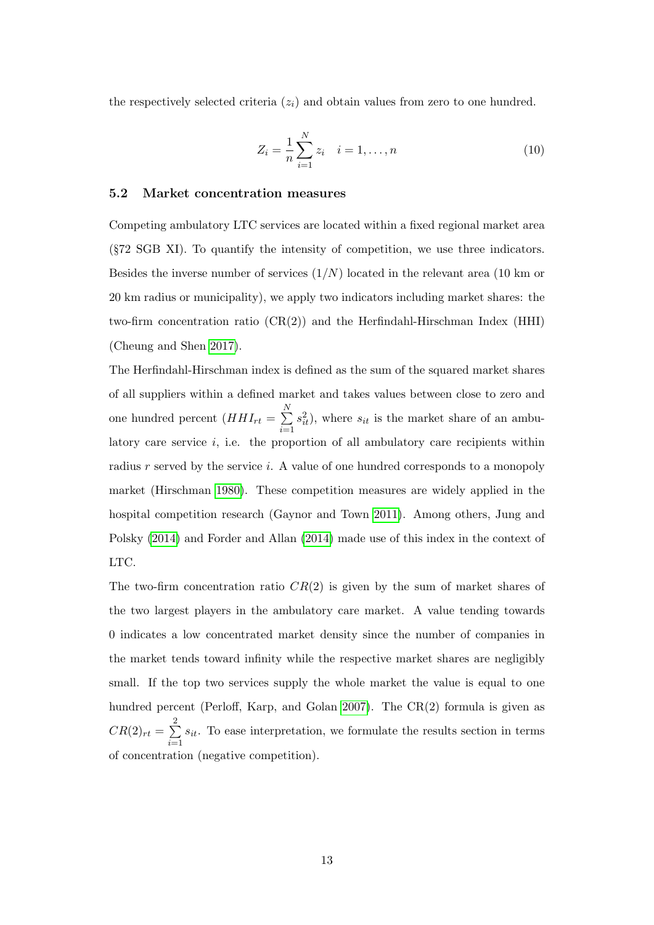the respectively selected criteria  $(z<sub>i</sub>)$  and obtain values from zero to one hundred.

<span id="page-12-0"></span>
$$
Z_i = \frac{1}{n} \sum_{i=1}^{N} z_i \quad i = 1, \dots, n
$$
 (10)

#### 5.2 Market concentration measures

Competing ambulatory LTC services are located within a fixed regional market area (§72 SGB XI). To quantify the intensity of competition, we use three indicators. Besides the inverse number of services  $(1/N)$  located in the relevant area  $(10 \text{ km or})$ 20 km radius or municipality), we apply two indicators including market shares: the two-firm concentration ratio  $(CR(2))$  and the Herfindahl-Hirschman Index (HHI) (Cheung and Shen [2017\)](#page-26-3).

The Herfindahl-Hirschman index is defined as the sum of the squared market shares of all suppliers within a defined market and takes values between close to zero and one hundred percent  $(HHI_{rt} = \sum_{l=1}^{N}$  $i=1$  $s_{it}^2$ ), where  $s_{it}$  is the market share of an ambulatory care service  $i$ , i.e. the proportion of all ambulatory care recipients within radius  $r$  served by the service  $i$ . A value of one hundred corresponds to a monopoly market (Hirschman [1980\)](#page-28-5). These competition measures are widely applied in the hospital competition research (Gaynor and Town [2011\)](#page-27-0). Among others, Jung and Polsky [\(2014\)](#page-28-3) and Forder and Allan [\(2014\)](#page-26-2) made use of this index in the context of LTC.

The two-firm concentration ratio  $CR(2)$  is given by the sum of market shares of the two largest players in the ambulatory care market. A value tending towards 0 indicates a low concentrated market density since the number of companies in the market tends toward infinity while the respective market shares are negligibly small. If the top two services supply the whole market the value is equal to one hundred percent (Perloff, Karp, and Golan [2007\)](#page-30-5). The CR(2) formula is given as  $CR(2)_{rt} = \sum^2$  $i=1$  $s_{it}$ . To ease interpretation, we formulate the results section in terms of concentration (negative competition).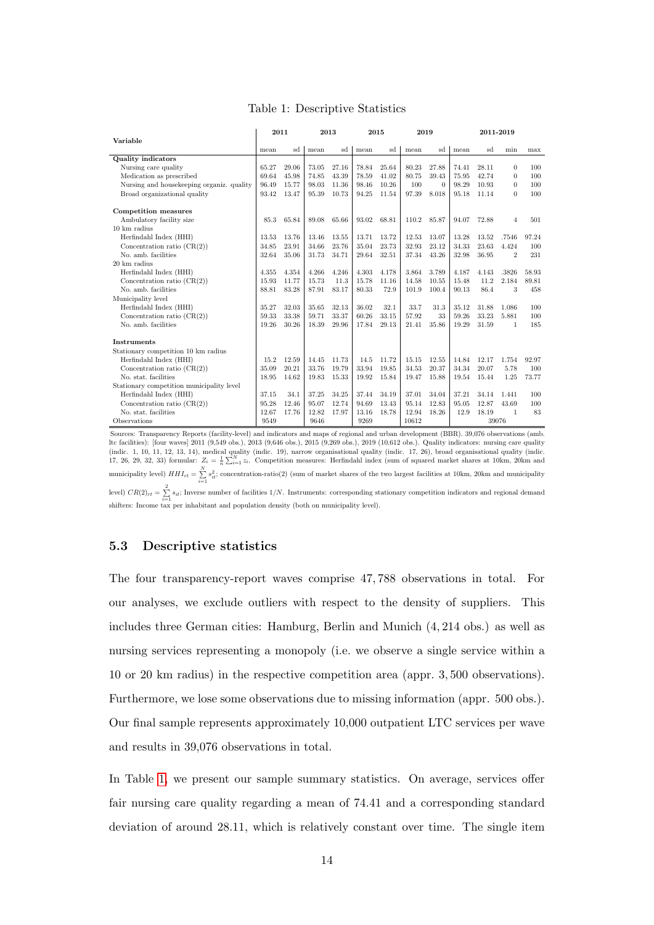<span id="page-13-0"></span>

|                                           | 2011  |       |       | 2013  |       | 2015  | 2019  |          |       |       | 2011-2019      |       |
|-------------------------------------------|-------|-------|-------|-------|-------|-------|-------|----------|-------|-------|----------------|-------|
| Variable                                  |       |       |       |       |       |       |       |          |       |       |                |       |
|                                           | mean  | sd    | mean  | sd    | mean  | sd    | mean  | sd       | mean  | sd    | min            | max   |
| <b>Quality indicators</b>                 |       |       |       |       |       |       |       |          |       |       |                |       |
| Nursing care quality                      | 65.27 | 29.06 | 73.05 | 27.16 | 78.84 | 25.64 | 80.23 | 27.88    | 74.41 | 28.11 | $\theta$       | 100   |
| Medication as prescribed                  | 69.64 | 45.98 | 74.85 | 43.39 | 78.59 | 41.02 | 80.75 | 39.43    | 75.95 | 42.74 | $\theta$       | 100   |
| Nursing and housekeeping organiz. quality | 96.49 | 15.77 | 98.03 | 11.36 | 98.46 | 10.26 | 100   | $\Omega$ | 98.29 | 10.93 | $\theta$       | 100   |
| Broad organizational quality              | 93.42 | 13.47 | 95.39 | 10.73 | 94.25 | 11.54 | 97.39 | 8.018    | 95.18 | 11.14 | $\overline{0}$ | 100   |
| Competition measures                      |       |       |       |       |       |       |       |          |       |       |                |       |
| Ambulatory facility size                  | 85.3  | 65.84 | 89.08 | 65.66 | 93.02 | 68.81 | 110.2 | 85.87    | 94.07 | 72.88 | $\overline{4}$ | 501   |
| 10 km radius                              |       |       |       |       |       |       |       |          |       |       |                |       |
| Herfindahl Index (HHI)                    | 13.53 | 13.76 | 13.46 | 13.55 | 13.71 | 13.72 | 12.53 | 13.07    | 13.28 | 13.52 | .7546          | 97.24 |
| Concentration ratio $(CR(2))$             | 34.85 | 23.91 | 34.66 | 23.76 | 35.04 | 23.73 | 32.93 | 23.12    | 34.33 | 23.63 | 4.424          | 100   |
| No. amb. facilities                       | 32.64 | 35.06 | 31.73 | 34.71 | 29.64 | 32.51 | 37.34 | 43.26    | 32.98 | 36.95 | $\overline{2}$ | 231   |
| 20 km radius                              |       |       |       |       |       |       |       |          |       |       |                |       |
| Herfindahl Index (HHI)                    | 4.355 | 4.354 | 4.266 | 4.246 | 4.303 | 4.178 | 3.864 | 3.789    | 4.187 | 4.143 | .3826          | 58.93 |
| Concentration ratio $(CR(2))$             | 15.93 | 11.77 | 15.73 | 11.3  | 15.78 | 11.16 | 14.58 | 10.55    | 15.48 | 11.2  | 2.184          | 89.81 |
| No. amb. facilities                       | 88.81 | 83.28 | 87.91 | 83.17 | 80.33 | 72.9  | 101.9 | 100.4    | 90.13 | 86.4  | 3              | 458   |
| Municipality level                        |       |       |       |       |       |       |       |          |       |       |                |       |
| Herfindahl Index (HHI)                    | 35.27 | 32.03 | 35.65 | 32.13 | 36.02 | 32.1  | 33.7  | 31.3     | 35.12 | 31.88 | 1.086          | 100   |
| Concentration ratio $(CR(2))$             | 59.33 | 33.38 | 59.71 | 33.37 | 60.26 | 33.15 | 57.92 | 33       | 59.26 | 33.23 | 5.881          | 100   |
| No. amb. facilities                       | 19.26 | 30.26 | 18.39 | 29.96 | 17.84 | 29.13 | 21.41 | 35.86    | 19.29 | 31.59 | $\mathbf{1}$   | 185   |
| <b>Instruments</b>                        |       |       |       |       |       |       |       |          |       |       |                |       |
| Stationary competition 10 km radius       |       |       |       |       |       |       |       |          |       |       |                |       |
| Herfindahl Index (HHI)                    | 15.2  | 12.59 | 14.45 | 11.73 | 14.5  | 11.72 | 15.15 | 12.55    | 14.84 | 12.17 | 1.754          | 92.97 |
| Concentration ratio $(CR(2))$             | 35.09 | 20.21 | 33.76 | 19.79 | 33.94 | 19.85 | 34.53 | 20.37    | 34.34 | 20.07 | 5.78           | 100   |
| No. stat. facilities                      | 18.95 | 14.62 | 19.83 | 15.33 | 19.92 | 15.84 | 19.47 | 15.88    | 19.54 | 15.44 | 1.25           | 73.77 |
| Stationary competition municipality level |       |       |       |       |       |       |       |          |       |       |                |       |
| Herfindahl Index (HHI)                    | 37.15 | 34.1  | 37.25 | 34.25 | 37.44 | 34.19 | 37.01 | 34.04    | 37.21 | 34.14 | 1.441          | 100   |
| Concentration ratio $(CR(2))$             | 95.28 | 12.46 | 95.07 | 12.74 | 94.69 | 13.43 | 95.14 | 12.83    | 95.05 | 12.87 | 43.69          | 100   |
| No. stat. facilities                      | 12.67 | 17.76 | 12.82 | 17.97 | 13.16 | 18.78 | 12.94 | 18.26    | 12.9  | 18.19 | $\mathbf{1}$   | 83    |
| Observations                              | 9549  |       | 9646  |       | 9269  |       | 10612 |          |       |       | 39076          |       |

Sources: Transparency Reports (facility-level) and indicators and maps of regional and urban development (BBR). 39,076 observations (amb.<br>ltc facilities): [four waves] 2011 (9,549 obs.), 2013 (9,646 obs.), 2015 (9,269 obs municipality level)  $HH_{rt} = \sum_{i=1}^{N} s_{it}^2$ ; concentration-ratio(2) (sum of market shares of the two largest facilities at 10km, 20km and municipality level)  $CR(2)_{rt} = \sum_{i=1}^{2} s_{it}$ ; Inverse number of facilities  $1/N$ . Instruments: corresponding stationary competition indicators and regional demand

shifters: Income tax per inhabitant and population density (both on municipality level).

## 5.3 Descriptive statistics

The four transparency-report waves comprise 47, 788 observations in total. For our analyses, we exclude outliers with respect to the density of suppliers. This includes three German cities: Hamburg, Berlin and Munich (4, 214 obs.) as well as nursing services representing a monopoly (i.e. we observe a single service within a 10 or 20 km radius) in the respective competition area (appr. 3, 500 observations). Furthermore, we lose some observations due to missing information (appr. 500 obs.). Our final sample represents approximately 10,000 outpatient LTC services per wave and results in 39,076 observations in total.

In Table [1,](#page-13-0) we present our sample summary statistics. On average, services offer fair nursing care quality regarding a mean of 74.41 and a corresponding standard deviation of around 28.11, which is relatively constant over time. The single item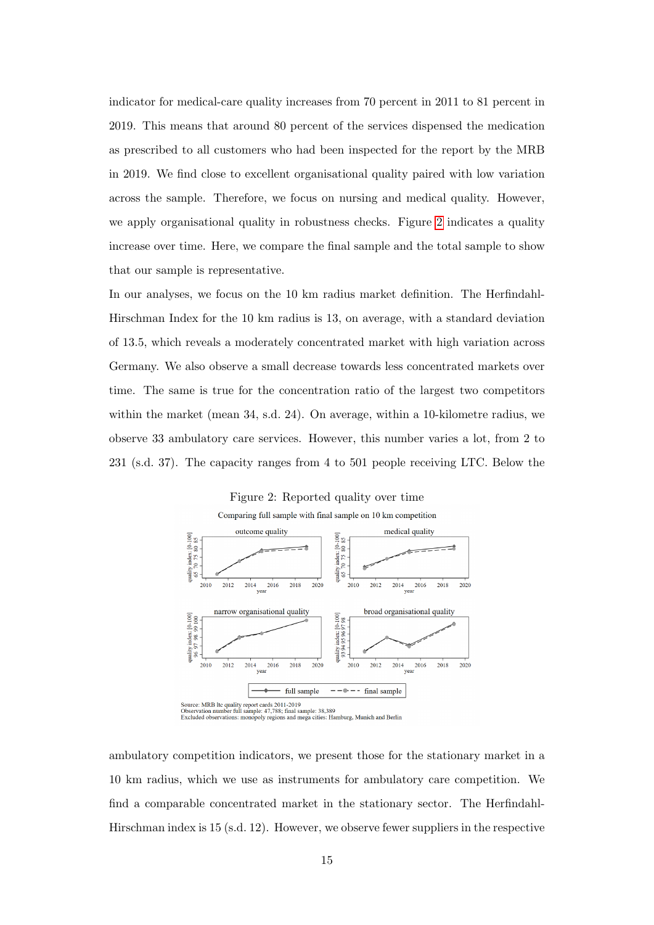indicator for medical-care quality increases from 70 percent in 2011 to 81 percent in 2019. This means that around 80 percent of the services dispensed the medication as prescribed to all customers who had been inspected for the report by the MRB in 2019. We find close to excellent organisational quality paired with low variation across the sample. Therefore, we focus on nursing and medical quality. However, we apply organisational quality in robustness checks. Figure [2](#page-14-0) indicates a quality increase over time. Here, we compare the final sample and the total sample to show that our sample is representative.

In our analyses, we focus on the 10 km radius market definition. The Herfindahl-Hirschman Index for the 10 km radius is 13, on average, with a standard deviation of 13.5, which reveals a moderately concentrated market with high variation across Germany. We also observe a small decrease towards less concentrated markets over time. The same is true for the concentration ratio of the largest two competitors within the market (mean 34, s.d. 24). On average, within a 10-kilometre radius, we observe 33 ambulatory care services. However, this number varies a lot, from 2 to 231 (s.d. 37). The capacity ranges from 4 to 501 people receiving LTC. Below the

<span id="page-14-0"></span>

ambulatory competition indicators, we present those for the stationary market in a 10 km radius, which we use as instruments for ambulatory care competition. We find a comparable concentrated market in the stationary sector. The Herfindahl-Hirschman index is 15 (s.d. 12). However, we observe fewer suppliers in the respective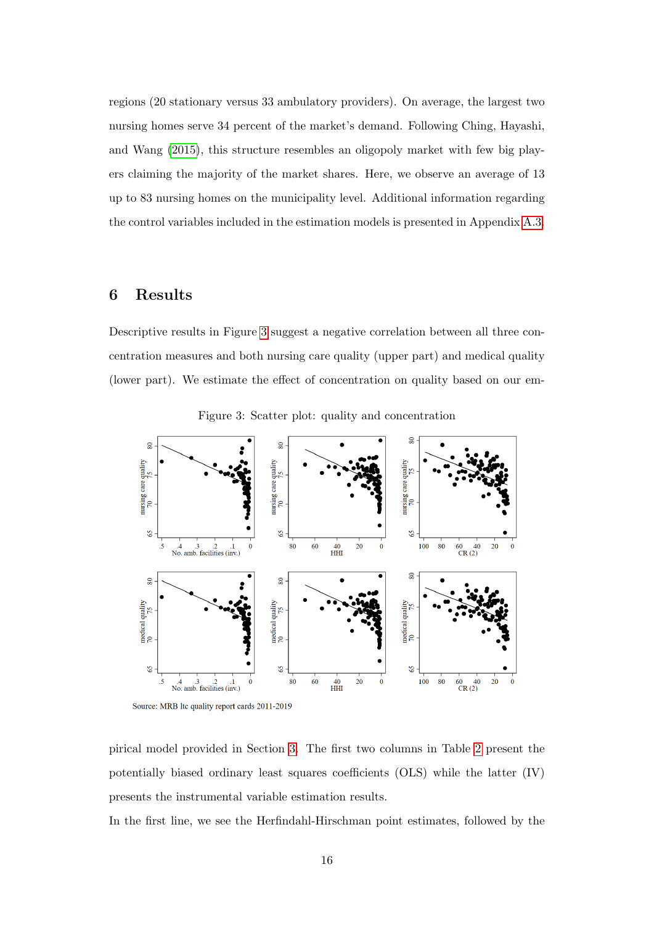regions (20 stationary versus 33 ambulatory providers). On average, the largest two nursing homes serve 34 percent of the market's demand. Following Ching, Hayashi, and Wang [\(2015\)](#page-26-4), this structure resembles an oligopoly market with few big players claiming the majority of the market shares. Here, we observe an average of 13 up to 83 nursing homes on the municipality level. Additional information regarding the control variables included in the estimation models is presented in Appendix [A.3.](#page-39-0)

# 6 Results

Descriptive results in Figure [3](#page-15-0) suggest a negative correlation between all three concentration measures and both nursing care quality (upper part) and medical quality (lower part). We estimate the effect of concentration on quality based on our em-



<span id="page-15-0"></span>Figure 3: Scatter plot: quality and concentration

Source: MRB ltc quality report cards 2011-2019

pirical model provided in Section [3.](#page-5-0) The first two columns in Table [2](#page-16-0) present the potentially biased ordinary least squares coefficients (OLS) while the latter (IV) presents the instrumental variable estimation results.

In the first line, we see the Herfindahl-Hirschman point estimates, followed by the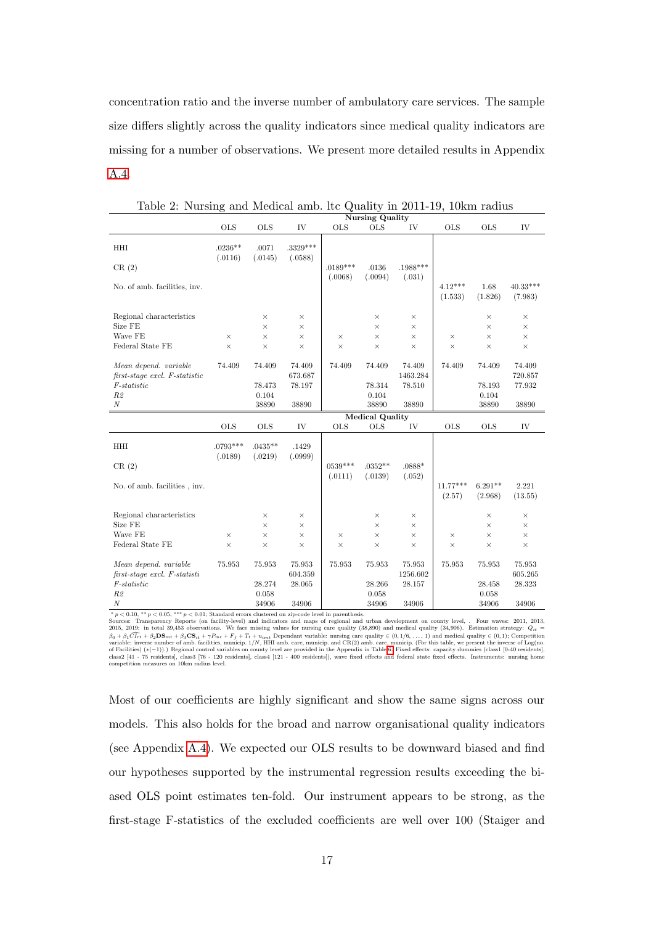concentration ratio and the inverse number of ambulatory care services. The sample size differs slightly across the quality indicators since medical quality indicators are missing for a number of observations. We present more detailed results in Appendix [A.4.](#page-40-0)

|                                                                |                       |                      |                       |                      | <b>Nursing Quality</b> |                      |                      |                      |                       |
|----------------------------------------------------------------|-----------------------|----------------------|-----------------------|----------------------|------------------------|----------------------|----------------------|----------------------|-----------------------|
|                                                                | <b>OLS</b>            | <b>OLS</b>           | IV                    | <b>OLS</b>           | <b>OLS</b>             | IV                   | <b>OLS</b>           | <b>OLS</b>           | IV                    |
| <b>HHI</b><br>CR(2)                                            | $.0236**$<br>(.0116)  | .0071<br>(.0145)     | $.3329***$<br>(.0588) | $.0189***$           | .0136                  | .1988***             |                      |                      |                       |
| No. of amb. facilities, inv.                                   |                       |                      |                       | (.0068)              | (.0094)                | (.031)               | $4.12***$<br>(1.533) | 1.68<br>(1.826)      | $40.33***$<br>(7.983) |
| Regional characteristics<br>Size FE                            |                       | ×<br>×               | ×<br>×                |                      | $\times$<br>×          | $\times$<br>$\times$ |                      | $\times$<br>$\times$ | $\times$<br>$\times$  |
| Wave FE                                                        | $\times$              | $\times$             | $\times$              | $\times$             | $\times$               | $\times$             | $\times$             | $\times$             | $\times$              |
| Federal State FE                                               | $\times$              | $\times$             | $\times$              | $\times$             | $\times$               | $\times$             | $\times$             | $\times$             | $\times$              |
|                                                                |                       |                      |                       |                      |                        |                      |                      |                      |                       |
| Mean depend. variable<br>$first-stage \; excl. \; F-statistic$ | 74.409                | 74.409               | 74.409<br>673.687     | 74.409               | 74.409                 | 74.409<br>1463.284   | 74.409               | 74.409               | 74.409<br>720.857     |
| $F-statistic$                                                  |                       | 78.473               | 78.197                |                      | 78.314                 | 78.510               |                      | 78.193               | 77.932                |
| R2                                                             |                       | 0.104                |                       |                      | 0.104                  |                      |                      | 0.104                |                       |
| $\boldsymbol{N}$                                               |                       | 38890                | 38890                 |                      | 38890                  | 38890                |                      | 38890                | 38890                 |
|                                                                |                       |                      |                       |                      | <b>Medical Quality</b> |                      |                      |                      |                       |
|                                                                | <b>OLS</b>            | <b>OLS</b>           | IV                    | <b>OLS</b>           | <b>OLS</b>             | IV                   | <b>OLS</b>           | <b>OLS</b>           | IV                    |
| HHI                                                            | $.0793***$<br>(.0189) | $.0435**$<br>(.0219) | .1429<br>(.0999)      |                      |                        |                      |                      |                      |                       |
| CR(2)                                                          |                       |                      |                       | $0539***$<br>(.0111) | $.0352**$<br>(.0139)   | $.0888*$<br>(.052)   |                      |                      |                       |
| No. of amb. facilities, inv.                                   |                       |                      |                       |                      |                        |                      | $11.77***$<br>(2.57) | $6.291**$<br>(2.968) | 2.221<br>(13.55)      |
| Regional characteristics                                       |                       | $\times$             | $\times$              |                      | ×                      | $\times$             |                      | ×                    | $\times$              |
| Size FE                                                        |                       | $\times$             | $\times$              |                      | $\times$               | $\times$             |                      | $\times$             | $\times$              |
| Wave FE                                                        | $\times$              | $\times$             | $\times$              | $\times$             | $\times$               | $\times$             | $\times$             | $\times$             | $\times$              |
| Federal State FE                                               | $\times$              | $\times$             | $\times$              | $\times$             | ×                      | $\times$             | $\times$             | $\times$             | $\times$              |
| Mean depend. variable<br>$first-stage \; excl. \; F-statisti$  | 75.953                | 75.953               | 75.953<br>604.359     | 75.953               | 75.953                 | 75.953<br>1256.602   | 75.953               | 75.953               | 75.953<br>605.265     |
| F-statistic                                                    |                       | 28.274               | 28.065                |                      | 28.266                 | 28.157               |                      | 28.458               | 28.323                |
|                                                                |                       |                      |                       |                      |                        |                      |                      |                      |                       |
| R2                                                             |                       | 0.058                |                       |                      | 0.058                  |                      |                      | 0.058                |                       |

<span id="page-16-0"></span>Table 2: Nursing and Medical amb. ltc Quality in 2011-19, 10km radius

 $* p < 0.10, ** p < 0.05,*** p < 0.01$ ; Standard errors clustered on zip-code level in parenthesis.

Sources: Transparency Reports (on facility-level) and indicators and maps of regional and urban development on county level, . Four waves: 2011, 2013, 2015, 2019: <br>2015, 2019: in total 39,453 observations. We face missing

Most of our coefficients are highly significant and show the same signs across our models. This also holds for the broad and narrow organisational quality indicators (see Appendix [A.4\)](#page-40-0). We expected our OLS results to be downward biased and find our hypotheses supported by the instrumental regression results exceeding the biased OLS point estimates ten-fold. Our instrument appears to be strong, as the first-stage F-statistics of the excluded coefficients are well over 100 (Staiger and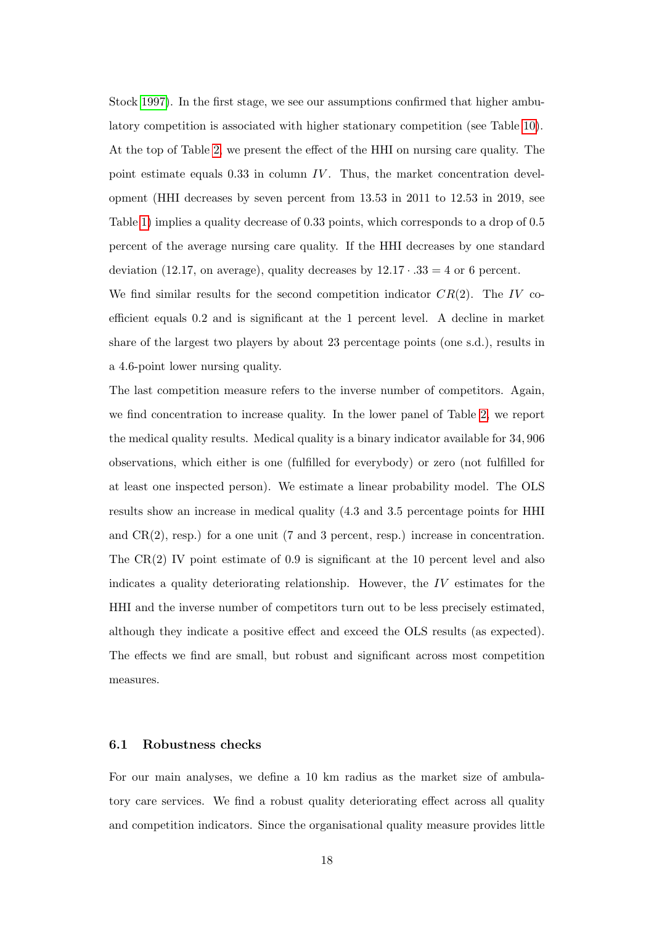Stock [1997\)](#page-30-6). In the first stage, we see our assumptions confirmed that higher ambulatory competition is associated with higher stationary competition (see Table [10\)](#page-43-0). At the top of Table [2,](#page-16-0) we present the effect of the HHI on nursing care quality. The point estimate equals  $0.33$  in column IV. Thus, the market concentration development (HHI decreases by seven percent from 13.53 in 2011 to 12.53 in 2019, see Table [1\)](#page-13-0) implies a quality decrease of 0.33 points, which corresponds to a drop of 0.5 percent of the average nursing care quality. If the HHI decreases by one standard deviation (12.17, on average), quality decreases by  $12.17 \cdot .33 = 4$  or 6 percent. We find similar results for the second competition indicator  $CR(2)$ . The IV co-

efficient equals 0.2 and is significant at the 1 percent level. A decline in market share of the largest two players by about 23 percentage points (one s.d.), results in a 4.6-point lower nursing quality.

The last competition measure refers to the inverse number of competitors. Again, we find concentration to increase quality. In the lower panel of Table [2,](#page-16-0) we report the medical quality results. Medical quality is a binary indicator available for 34, 906 observations, which either is one (fulfilled for everybody) or zero (not fulfilled for at least one inspected person). We estimate a linear probability model. The OLS results show an increase in medical quality (4.3 and 3.5 percentage points for HHI and CR(2), resp.) for a one unit (7 and 3 percent, resp.) increase in concentration. The  $CR(2)$  IV point estimate of 0.9 is significant at the 10 percent level and also indicates a quality deteriorating relationship. However, the IV estimates for the HHI and the inverse number of competitors turn out to be less precisely estimated, although they indicate a positive effect and exceed the OLS results (as expected). The effects we find are small, but robust and significant across most competition measures.

#### 6.1 Robustness checks

For our main analyses, we define a 10 km radius as the market size of ambulatory care services. We find a robust quality deteriorating effect across all quality and competition indicators. Since the organisational quality measure provides little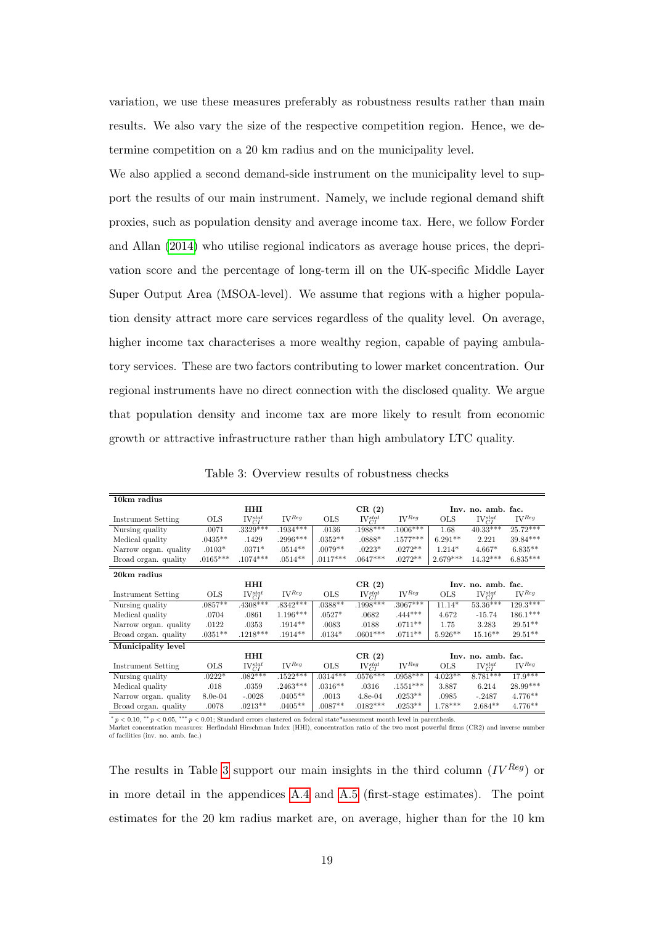variation, we use these measures preferably as robustness results rather than main results. We also vary the size of the respective competition region. Hence, we determine competition on a 20 km radius and on the municipality level.

We also applied a second demand-side instrument on the municipality level to support the results of our main instrument. Namely, we include regional demand shift proxies, such as population density and average income tax. Here, we follow Forder and Allan [\(2014\)](#page-26-2) who utilise regional indicators as average house prices, the deprivation score and the percentage of long-term ill on the UK-specific Middle Layer Super Output Area (MSOA-level). We assume that regions with a higher population density attract more care services regardless of the quality level. On average, higher income tax characterises a more wealthy region, capable of paying ambulatory services. These are two factors contributing to lower market concentration. Our regional instruments have no direct connection with the disclosed quality. We argue that population density and income tax are more likely to result from economic growth or attractive infrastructure rather than high ambulatory LTC quality.

| 10km radius           |            |                  |                     |            |                  |                                  |            |                    |                                  |
|-----------------------|------------|------------------|---------------------|------------|------------------|----------------------------------|------------|--------------------|----------------------------------|
|                       |            | HHI              |                     |            | CR(2)            |                                  |            | Inv. no. amb. fac. |                                  |
| Instrument Setting    | <b>OLS</b> | $IV_{CI}^{stat}$ | $\mathbf{IV}^{Reg}$ | <b>OLS</b> | $IV_{CI}^{stat}$ | $\mathrm{IV}^{Reg}$              | <b>OLS</b> | $IV_{CI}^{stat}$   | $IV$ <sup><math>Reg</math></sup> |
| Nursing quality       | .0071      | $.3329***$       | $.1934***$          | .0136      | $.1988***$       | $.1006***$                       | 1.68       | $40.33***$         | $25.72***$                       |
| Medical quality       | $.0435**$  | .1429            | $.2996***$          | $.0352**$  | $.0888*$         | $.1577***$                       | $6.291**$  | 2.221              | $39.84***$                       |
| Narrow organ. quality | $.0103*$   | $.0371*$         | $.0514**$           | $.0079**$  | $.0223*$         | $.0272**$                        | $1.214*$   | $4.667*$           | $6.835**$                        |
| Broad organ. quality  | $.0165***$ | $.1074***$       | $.0514**$           | $.0117***$ | $.0647***$       | $.0272**$                        | $2.679***$ | $14.32***$         | $6.835***$                       |
| 20km radius           |            |                  |                     |            |                  |                                  |            |                    |                                  |
|                       |            | <b>HHI</b>       |                     |            | CR(2)            |                                  |            | Inv. no. amb. fac. |                                  |
| Instrument Setting    | <b>OLS</b> | $IV_{CI}^{stat}$ | $\mathbf{IV}^{Reg}$ | <b>OLS</b> | $IV_{CI}^{stat}$ | $IV$ <sup><math>Reg</math></sup> | <b>OLS</b> | $IV_{CI}^{stat}$   | $IV$ <sup><math>Reg</math></sup> |
| Nursing quality       | $.0857**$  | $.4308***$       | $.8342***$          | $.0388**$  | $.1998***$       | $.3067***$                       | $11.14*$   | $53.36***$         | $129.3***$                       |
| Medical quality       | .0704      | .0861            | $1.196***$          | $.0527*$   | .0682            | $.444***$                        | 4.672      | $-15.74$           | $186.1^{\ast\ast\ast}$           |
| Narrow organ. quality | .0122      | .0353            | $.1914**$           | .0083      | .0188            | $.0711**$                        | 1.75       | 3.283              | $29.51**$                        |
| Broad organ. quality  | $.0351**$  | $.1218***$       | $.1914**$           | $.0134*$   | $.0601***$       | $.0711**$                        | $5.926**$  | $15.16**$          | $29.51**$                        |
| Municipality level    |            |                  |                     |            |                  |                                  |            |                    |                                  |
|                       |            | <b>HHI</b>       |                     |            | CR(2)            |                                  |            | Inv. no. amb. fac. |                                  |
| Instrument Setting    | <b>OLS</b> | $IV_{CI}^{stat}$ | $\mathbf{IV}^{Reg}$ | <b>OLS</b> | $IV_{CI}^{stat}$ | $IV$ <sup><math>Reg</math></sup> | <b>OLS</b> | $IV_{CI}^{stat}$   | $W^{Reg}$                        |
| Nursing quality       | $.0222*$   | $.082***$        | $.1522***$          | $.0314***$ | $.0576***$       | $.0958***$                       | $4.023**$  | $8.781***$         | $17.9***$                        |
| Medical quality       | .018       | .0359            | $.2463***$          | $.0316**$  | .0316            | $.1551***$                       | 3.887      | 6.214              | 28.99***                         |
| Narrow organ. quality | $8.0e-04$  | $-.0028$         | $.0405**$           | .0013      | $4.8e-04$        | $.0253**$                        | .0985      | $-.2487$           | $4.776**$                        |
| Broad organ. quality  | .0078      | $.0213**$        | $.0405**$           | $.0087**$  | $.0182***$       | $.0253**$                        | $1.78***$  | $2.684**$          | $4.776**$                        |

<span id="page-18-0"></span>Table 3: Overview results of robustness checks

 $* p < 0.10$ ,  $* p < 0.05$ ,  $* * p < 0.01$ ; Standard errors clustered on federal state\*assessment month level in parenthesis. Market concentration measures: Herfindahl Hirschman Index (HHI), concentration ratio of the two most powerful firms (CR2) and inverse number of facilities (inv. no. amb. fac.)

The results in Table [3](#page-18-0) support our main insights in the third column  $(IV^{Reg})$  or in more detail in the appendices [A.4](#page-40-0) and [A.5](#page-43-1) (first-stage estimates). The point estimates for the 20 km radius market are, on average, higher than for the 10 km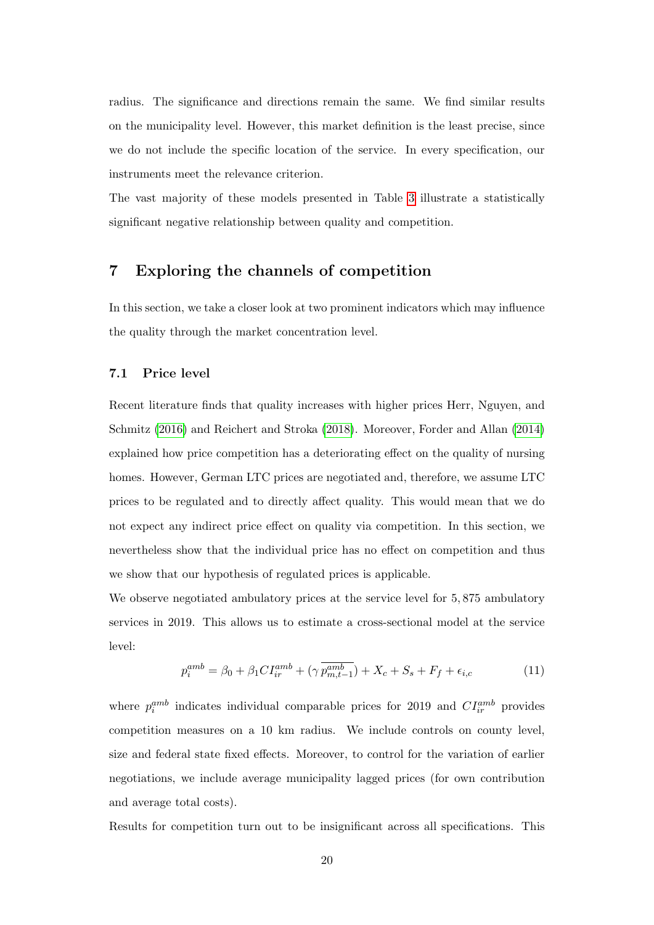radius. The significance and directions remain the same. We find similar results on the municipality level. However, this market definition is the least precise, since we do not include the specific location of the service. In every specification, our instruments meet the relevance criterion.

The vast majority of these models presented in Table [3](#page-18-0) illustrate a statistically significant negative relationship between quality and competition.

# 7 Exploring the channels of competition

In this section, we take a closer look at two prominent indicators which may influence the quality through the market concentration level.

#### 7.1 Price level

Recent literature finds that quality increases with higher prices Herr, Nguyen, and Schmitz [\(2016\)](#page-27-6) and Reichert and Stroka [\(2018\)](#page-30-7). Moreover, Forder and Allan [\(2014\)](#page-26-2) explained how price competition has a deteriorating effect on the quality of nursing homes. However, German LTC prices are negotiated and, therefore, we assume LTC prices to be regulated and to directly affect quality. This would mean that we do not expect any indirect price effect on quality via competition. In this section, we nevertheless show that the individual price has no effect on competition and thus we show that our hypothesis of regulated prices is applicable.

We observe negotiated ambulatory prices at the service level for  $5,875$  ambulatory services in 2019. This allows us to estimate a cross-sectional model at the service level:

$$
p_i^{amb} = \beta_0 + \beta_1 CI_{ir}^{amb} + (\gamma \overline{p_{m,t-1}^{amb}}) + X_c + S_s + F_f + \epsilon_{i,c}
$$
 (11)

where  $p_i^{amb}$  indicates individual comparable prices for 2019 and  $CI_{ir}^{amb}$  provides competition measures on a 10 km radius. We include controls on county level, size and federal state fixed effects. Moreover, to control for the variation of earlier negotiations, we include average municipality lagged prices (for own contribution and average total costs).

Results for competition turn out to be insignificant across all specifications. This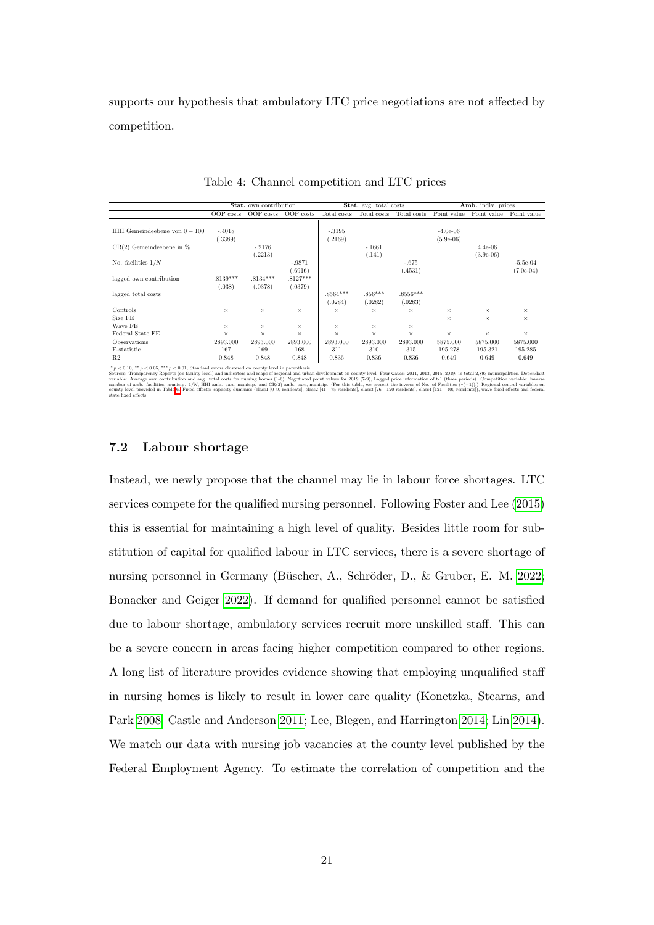supports our hypothesis that ambulatory LTC price negotiations are not affected by competition.

|                               |                      | Stat. own contribution |                       |                       | Stat. avg. total costs |                      |                           | Amb. indiv. prices       |                           |
|-------------------------------|----------------------|------------------------|-----------------------|-----------------------|------------------------|----------------------|---------------------------|--------------------------|---------------------------|
|                               | OOP costs            | OOP costs              | OOP costs             | Total costs           | Total costs            | Total costs          | Point value               | Point value              | Point value               |
| HHI Gemeindeebene von $0-100$ | $-.4018$<br>(.3389)  |                        |                       | $-.3195$<br>(.2169)   |                        |                      | $-4.0e-06$<br>$(5.9e-06)$ |                          |                           |
| $CR(2)$ Gemeindeebene in $%$  |                      | $-.2176$<br>(.2213)    |                       |                       | $-.1661$<br>(.141)     |                      |                           | $4.4e-06$<br>$(3.9e-06)$ |                           |
| No. facilities $1/N$          |                      |                        | $-.9871$<br>(.6916)   |                       |                        | $-.675$<br>.4531)    |                           |                          | $-5.5e-04$<br>$(7.0e-04)$ |
| lagged own contribution       | $.8139***$<br>(.038) | $.8134***$<br>(.0378)  | $.8127***$<br>(.0379) |                       |                        |                      |                           |                          |                           |
| lagged total costs            |                      |                        |                       | $.8564***$<br>(.0284) | $.856***$<br>(.0282)   | $.8556***$<br>.0283) |                           |                          |                           |
| Controls                      | $\times$             | $\times$               | $\times$              | $\times$              | $\times$               | $\times$             | $\times$                  | $\times$                 | $\times$                  |
| Size FE                       |                      |                        |                       |                       |                        |                      | $\times$                  | $\times$                 | $\times$                  |
| Wave FE                       | $\times$             | ×                      | $\times$              | $\times$              | $\times$               | $\times$             |                           |                          |                           |
| Federal State FE              | $\times$             | $\times$               | $\times$              | $\times$              | $\times$               | $\times$             | $\times$                  | $\times$                 | $\times$                  |
| Observations                  | 2893.000             | 2893.000               | 2893.000              | 2893.000              | 2893.000               | 2893.000             | 5875.000                  | 5875.000                 | 5875.000                  |
| F-statistic                   | 167                  | 169                    | 168                   | 311                   | 310                    | 315                  | 195.278                   | 195.321                  | 195.285                   |
| R <sub>2</sub>                | 0.848                | 0.848                  | 0.848                 | 0.836                 | 0.836                  | 0.836                | 0.649                     | 0.649                    | 0.649                     |

Table 4: Channel competition and LTC prices

 $^*p < 0.10$ ,  $^{**}p < 0.05$ ,  $^{***}p < 0.01$ ; Standard errors clustered on county level in parenthesis.<br>Sources: Transparency Reports (on facility-level) and indicators and maps of regional and whan development on county le

#### 7.2 Labour shortage

Instead, we newly propose that the channel may lie in labour force shortages. LTC services compete for the qualified nursing personnel. Following Foster and Lee [\(2015\)](#page-26-5) this is essential for maintaining a high level of quality. Besides little room for substitution of capital for qualified labour in LTC services, there is a severe shortage of nursing personnel in Germany (Büscher, A., Schröder, D., & Gruber, E. M. [2022;](#page-26-6) Bonacker and Geiger [2022\)](#page-25-7). If demand for qualified personnel cannot be satisfied due to labour shortage, ambulatory services recruit more unskilled staff. This can be a severe concern in areas facing higher competition compared to other regions. A long list of literature provides evidence showing that employing unqualified staff in nursing homes is likely to result in lower care quality (Konetzka, Stearns, and Park [2008;](#page-28-6) Castle and Anderson [2011;](#page-26-7) Lee, Blegen, and Harrington [2014;](#page-29-5) Lin [2014\)](#page-29-6). We match our data with nursing job vacancies at the county level published by the Federal Employment Agency. To estimate the correlation of competition and the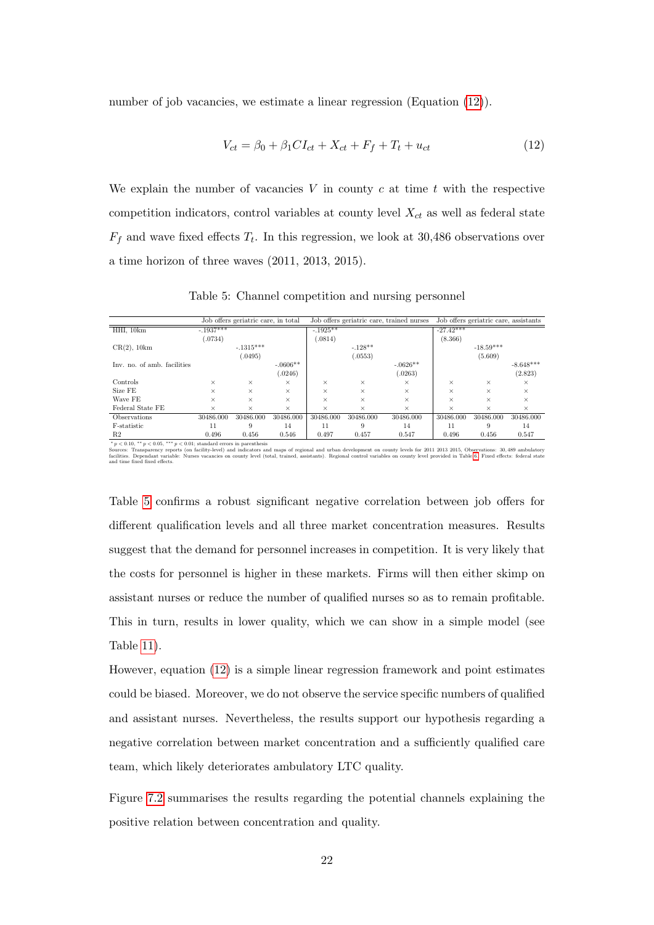number of job vacancies, we estimate a linear regression (Equation [\(12\)](#page-21-0)).

<span id="page-21-0"></span>
$$
V_{ct} = \beta_0 + \beta_1 CI_{ct} + X_{ct} + F_f + T_t + u_{ct}
$$
\n(12)

We explain the number of vacancies  $V$  in county  $c$  at time  $t$  with the respective competition indicators, control variables at county level  $X_{ct}$  as well as federal state  $F_f$  and wave fixed effects  $T_t$ . In this regression, we look at 30,486 observations over a time horizon of three waves (2011, 2013, 2015).

|                                                                                                                  |             | Job offers geriatric care, in total |            |           |           | Job offers geriatric care, trained nurses |             | Job offers geriatric care, assistants |             |
|------------------------------------------------------------------------------------------------------------------|-------------|-------------------------------------|------------|-----------|-----------|-------------------------------------------|-------------|---------------------------------------|-------------|
| HHI. 10km                                                                                                        | $-.1937***$ |                                     |            | $-1925**$ |           |                                           | $-27.42***$ |                                       |             |
|                                                                                                                  | .0734)      |                                     |            | (.0814)   |           |                                           | (8.366)     |                                       |             |
| $CR(2)$ , 10 $km$                                                                                                |             | $-.1315***$                         |            |           | $-.128**$ |                                           |             | $-18.59***$                           |             |
|                                                                                                                  |             | (.0495)                             |            |           | (.0553)   |                                           |             | (5.609)                               |             |
| Inv. no. of amb. facilities                                                                                      |             |                                     | $-.0606**$ |           |           | $-.0626**$                                |             |                                       | $-8.648***$ |
|                                                                                                                  |             |                                     | (.0246)    |           |           | (.0263)                                   |             |                                       | (2.823)     |
| Controls                                                                                                         | $\times$    | $\times$                            | $\times$   | $\times$  | $\times$  | ×                                         | $\times$    | $\times$                              | $\times$    |
| Size FE                                                                                                          | $\times$    | $\times$                            | $\times$   | ×         | $\times$  | ×                                         | $\times$    | $\times$                              | $\times$    |
| Wave FE                                                                                                          | $\times$    | $\times$                            | $\times$   | ×         | $\times$  | ×                                         | $\times$    | $\times$                              | $\times$    |
| Federal State FE                                                                                                 | $\times$    | $\times$                            | $\times$   | $\times$  | $\times$  | $\times$                                  | $\times$    | $\times$                              | $\times$    |
| Observations                                                                                                     | 30486.000   | 30486.000                           | 30486.000  | 30486.000 | 30486.000 | 30486.000                                 | 30486.000   | 30486,000                             | 30486.000   |
| F-statistic                                                                                                      | 11          | 9                                   | 14         | 11        | 9         | 14                                        | 11          | 9                                     | 14          |
| R <sub>2</sub>                                                                                                   | 0.496       | 0.456                               | 0.546      | 0.497     | 0.457     | 0.547                                     | 0.496       | 0.456                                 | 0.547       |
| $*$ $\omega$ $\geq$ 0.10 $**$ $\omega$ $\geq$ 0.05 $**$ $\omega$ $\geq$ 0.01; otaxidated appears in manamination |             |                                     |            |           |           |                                           |             |                                       |             |

<span id="page-21-1"></span>Table 5: Channel competition and nursing personnel

 $\begin{array}{|l|l|l|l|l|} \hline \textbf{R2} & 0.456 & 0.456 & 0.546 & 0.457 & 0.547 & 0.496 & 0.456 & 0.547 \\ \hline \textbf{M2} & 0.406 & 0.456 & 0.456 & 0.546 & 0.457 & 0.547 & 0.496 & 0.456 & 0.547 \\ \hline \textbf{M3} & 0.496 & 0.456 & 0.547 & 0.457 & 0.456 & 0.456 & 0.547 \\ \h$ 

Table [5](#page-21-1) confirms a robust significant negative correlation between job offers for different qualification levels and all three market concentration measures. Results suggest that the demand for personnel increases in competition. It is very likely that the costs for personnel is higher in these markets. Firms will then either skimp on assistant nurses or reduce the number of qualified nurses so as to remain profitable. This in turn, results in lower quality, which we can show in a simple model (see Table [11\)](#page-44-0).

However, equation [\(12\)](#page-21-0) is a simple linear regression framework and point estimates could be biased. Moreover, we do not observe the service specific numbers of qualified and assistant nurses. Nevertheless, the results support our hypothesis regarding a negative correlation between market concentration and a sufficiently qualified care team, which likely deteriorates ambulatory LTC quality.

Figure [7.2](#page-21-1) summarises the results regarding the potential channels explaining the positive relation between concentration and quality.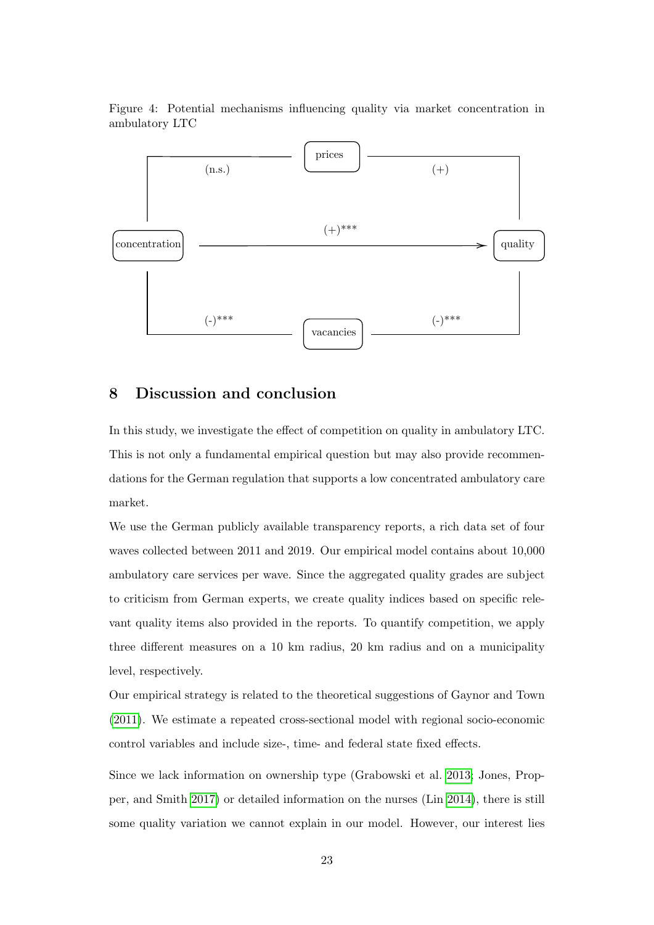Figure 4: Potential mechanisms influencing quality via market concentration in ambulatory LTC



## 8 Discussion and conclusion

In this study, we investigate the effect of competition on quality in ambulatory LTC. This is not only a fundamental empirical question but may also provide recommendations for the German regulation that supports a low concentrated ambulatory care market.

We use the German publicly available transparency reports, a rich data set of four waves collected between 2011 and 2019. Our empirical model contains about 10,000 ambulatory care services per wave. Since the aggregated quality grades are subject to criticism from German experts, we create quality indices based on specific relevant quality items also provided in the reports. To quantify competition, we apply three different measures on a 10 km radius, 20 km radius and on a municipality level, respectively.

Our empirical strategy is related to the theoretical suggestions of Gaynor and Town [\(2011\)](#page-27-0). We estimate a repeated cross-sectional model with regional socio-economic control variables and include size-, time- and federal state fixed effects.

Since we lack information on ownership type (Grabowski et al. [2013;](#page-27-7) Jones, Propper, and Smith [2017\)](#page-28-7) or detailed information on the nurses (Lin [2014\)](#page-29-6), there is still some quality variation we cannot explain in our model. However, our interest lies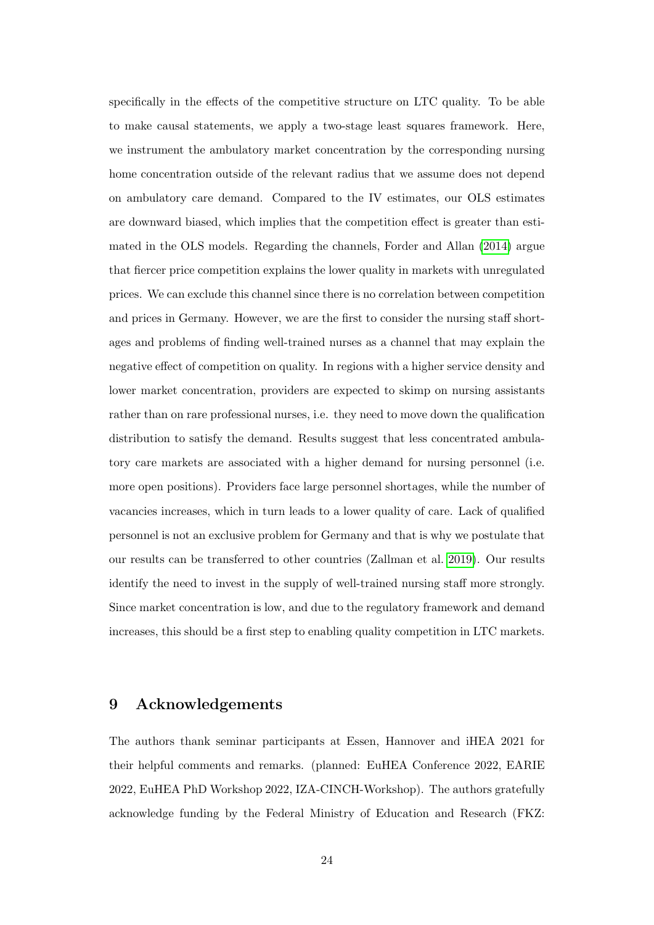specifically in the effects of the competitive structure on LTC quality. To be able to make causal statements, we apply a two-stage least squares framework. Here, we instrument the ambulatory market concentration by the corresponding nursing home concentration outside of the relevant radius that we assume does not depend on ambulatory care demand. Compared to the IV estimates, our OLS estimates are downward biased, which implies that the competition effect is greater than estimated in the OLS models. Regarding the channels, Forder and Allan [\(2014\)](#page-26-2) argue that fiercer price competition explains the lower quality in markets with unregulated prices. We can exclude this channel since there is no correlation between competition and prices in Germany. However, we are the first to consider the nursing staff shortages and problems of finding well-trained nurses as a channel that may explain the negative effect of competition on quality. In regions with a higher service density and lower market concentration, providers are expected to skimp on nursing assistants rather than on rare professional nurses, i.e. they need to move down the qualification distribution to satisfy the demand. Results suggest that less concentrated ambulatory care markets are associated with a higher demand for nursing personnel (i.e. more open positions). Providers face large personnel shortages, while the number of vacancies increases, which in turn leads to a lower quality of care. Lack of qualified personnel is not an exclusive problem for Germany and that is why we postulate that our results can be transferred to other countries (Zallman et al. [2019\)](#page-31-6). Our results identify the need to invest in the supply of well-trained nursing staff more strongly. Since market concentration is low, and due to the regulatory framework and demand increases, this should be a first step to enabling quality competition in LTC markets.

# 9 Acknowledgements

The authors thank seminar participants at Essen, Hannover and iHEA 2021 for their helpful comments and remarks. (planned: EuHEA Conference 2022, EARIE 2022, EuHEA PhD Workshop 2022, IZA-CINCH-Workshop). The authors gratefully acknowledge funding by the Federal Ministry of Education and Research (FKZ: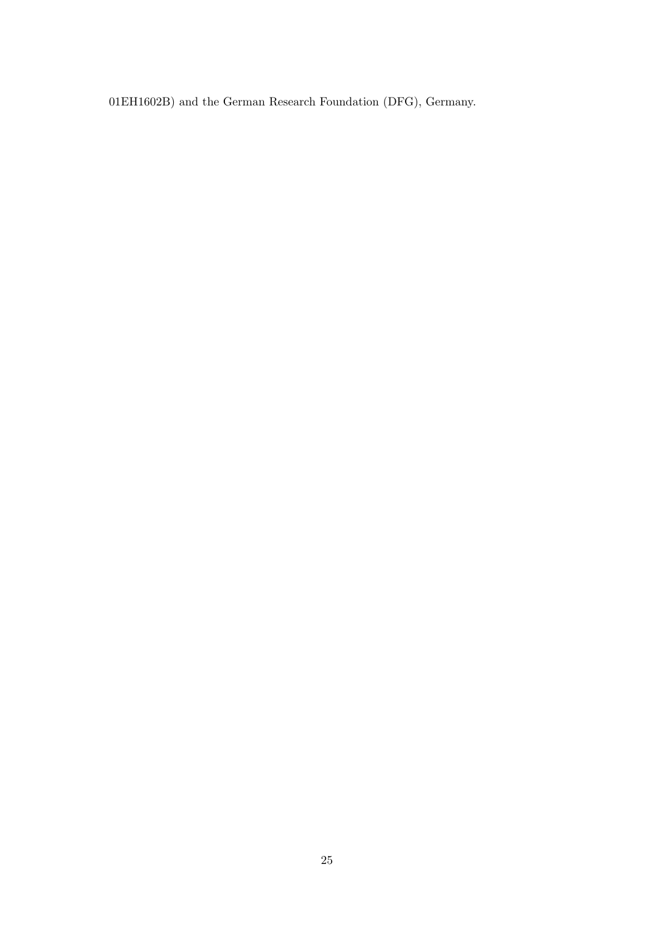01EH1602B) and the German Research Foundation (DFG), Germany.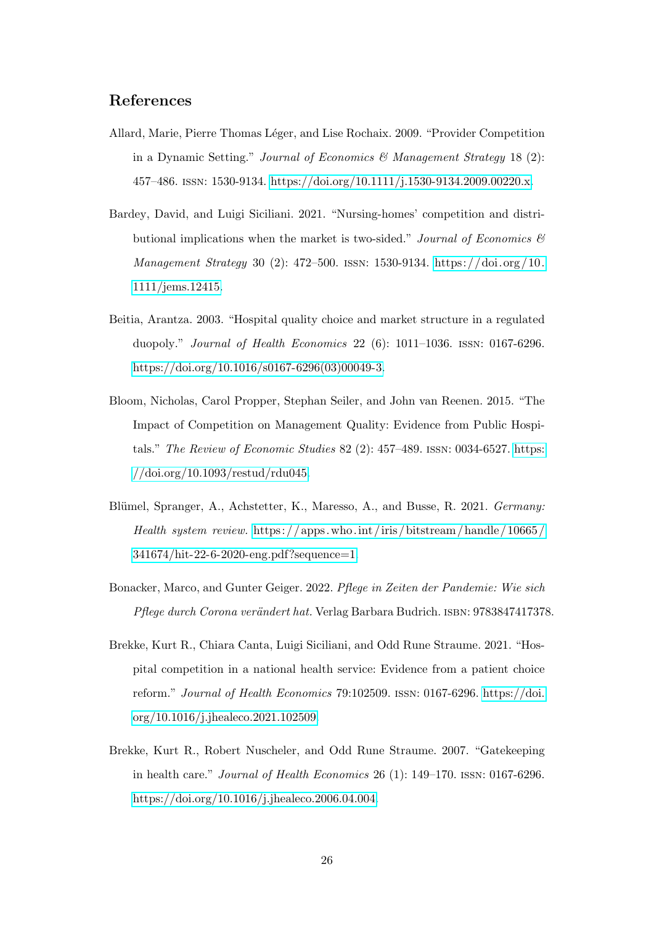## References

- <span id="page-25-4"></span>Allard, Marie, Pierre Thomas Léger, and Lise Rochaix. 2009. "Provider Competition in a Dynamic Setting." Journal of Economics & Management Strategy 18 (2): 457–486. issn: 1530-9134. [https://doi.org/10.1111/j.1530-9134.2009.00220.x.](https://doi.org/10.1111/j.1530-9134.2009.00220.x)
- <span id="page-25-1"></span>Bardey, David, and Luigi Siciliani. 2021. "Nursing-homes' competition and distributional implications when the market is two-sided." Journal of Economics  $\mathcal{C}$ Management Strategy 30 (2): 472–500. issn: 1530-9134. [https://doi.org /10.](https://doi.org/10.1111/jems.12415) [1111/jems.12415.](https://doi.org/10.1111/jems.12415)
- <span id="page-25-3"></span>Beitia, Arantza. 2003. "Hospital quality choice and market structure in a regulated duopoly." Journal of Health Economics 22 (6): 1011–1036. issn: 0167-6296. [https://doi.org/10.1016/s0167-6296\(03\)00049-3.](https://doi.org/10.1016/s0167-6296(03)00049-3)
- <span id="page-25-6"></span>Bloom, Nicholas, Carol Propper, Stephan Seiler, and John van Reenen. 2015. "The Impact of Competition on Management Quality: Evidence from Public Hospitals." The Review of Economic Studies 82 (2): 457–489. issn: 0034-6527. [https:](https://doi.org/10.1093/restud/rdu045) [//doi.org/10.1093/restud/rdu045.](https://doi.org/10.1093/restud/rdu045)
- <span id="page-25-0"></span>Blümel, Spranger, A., Achstetter, K., Maresso, A., and Busse, R. 2021. Germany: Health system review. https://apps.who.int/iris/bitstream/handle/10665/ [341674/hit-22-6-2020-eng.pdf?sequence=1.](https://apps.who.int/iris/bitstream/handle/10665/341674/hit-22-6-2020-eng.pdf?sequence=1)
- <span id="page-25-7"></span>Bonacker, Marco, and Gunter Geiger. 2022. Pflege in Zeiten der Pandemie: Wie sich Pflege durch Corona verändert hat. Verlag Barbara Budrich. ISBN: 9783847417378.
- <span id="page-25-5"></span>Brekke, Kurt R., Chiara Canta, Luigi Siciliani, and Odd Rune Straume. 2021. "Hospital competition in a national health service: Evidence from a patient choice reform." Journal of Health Economics 79:102509. issn: 0167-6296. [https://doi.](https://doi.org/10.1016/j.jhealeco.2021.102509) [org/10.1016/j.jhealeco.2021.102509.](https://doi.org/10.1016/j.jhealeco.2021.102509)
- <span id="page-25-2"></span>Brekke, Kurt R., Robert Nuscheler, and Odd Rune Straume. 2007. "Gatekeeping in health care." Journal of Health Economics 26 (1): 149–170. issn: 0167-6296. [https://doi.org/10.1016/j.jhealeco.2006.04.004.](https://doi.org/10.1016/j.jhealeco.2006.04.004)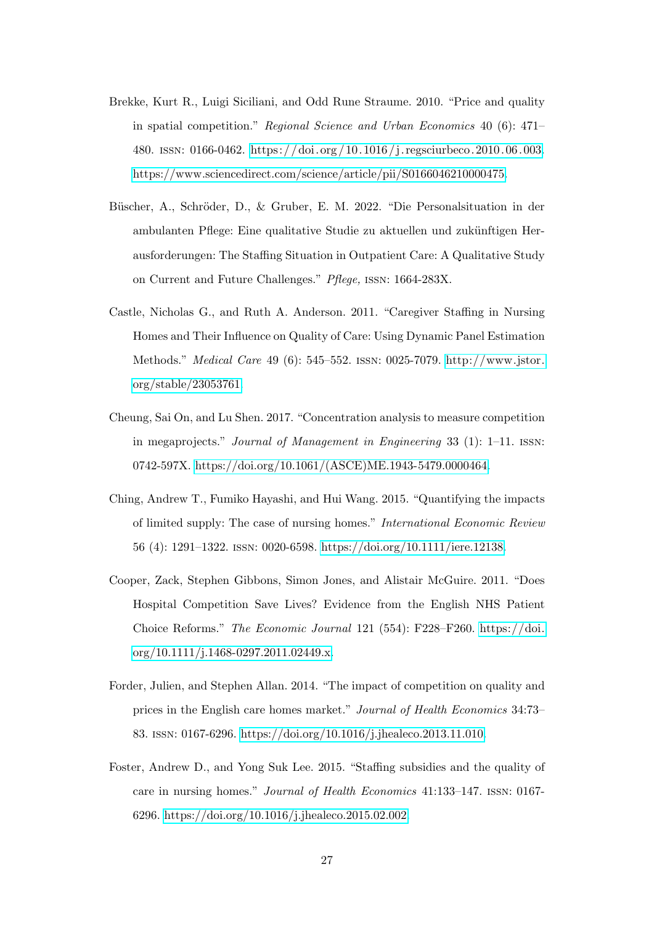- <span id="page-26-0"></span>Brekke, Kurt R., Luigi Siciliani, and Odd Rune Straume. 2010. "Price and quality in spatial competition." Regional Science and Urban Economics 40 (6): 471– 480. issn: 0166-0462. [https: / /doi. org / 10. 1016 / j. regsciurbeco. 2010. 06. 003.](https://doi.org/10.1016/j.regsciurbeco.2010.06.003) [https://www.sciencedirect.com/science/article/pii/S0166046210000475.](https://www.sciencedirect.com/science/article/pii/S0166046210000475)
- <span id="page-26-6"></span>Büscher, A., Schröder, D., & Gruber, E. M. 2022. "Die Personalsituation in der ambulanten Pflege: Eine qualitative Studie zu aktuellen und zukünftigen Herausforderungen: The Staffing Situation in Outpatient Care: A Qualitative Study on Current and Future Challenges." Pflege, issn: 1664-283X.
- <span id="page-26-7"></span>Castle, Nicholas G., and Ruth A. Anderson. 2011. "Caregiver Staffing in Nursing Homes and Their Influence on Quality of Care: Using Dynamic Panel Estimation Methods." Medical Care 49 (6): 545–552. issn: 0025-7079. [http://www.jstor.](http://www.jstor.org/stable/23053761) [org/stable/23053761.](http://www.jstor.org/stable/23053761)
- <span id="page-26-3"></span>Cheung, Sai On, and Lu Shen. 2017. "Concentration analysis to measure competition in megaprojects." Journal of Management in Engineering 33 (1): 1–11. issn: 0742-597X. [https://doi.org/10.1061/\(ASCE\)ME.1943-5479.0000464.](https://doi.org/10.1061/(ASCE)ME.1943-5479.0000464)
- <span id="page-26-4"></span>Ching, Andrew T., Fumiko Hayashi, and Hui Wang. 2015. "Quantifying the impacts of limited supply: The case of nursing homes." International Economic Review 56 (4): 1291–1322. issn: 0020-6598. [https://doi.org/10.1111/iere.12138.](https://doi.org/10.1111/iere.12138)
- <span id="page-26-1"></span>Cooper, Zack, Stephen Gibbons, Simon Jones, and Alistair McGuire. 2011. "Does Hospital Competition Save Lives? Evidence from the English NHS Patient Choice Reforms." The Economic Journal 121 (554): F228–F260. [https://doi.](https://doi.org/10.1111/j.1468-0297.2011.02449.x) [org/10.1111/j.1468-0297.2011.02449.x.](https://doi.org/10.1111/j.1468-0297.2011.02449.x)
- <span id="page-26-2"></span>Forder, Julien, and Stephen Allan. 2014. "The impact of competition on quality and prices in the English care homes market." Journal of Health Economics 34:73– 83. issn: 0167-6296. [https://doi.org/10.1016/j.jhealeco.2013.11.010.](https://doi.org/10.1016/j.jhealeco.2013.11.010)
- <span id="page-26-5"></span>Foster, Andrew D., and Yong Suk Lee. 2015. "Staffing subsidies and the quality of care in nursing homes." Journal of Health Economics 41:133–147. issn: 0167- 6296. [https://doi.org/10.1016/j.jhealeco.2015.02.002.](https://doi.org/10.1016/j.jhealeco.2015.02.002)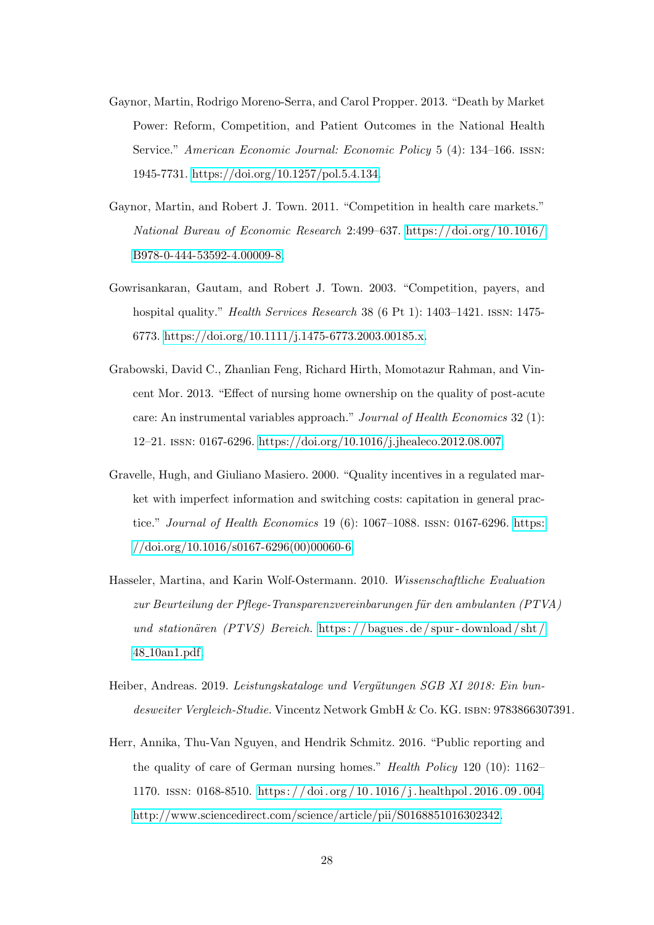- <span id="page-27-3"></span>Gaynor, Martin, Rodrigo Moreno-Serra, and Carol Propper. 2013. "Death by Market Power: Reform, Competition, and Patient Outcomes in the National Health Service." American Economic Journal: Economic Policy 5 (4): 134–166. issn: 1945-7731. [https://doi.org/10.1257/pol.5.4.134.](https://doi.org/10.1257/pol.5.4.134)
- <span id="page-27-0"></span>Gaynor, Martin, and Robert J. Town. 2011. "Competition in health care markets." National Bureau of Economic Research 2:499–637. [https://doi.org/10.1016/](https://doi.org/10.1016/B978-0-444-53592-4.00009-8) [B978-0-444-53592-4.00009-8.](https://doi.org/10.1016/B978-0-444-53592-4.00009-8)
- <span id="page-27-2"></span>Gowrisankaran, Gautam, and Robert J. Town. 2003. "Competition, payers, and hospital quality." *Health Services Research* 38 (6 Pt 1): 1403–1421. ISSN: 1475-6773. [https://doi.org/10.1111/j.1475-6773.2003.00185.x.](https://doi.org/10.1111/j.1475-6773.2003.00185.x)
- <span id="page-27-7"></span>Grabowski, David C., Zhanlian Feng, Richard Hirth, Momotazur Rahman, and Vincent Mor. 2013. "Effect of nursing home ownership on the quality of post-acute care: An instrumental variables approach." Journal of Health Economics 32 (1): 12–21. issn: 0167-6296. [https://doi.org/10.1016/j.jhealeco.2012.08.007.](https://doi.org/10.1016/j.jhealeco.2012.08.007)
- <span id="page-27-1"></span>Gravelle, Hugh, and Giuliano Masiero. 2000. "Quality incentives in a regulated market with imperfect information and switching costs: capitation in general practice." *Journal of Health Economics* 19 (6):  $1067-1088$ . ISSN: 0167-6296. [https:](https://doi.org/10.1016/s0167-6296(00)00060-6)  $// doi.org/10.1016/s0167-6296(00)00060-6.$
- <span id="page-27-5"></span>Hasseler, Martina, and Karin Wolf-Ostermann. 2010. Wissenschaftliche Evaluation zur Beurteilung der Pflege-Transparenzvereinbarungen für den ambulanten  $(PTVA)$ und stationären  $(PTVS)$  Bereich. https://bagues.de/spur-download/sht/ 48 [10an1.pdf.](https://bagues.de/spur-download/sht/48_10an1.pdf)
- <span id="page-27-4"></span>Heiber, Andreas. 2019. Leistungskataloge und Vergütungen SGB XI 2018: Ein bundesweiter Vergleich-Studie. Vincentz Network GmbH & Co. KG. ISBN: 9783866307391.
- <span id="page-27-6"></span>Herr, Annika, Thu-Van Nguyen, and Hendrik Schmitz. 2016. "Public reporting and the quality of care of German nursing homes." Health Policy 120 (10): 1162– 1170. issn: 0168-8510. [https : / / doi . org / 10 . 1016 / j . healthpol . 2016 . 09 . 004.](https://doi.org/10.1016/j.healthpol.2016.09.004) [http://www.sciencedirect.com/science/article/pii/S0168851016302342.](http://www.sciencedirect.com/science/article/pii/S0168851016302342)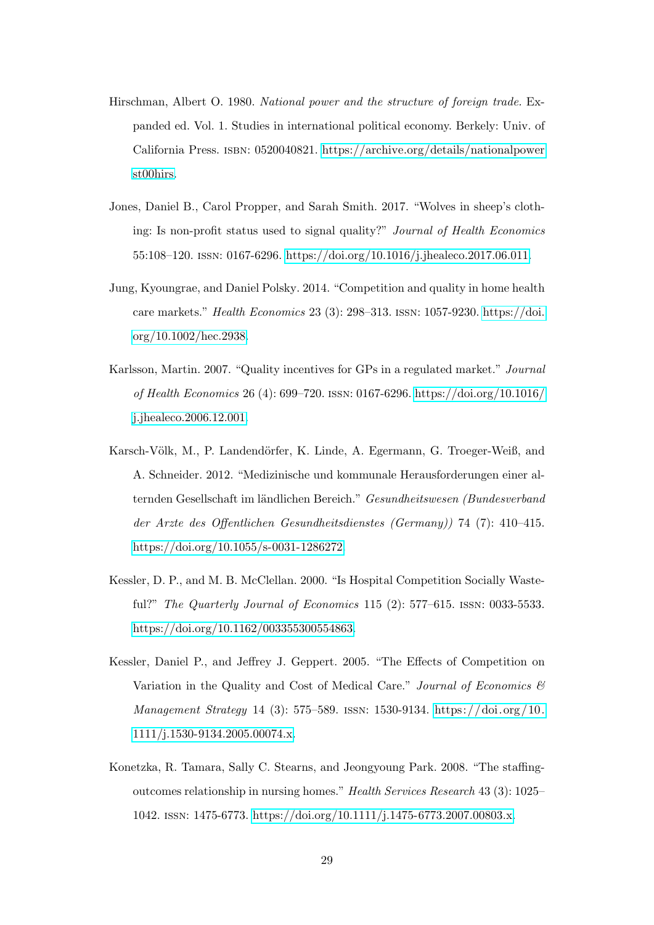- <span id="page-28-5"></span>Hirschman, Albert O. 1980. National power and the structure of foreign trade. Expanded ed. Vol. 1. Studies in international political economy. Berkely: Univ. of California Press. isbn: 0520040821. [https://archive.org/details/nationalpower](https://archive.org/details/nationalpowerst00hirs) [st00hirs.](https://archive.org/details/nationalpowerst00hirs)
- <span id="page-28-7"></span>Jones, Daniel B., Carol Propper, and Sarah Smith. 2017. "Wolves in sheep's clothing: Is non-profit status used to signal quality?" Journal of Health Economics 55:108–120. issn: 0167-6296. [https://doi.org/10.1016/j.jhealeco.2017.06.011.](https://doi.org/10.1016/j.jhealeco.2017.06.011)
- <span id="page-28-3"></span>Jung, Kyoungrae, and Daniel Polsky. 2014. "Competition and quality in home health care markets." Health Economics 23 (3): 298–313. issn: 1057-9230. [https://doi.](https://doi.org/10.1002/hec.2938) [org/10.1002/hec.2938.](https://doi.org/10.1002/hec.2938)
- <span id="page-28-0"></span>Karlsson, Martin. 2007. "Quality incentives for GPs in a regulated market." Journal of Health Economics 26 (4): 699–720. issn: 0167-6296. [https://doi.org/10.1016/](https://doi.org/10.1016/j.jhealeco.2006.12.001) [j.jhealeco.2006.12.001.](https://doi.org/10.1016/j.jhealeco.2006.12.001)
- <span id="page-28-4"></span>Karsch-Völk, M., P. Landendörfer, K. Linde, A. Egermann, G. Troeger-Weiß, and A. Schneider. 2012. "Medizinische und kommunale Herausforderungen einer alternden Gesellschaft im ländlichen Bereich." Gesundheitswesen (Bundesverband der Arzte des Offentlichen Gesundheitsdienstes (Germany)) 74 (7): 410–415. [https://doi.org/10.1055/s-0031-1286272.](https://doi.org/10.1055/s-0031-1286272)
- <span id="page-28-1"></span>Kessler, D. P., and M. B. McClellan. 2000. "Is Hospital Competition Socially Wasteful?" The Quarterly Journal of Economics 115 (2): 577–615. issn: 0033-5533. [https://doi.org/10.1162/003355300554863.](https://doi.org/10.1162/003355300554863)
- <span id="page-28-2"></span>Kessler, Daniel P., and Jeffrey J. Geppert. 2005. "The Effects of Competition on Variation in the Quality and Cost of Medical Care." Journal of Economics  $\mathcal{C}$ Management Strategy 14 (3): 575–589. issn: 1530-9134. [https://doi.org /10.](https://doi.org/10.1111/j.1530-9134.2005.00074.x) [1111/j.1530-9134.2005.00074.x.](https://doi.org/10.1111/j.1530-9134.2005.00074.x)
- <span id="page-28-6"></span>Konetzka, R. Tamara, Sally C. Stearns, and Jeongyoung Park. 2008. "The staffingoutcomes relationship in nursing homes." Health Services Research 43 (3): 1025– 1042. issn: 1475-6773. [https://doi.org/10.1111/j.1475-6773.2007.00803.x.](https://doi.org/10.1111/j.1475-6773.2007.00803.x)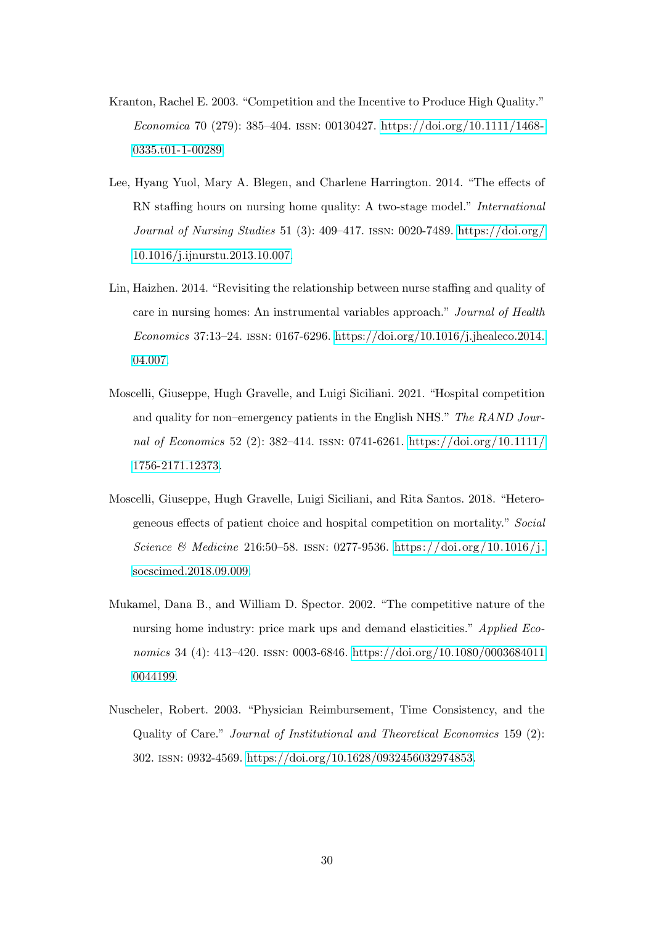- <span id="page-29-1"></span>Kranton, Rachel E. 2003. "Competition and the Incentive to Produce High Quality." Economica 70 (279): 385–404. issn: 00130427. [https://doi.org/10.1111/1468-](https://doi.org/10.1111/1468-0335.t01-1-00289) [0335.t01-1-00289.](https://doi.org/10.1111/1468-0335.t01-1-00289)
- <span id="page-29-5"></span>Lee, Hyang Yuol, Mary A. Blegen, and Charlene Harrington. 2014. "The effects of RN staffing hours on nursing home quality: A two-stage model." International Journal of Nursing Studies 51 (3): 409–417. issn: 0020-7489. [https://doi.org/](https://doi.org/10.1016/j.ijnurstu.2013.10.007) [10.1016/j.ijnurstu.2013.10.007.](https://doi.org/10.1016/j.ijnurstu.2013.10.007)
- <span id="page-29-6"></span>Lin, Haizhen. 2014. "Revisiting the relationship between nurse staffing and quality of care in nursing homes: An instrumental variables approach." Journal of Health Economics 37:13–24. issn: 0167-6296. [https://doi.org/10.1016/j.jhealeco.2014.](https://doi.org/10.1016/j.jhealeco.2014.04.007) [04.007.](https://doi.org/10.1016/j.jhealeco.2014.04.007)
- <span id="page-29-4"></span>Moscelli, Giuseppe, Hugh Gravelle, and Luigi Siciliani. 2021. "Hospital competition and quality for non–emergency patients in the English NHS." The RAND Journal of Economics 52 (2): 382–414. issn: 0741-6261. [https://doi.org/10.1111/](https://doi.org/10.1111/1756-2171.12373) [1756-2171.12373.](https://doi.org/10.1111/1756-2171.12373)
- <span id="page-29-3"></span>Moscelli, Giuseppe, Hugh Gravelle, Luigi Siciliani, and Rita Santos. 2018. "Heterogeneous effects of patient choice and hospital competition on mortality." Social Science & Medicine 216:50–58. ISSN: 0277-9536. https://doi.org/10.1016/j. [socscimed.2018.09.009.](https://doi.org/10.1016/j.socscimed.2018.09.009)
- <span id="page-29-2"></span>Mukamel, Dana B., and William D. Spector. 2002. "The competitive nature of the nursing home industry: price mark ups and demand elasticities." Applied Economics 34 (4): 413-420. ISSN: 0003-6846. [https://doi.org/10.1080/0003684011](https://doi.org/10.1080/00036840110044199) [0044199.](https://doi.org/10.1080/00036840110044199)
- <span id="page-29-0"></span>Nuscheler, Robert. 2003. "Physician Reimbursement, Time Consistency, and the Quality of Care." Journal of Institutional and Theoretical Economics 159 (2): 302. issn: 0932-4569. [https://doi.org/10.1628/0932456032974853.](https://doi.org/10.1628/0932456032974853)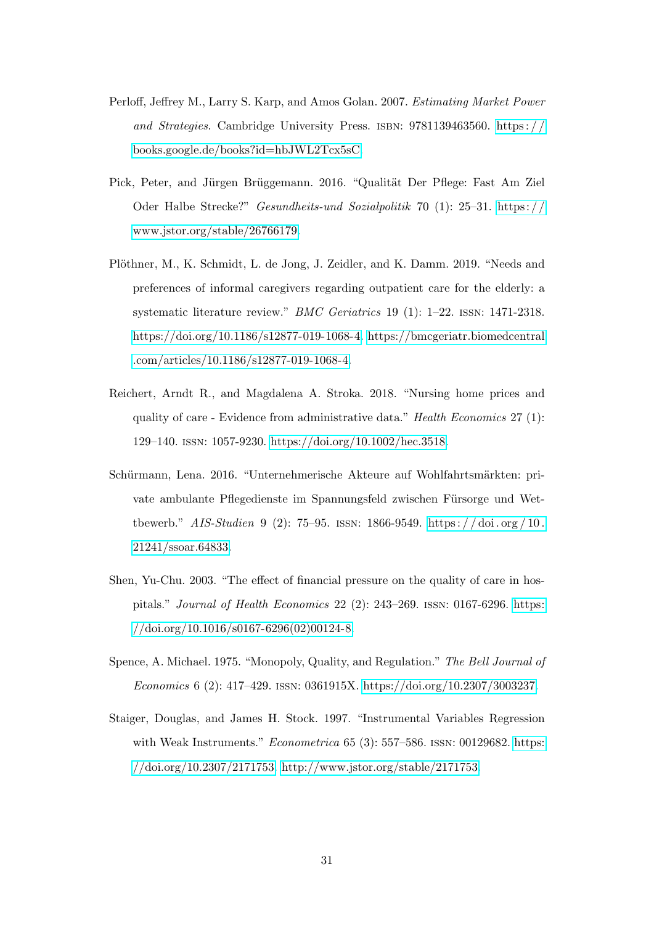- <span id="page-30-5"></span>Perloff, Jeffrey M., Larry S. Karp, and Amos Golan. 2007. Estimating Market Power and Strategies. Cambridge University Press. isbn: 9781139463560. [https : / /](https://books.google.de/books?id=hbJWL2Tcx5sC) [books.google.de/books?id=hbJWL2Tcx5sC.](https://books.google.de/books?id=hbJWL2Tcx5sC)
- <span id="page-30-1"></span>Pick, Peter, and Jürgen Brüggemann. 2016. "Qualität Der Pflege: Fast Am Ziel Oder Halbe Strecke?" Gesundheits-und Sozialpolitik 70 (1): 25–31. [https: / /](https://www.jstor.org/stable/26766179) [www.jstor.org/stable/26766179.](https://www.jstor.org/stable/26766179)
- <span id="page-30-4"></span>Plöthner, M., K. Schmidt, L. de Jong, J. Zeidler, and K. Damm. 2019. "Needs and preferences of informal caregivers regarding outpatient care for the elderly: a systematic literature review." BMC Geriatrics 19 (1): 1-22. ISSN: 1471-2318. [https://doi.org/10.1186/s12877-019-1068-4.](https://doi.org/10.1186/s12877-019-1068-4) [https://bmcgeriatr.biomedcentral](https://bmcgeriatr.biomedcentral.com/articles/10.1186/s12877-019-1068-4) [.com/articles/10.1186/s12877-019-1068-4.](https://bmcgeriatr.biomedcentral.com/articles/10.1186/s12877-019-1068-4)
- <span id="page-30-7"></span>Reichert, Arndt R., and Magdalena A. Stroka. 2018. "Nursing home prices and quality of care - Evidence from administrative data." Health Economics 27 (1): 129–140. issn: 1057-9230. [https://doi.org/10.1002/hec.3518.](https://doi.org/10.1002/hec.3518)
- <span id="page-30-0"></span>Schürmann, Lena. 2016. "Unternehmerische Akteure auf Wohlfahrtsmärkten: private ambulante Pflegedienste im Spannungsfeld zwischen Fürsorge und Wettbewerb." AIS-Studien 9 (2): 75–95. ISSN: 1866-9549. https://doi.org/10. [21241/ssoar.64833.](https://doi.org/10.21241/ssoar.64833)
- <span id="page-30-3"></span>Shen, Yu-Chu. 2003. "The effect of financial pressure on the quality of care in hospitals." Journal of Health Economics 22 (2): 243–269. issn: 0167-6296. [https:](https://doi.org/10.1016/s0167-6296(02)00124-8)  $// doi.org/10.1016/s0167-6296(02)00124-8.$
- <span id="page-30-2"></span>Spence, A. Michael. 1975. "Monopoly, Quality, and Regulation." The Bell Journal of Economics 6 (2): 417–429. issn: 0361915X. [https://doi.org/10.2307/3003237.](https://doi.org/10.2307/3003237)
- <span id="page-30-6"></span>Staiger, Douglas, and James H. Stock. 1997. "Instrumental Variables Regression with Weak Instruments." *Econometrica*  $65$  (3):  $557-586$ . ISSN: 00129682. [https:](https://doi.org/10.2307/2171753) [//doi.org/10.2307/2171753.](https://doi.org/10.2307/2171753) [http://www.jstor.org/stable/2171753.](http://www.jstor.org/stable/2171753)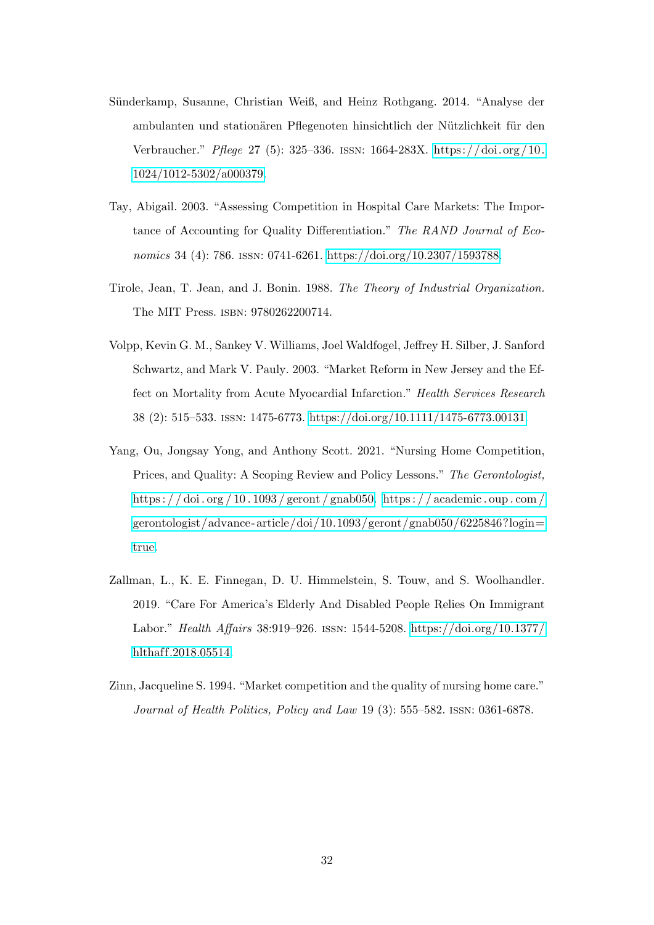- <span id="page-31-3"></span>Sünderkamp, Susanne, Christian Weiß, and Heinz Rothgang. 2014. "Analyse der ambulanten und stationären Pflegenoten hinsichtlich der Nützlichkeit für den Verbraucher." Pflege 27 (5): 325–336. issn: 1664-283X. [https: / /doi. org / 10.](https://doi.org/10.1024/1012-5302/a000379) [1024/1012-5302/a000379.](https://doi.org/10.1024/1012-5302/a000379)
- <span id="page-31-0"></span>Tay, Abigail. 2003. "Assessing Competition in Hospital Care Markets: The Importance of Accounting for Quality Differentiation." The RAND Journal of Economics 34 (4): 786. ISSN: 0741-6261. [https://doi.org/10.2307/1593788.](https://doi.org/10.2307/1593788)
- <span id="page-31-4"></span>Tirole, Jean, T. Jean, and J. Bonin. 1988. The Theory of Industrial Organization. The MIT Press. isbn: 9780262200714.
- <span id="page-31-1"></span>Volpp, Kevin G. M., Sankey V. Williams, Joel Waldfogel, Jeffrey H. Silber, J. Sanford Schwartz, and Mark V. Pauly. 2003. "Market Reform in New Jersey and the Effect on Mortality from Acute Myocardial Infarction." Health Services Research 38 (2): 515–533. issn: 1475-6773. [https://doi.org/10.1111/1475-6773.00131.](https://doi.org/10.1111/1475-6773.00131)
- <span id="page-31-5"></span>Yang, Ou, Jongsay Yong, and Anthony Scott. 2021. "Nursing Home Competition, Prices, and Quality: A Scoping Review and Policy Lessons." The Gerontologist, [https : / / doi . org / 10 . 1093 / geront / gnab050.](https://doi.org/10.1093/geront/gnab050) [https : / / academic . oup . com /](https://academic.oup.com/gerontologist/advance-article/doi/10.1093/geront/gnab050/6225846?login=true) gerontologist/advance-article/doi/10.1093/geront/gnab050/6225846?login= [true.](https://academic.oup.com/gerontologist/advance-article/doi/10.1093/geront/gnab050/6225846?login=true)
- <span id="page-31-6"></span>Zallman, L., K. E. Finnegan, D. U. Himmelstein, S. Touw, and S. Woolhandler. 2019. "Care For America's Elderly And Disabled People Relies On Immigrant Labor." Health Affairs 38:919–926. issn: 1544-5208. [https://doi.org/10.1377/](https://doi.org/10.1377/hlthaff.2018.05514) hlthaff.2018.05514.
- <span id="page-31-2"></span>Zinn, Jacqueline S. 1994. "Market competition and the quality of nursing home care." Journal of Health Politics, Policy and Law 19 (3): 555–582. issn: 0361-6878.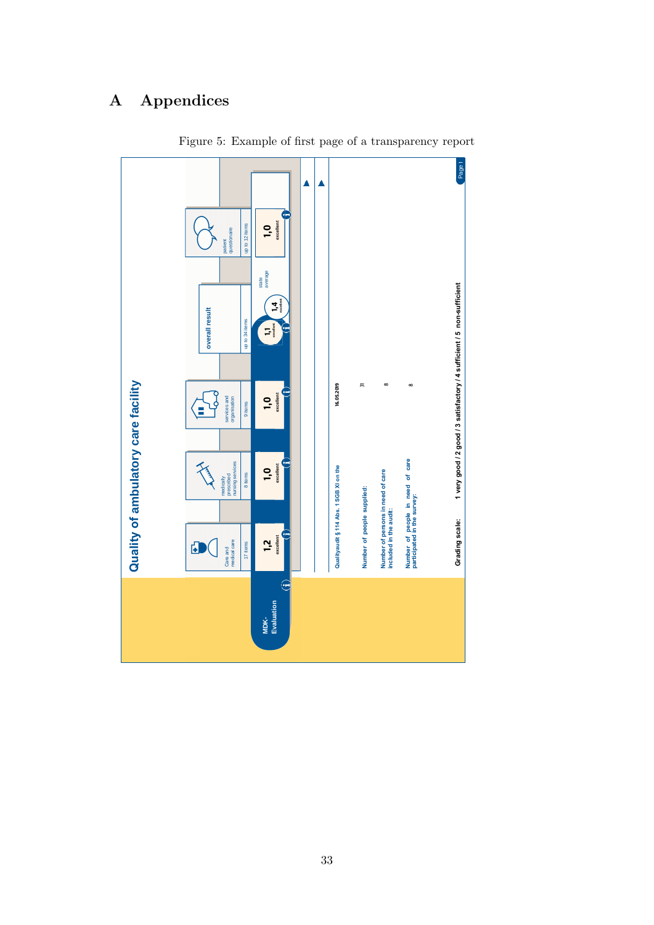# <span id="page-32-0"></span>A Appendices



Figure 5: Example of first page of a transparency report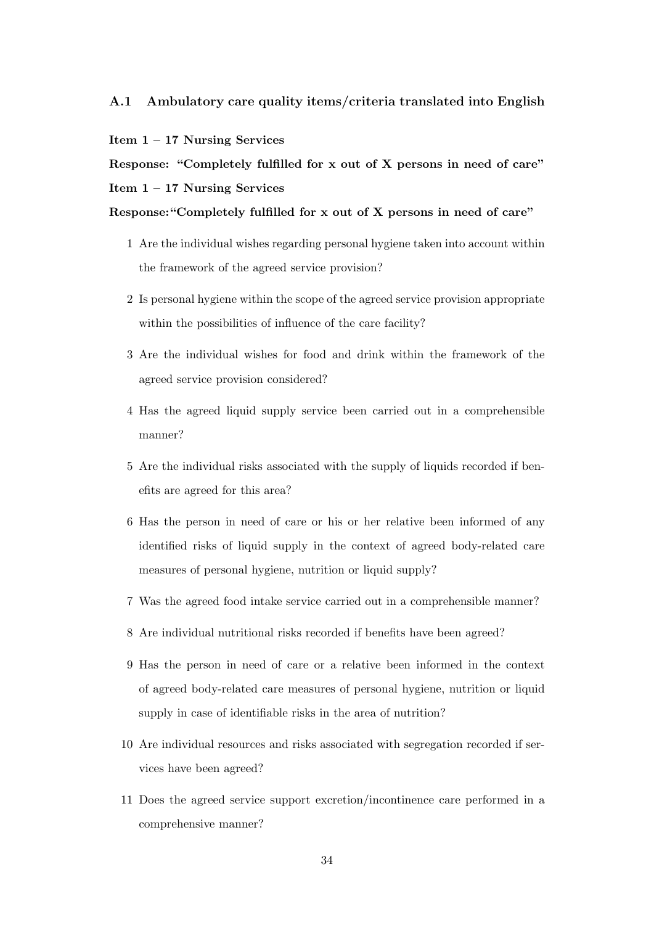## A.1 Ambulatory care quality items/criteria translated into English

#### Item 1 – 17 Nursing Services

Response: "Completely fulfilled for x out of X persons in need of care" Item  $1 - 17$  Nursing Services

Response:"Completely fulfilled for x out of X persons in need of care"

- 1 Are the individual wishes regarding personal hygiene taken into account within the framework of the agreed service provision?
- 2 Is personal hygiene within the scope of the agreed service provision appropriate within the possibilities of influence of the care facility?
- 3 Are the individual wishes for food and drink within the framework of the agreed service provision considered?
- 4 Has the agreed liquid supply service been carried out in a comprehensible manner?
- 5 Are the individual risks associated with the supply of liquids recorded if benefits are agreed for this area?
- 6 Has the person in need of care or his or her relative been informed of any identified risks of liquid supply in the context of agreed body-related care measures of personal hygiene, nutrition or liquid supply?
- 7 Was the agreed food intake service carried out in a comprehensible manner?
- 8 Are individual nutritional risks recorded if benefits have been agreed?
- 9 Has the person in need of care or a relative been informed in the context of agreed body-related care measures of personal hygiene, nutrition or liquid supply in case of identifiable risks in the area of nutrition?
- 10 Are individual resources and risks associated with segregation recorded if services have been agreed?
- 11 Does the agreed service support excretion/incontinence care performed in a comprehensive manner?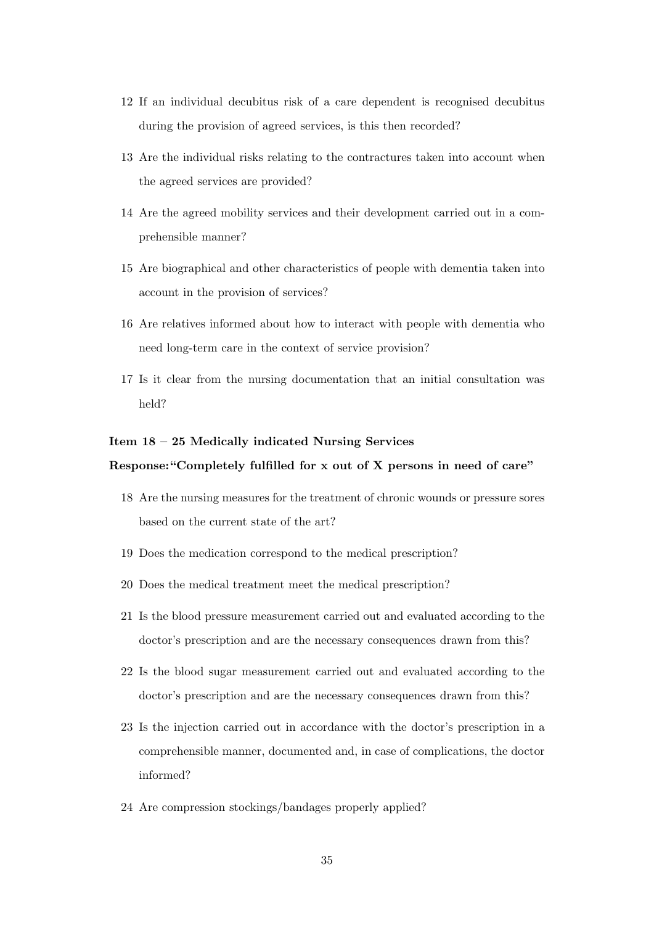- 12 If an individual decubitus risk of a care dependent is recognised decubitus during the provision of agreed services, is this then recorded?
- 13 Are the individual risks relating to the contractures taken into account when the agreed services are provided?
- 14 Are the agreed mobility services and their development carried out in a comprehensible manner?
- 15 Are biographical and other characteristics of people with dementia taken into account in the provision of services?
- 16 Are relatives informed about how to interact with people with dementia who need long-term care in the context of service provision?
- 17 Is it clear from the nursing documentation that an initial consultation was held?

## Item 18 – 25 Medically indicated Nursing Services

#### Response:"Completely fulfilled for x out of X persons in need of care"

- 18 Are the nursing measures for the treatment of chronic wounds or pressure sores based on the current state of the art?
- 19 Does the medication correspond to the medical prescription?
- 20 Does the medical treatment meet the medical prescription?
- 21 Is the blood pressure measurement carried out and evaluated according to the doctor's prescription and are the necessary consequences drawn from this?
- 22 Is the blood sugar measurement carried out and evaluated according to the doctor's prescription and are the necessary consequences drawn from this?
- 23 Is the injection carried out in accordance with the doctor's prescription in a comprehensible manner, documented and, in case of complications, the doctor informed?
- 24 Are compression stockings/bandages properly applied?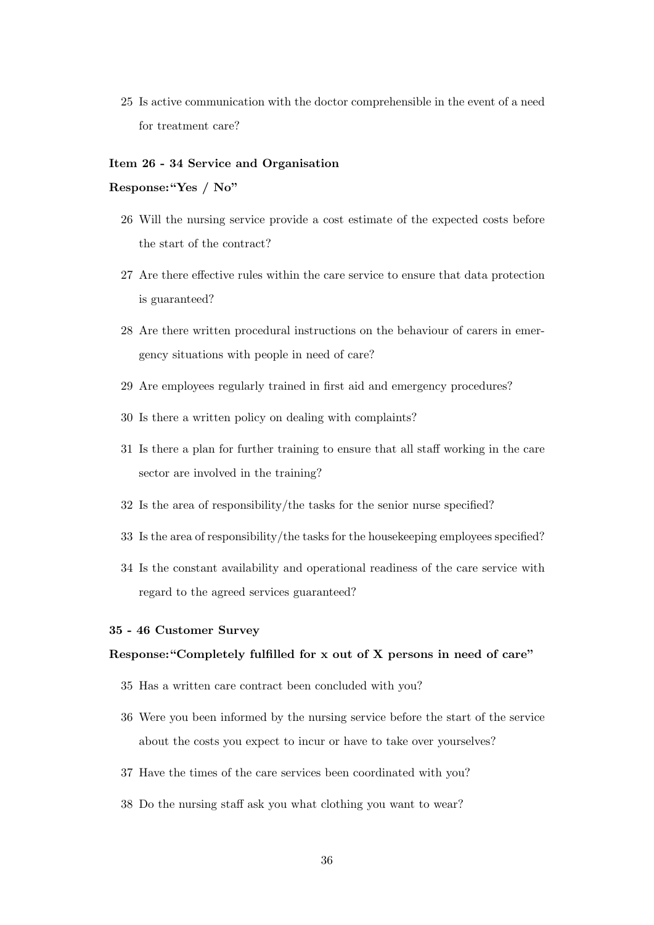25 Is active communication with the doctor comprehensible in the event of a need for treatment care?

#### Item 26 - 34 Service and Organisation

#### Response:"Yes / No"

- 26 Will the nursing service provide a cost estimate of the expected costs before the start of the contract?
- 27 Are there effective rules within the care service to ensure that data protection is guaranteed?
- 28 Are there written procedural instructions on the behaviour of carers in emergency situations with people in need of care?
- 29 Are employees regularly trained in first aid and emergency procedures?
- 30 Is there a written policy on dealing with complaints?
- 31 Is there a plan for further training to ensure that all staff working in the care sector are involved in the training?
- 32 Is the area of responsibility/the tasks for the senior nurse specified?
- 33 Is the area of responsibility/the tasks for the housekeeping employees specified?
- 34 Is the constant availability and operational readiness of the care service with regard to the agreed services guaranteed?

## 35 - 46 Customer Survey

#### Response:"Completely fulfilled for x out of X persons in need of care"

- 35 Has a written care contract been concluded with you?
- 36 Were you been informed by the nursing service before the start of the service about the costs you expect to incur or have to take over yourselves?
- 37 Have the times of the care services been coordinated with you?
- 38 Do the nursing staff ask you what clothing you want to wear?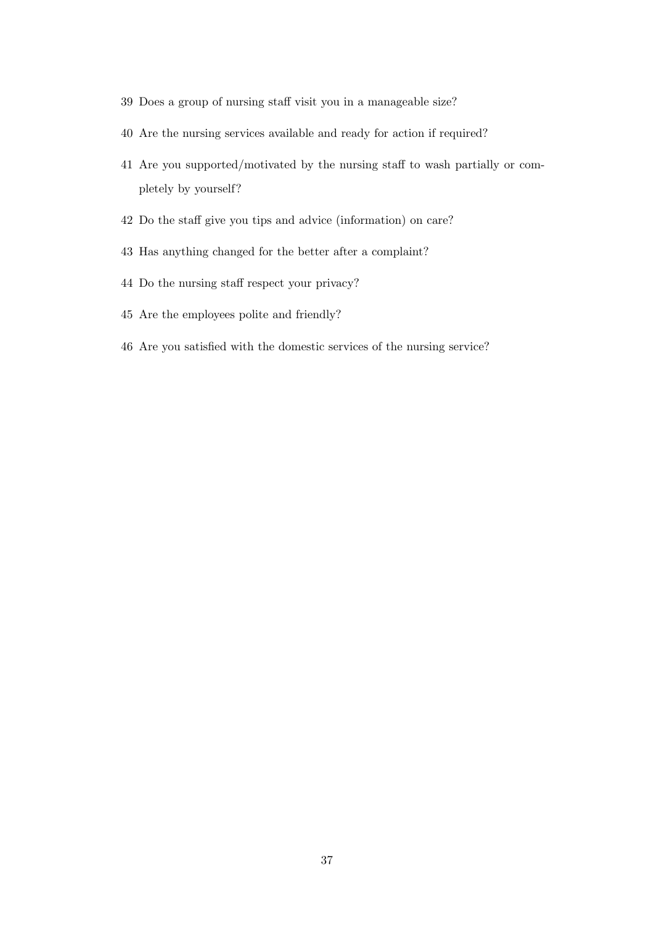- Does a group of nursing staff visit you in a manageable size?
- Are the nursing services available and ready for action if required?
- Are you supported/motivated by the nursing staff to wash partially or completely by yourself?
- Do the staff give you tips and advice (information) on care?
- Has anything changed for the better after a complaint?
- Do the nursing staff respect your privacy?
- Are the employees polite and friendly?
- Are you satisfied with the domestic services of the nursing service?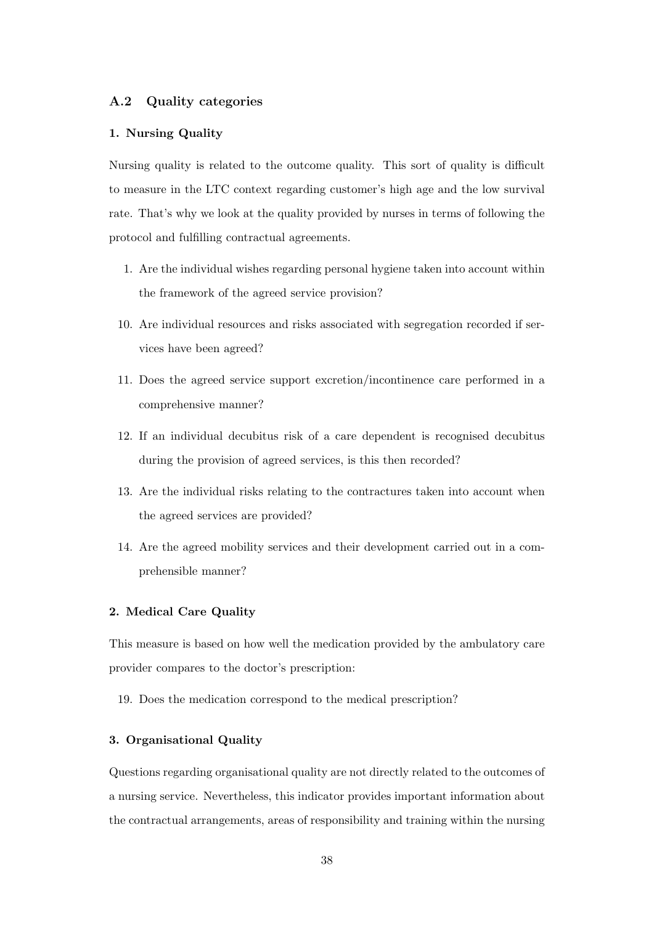## <span id="page-37-0"></span>A.2 Quality categories

#### 1. Nursing Quality

Nursing quality is related to the outcome quality. This sort of quality is difficult to measure in the LTC context regarding customer's high age and the low survival rate. That's why we look at the quality provided by nurses in terms of following the protocol and fulfilling contractual agreements.

- 1. Are the individual wishes regarding personal hygiene taken into account within the framework of the agreed service provision?
- 10. Are individual resources and risks associated with segregation recorded if services have been agreed?
- 11. Does the agreed service support excretion/incontinence care performed in a comprehensive manner?
- 12. If an individual decubitus risk of a care dependent is recognised decubitus during the provision of agreed services, is this then recorded?
- 13. Are the individual risks relating to the contractures taken into account when the agreed services are provided?
- 14. Are the agreed mobility services and their development carried out in a comprehensible manner?

#### 2. Medical Care Quality

This measure is based on how well the medication provided by the ambulatory care provider compares to the doctor's prescription:

19. Does the medication correspond to the medical prescription?

#### 3. Organisational Quality

Questions regarding organisational quality are not directly related to the outcomes of a nursing service. Nevertheless, this indicator provides important information about the contractual arrangements, areas of responsibility and training within the nursing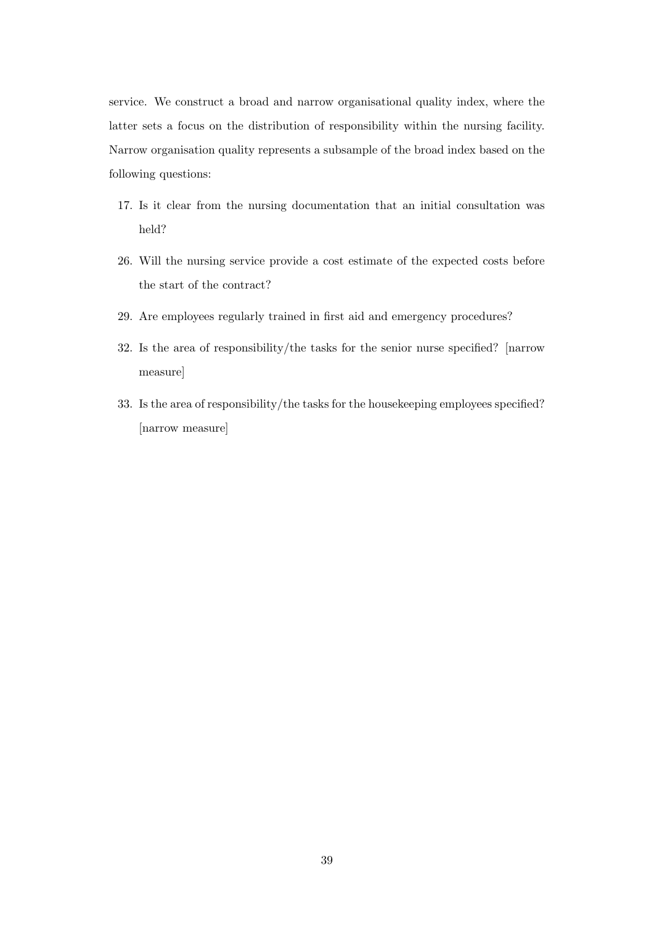service. We construct a broad and narrow organisational quality index, where the latter sets a focus on the distribution of responsibility within the nursing facility. Narrow organisation quality represents a subsample of the broad index based on the following questions:

- 17. Is it clear from the nursing documentation that an initial consultation was held?
- 26. Will the nursing service provide a cost estimate of the expected costs before the start of the contract?
- 29. Are employees regularly trained in first aid and emergency procedures?
- 32. Is the area of responsibility/the tasks for the senior nurse specified? [narrow measure]
- 33. Is the area of responsibility/the tasks for the housekeeping employees specified? [narrow measure]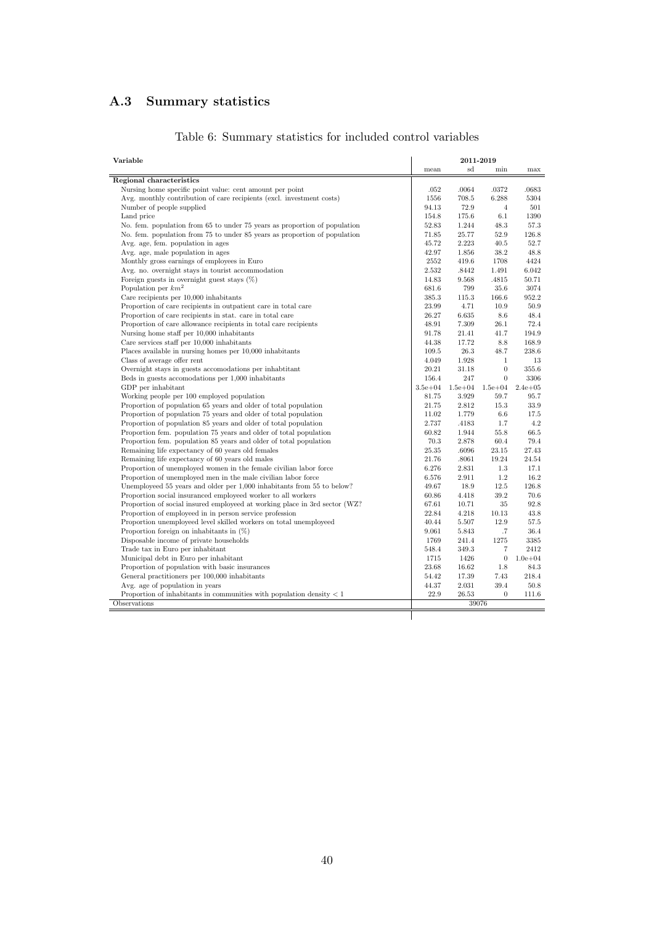# <span id="page-39-0"></span>A.3 Summary statistics

| Variable                                                                    |             | 2011-2019   |                  |              |
|-----------------------------------------------------------------------------|-------------|-------------|------------------|--------------|
|                                                                             | mean        | sd          | min              | max          |
| Regional characteristics                                                    |             |             |                  |              |
| Nursing home specific point value: cent amount per point                    | .052        | .0064       | .0372            | .0683        |
| Avg. monthly contribution of care recipients (excl. investment costs)       | 1556        | 708.5       | 6.288            | 5304         |
| Number of people supplied                                                   | 94.13       | 72.9        | 4                | 501          |
| Land price                                                                  | 154.8       | 175.6       | 6.1              | 1390         |
| No. fem. population from 65 to under 75 years as proportion of population   | 52.83       | 1.244       | 48.3             | 57.3         |
| No. fem. population from 75 to under 85 years as proportion of population   | 71.85       | 25.77       | 52.9             | 126.8        |
| Avg. age, fem. population in ages                                           | 45.72       | 2.223       | 40.5             | 52.7         |
| Avg. age, male population in ages                                           | 42.97       | 1.856       | 38.2             | 48.8         |
| Monthly gross earnings of employees in Euro                                 | 2552        | 419.6       | 1708             | 4424         |
| Avg. no. overnight stays in tourist accommodation                           | 2.532       | .8442       | 1.491            | 6.042        |
| Foreign guests in overnight guest stays $(\%)$                              | 14.83       | 9.568       | .4815            | 50.71        |
| Population per $km^2$                                                       | 681.6       | 799         | 35.6             | 3074         |
| Care recipients per 10,000 inhabitants                                      | 385.3       | 115.3       | 166.6            | 952.2        |
| Proportion of care recipients in outpatient care in total care              | 23.99       | 4.71        | 10.9             | 50.9         |
| Proportion of care recipients in stat. care in total care                   | 26.27       | 6.635       | 8.6              | 48.4         |
| Proportion of care allowance recipients in total care recipients            | 48.91       | 7.309       | 26.1             | 72.4         |
| Nursing home staff per 10,000 inhabitants                                   | 91.78       | 21.41       | 41.7             | 194.9        |
| Care services staff per $10,000$ inhabitants                                | 44.38       | 17.72       | $8.8\,$          | 168.9        |
| Places available in nursing homes per 10,000 inhabitants                    | 109.5       | 26.3        | 48.7             | 238.6        |
| Class of average offer rent                                                 | 4.049       | 1.928       | $\mathbf{1}$     | 13           |
| Overnight stays in guests accomodations per inhabitant                      | 20.21       | 31.18       | $\boldsymbol{0}$ | 355.6        |
| Beds in guests accomodations per 1,000 inhabitants                          | 156.4       | 247         | $\boldsymbol{0}$ | 3306         |
| GDP per inhabitant                                                          | $3.5e + 04$ | $1.5e + 04$ | $1.5e + 04$      | $2.4e + 0.5$ |
| Working people per 100 employed population                                  | 81.75       | 3.929       | 59.7             | 95.7         |
| Proportion of population 65 years and older of total population             | 21.75       | 2.812       | 15.3             | 33.9         |
| Proportion of population 75 years and older of total population             | 11.02       | 1.779       | 6.6              | 17.5         |
| Proportion of population 85 years and older of total population             | 2.737       | .4183       | 1.7              | 4.2          |
| Proportion fem. population 75 years and older of total population           | 60.82       | 1.944       | 55.8             | 66.5         |
| Proportion fem. population 85 years and older of total population           | 70.3        | 2.878       | 60.4             | 79.4         |
| Remaining life expectancy of 60 years old females                           | 25.35       | .6096       | 23.15            | 27.43        |
| Remaining life expectancy of 60 years old males                             | 21.76       | .8061       | 19.24            | 24.54        |
| Proportion of unemployed women in the female civilian labor force           | 6.276       | 2.831       | 1.3              | 17.1         |
| Proportion of unemployed men in the male civilian labor force               | 6.576       | 2.911       | 1.2              | 16.2         |
| Unemployeed 55 years and older per 1,000 inhabitants from 55 to below?      | 49.67       | 18.9        | 12.5             | 126.8        |
| Proportion social insuranced employeed worker to all workers                | 60.86       | 4.418       | 39.2             | 70.6         |
| Proportion of social insured employeed at working place in 3rd sector (WZ?) | 67.61       | 10.71       | 35               | 92.8         |
| Proportion of employeed in in person service profession                     | 22.84       | 4.218       | 10.13            | 43.8         |
| Proportion unemployeed level skilled workers on total unemployeed           | 40.44       | 5.507       | 12.9             | 57.5         |
| Proportion foreign on inhabitants in $(\%)$                                 | 9.061       | 5.843       | .7               | 36.4         |
| Disposable income of private households                                     | 1769        | 241.4       | 1275             | 3385         |
| Trade tax in Euro per inhabitant                                            | 548.4       | 349.3       | 7                | 2412         |
| Municipal debt in Euro per inhabitant                                       | 1715        | 1426        | $\boldsymbol{0}$ | $1.0e + 04$  |
| Proportion of population with basic insurances                              | 23.68       | 16.62       | 1.8              | 84.3         |
| General practitioners per 100,000 inhabitants                               | 54.42       | 17.39       | 7.43             | 218.4        |
| Avg. age of population in years                                             | 44.37       | 2.031       | 39.4             | 50.8         |
| Proportion of inhabitants in communities with population density $< 1$      | 22.9        | 26.53       | $\overline{0}$   | 111.6        |
| Observations                                                                |             | 39076       |                  |              |
|                                                                             |             |             |                  |              |
|                                                                             |             |             |                  |              |

# <span id="page-39-1"></span>Table 6: Summary statistics for included control variables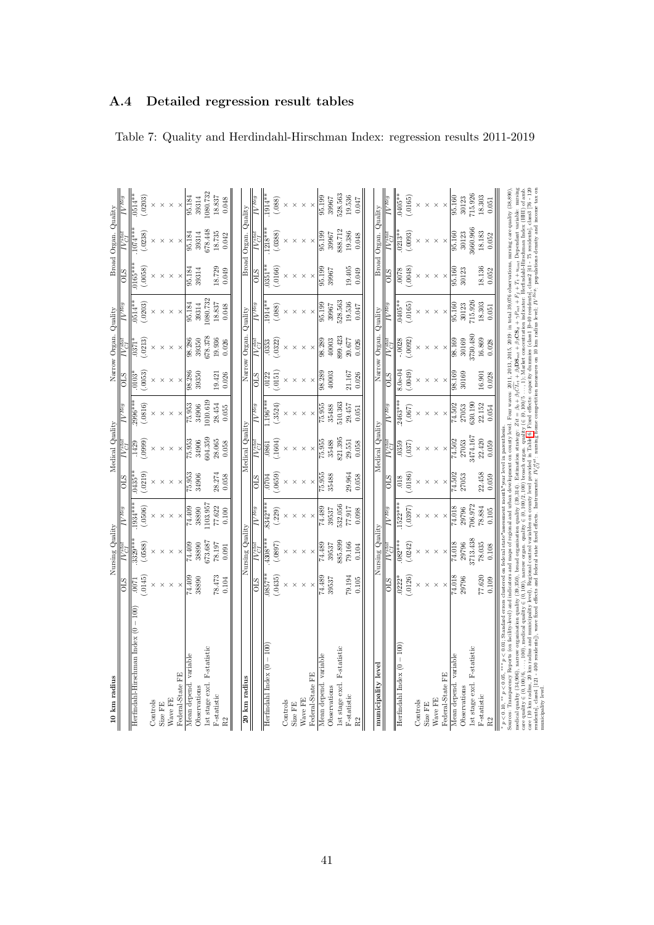| 10 km radius                                                                                                                                                                                                                                                                                                                                                                                                                                                                        |                  | Nursing Quality    |                       |                    | Medical Quality |                                |                     | Narrow Organ. Quality |                    |                 | Broad Organ. Quality |                     |
|-------------------------------------------------------------------------------------------------------------------------------------------------------------------------------------------------------------------------------------------------------------------------------------------------------------------------------------------------------------------------------------------------------------------------------------------------------------------------------------|------------------|--------------------|-----------------------|--------------------|-----------------|--------------------------------|---------------------|-----------------------|--------------------|-----------------|----------------------|---------------------|
|                                                                                                                                                                                                                                                                                                                                                                                                                                                                                     | <b>STO</b>       |                    | 7Req                  | STO                |                 | Keg                            | STO                 |                       |                    | <b>OLS</b>      |                      |                     |
| Herfindahl-Hirschman Index (0                                                                                                                                                                                                                                                                                                                                                                                                                                                       | $-1007$          | $329**$            | $1934***$             | $\frac{1}{0435}$ * | 1429            | $2996***$                      | $0103$ <sup>2</sup> | 037                   | $0514**$           | $0165**$        | $-44$                | $0514$ *            |
|                                                                                                                                                                                                                                                                                                                                                                                                                                                                                     | (145)            | .0588              | .0506                 | .0219)             | (6660.          | (.0816)                        | (.0053)             | .0213                 | .0203)             | (0.058)         | 0238)                | .0203               |
| Controls                                                                                                                                                                                                                                                                                                                                                                                                                                                                            |                  |                    |                       |                    |                 |                                |                     |                       |                    |                 |                      |                     |
| Size FE                                                                                                                                                                                                                                                                                                                                                                                                                                                                             |                  |                    |                       |                    |                 |                                |                     |                       |                    |                 |                      |                     |
| Wave FE                                                                                                                                                                                                                                                                                                                                                                                                                                                                             |                  |                    |                       |                    |                 |                                |                     |                       |                    |                 |                      |                     |
| Federal-State FE                                                                                                                                                                                                                                                                                                                                                                                                                                                                    |                  |                    |                       |                    |                 |                                |                     |                       |                    |                 |                      |                     |
| Mean depend. variable                                                                                                                                                                                                                                                                                                                                                                                                                                                               | /4.409           | 74.409             | 74.409                | 75.953             | 75.953          | 75.953                         | 98.286              | 98.286                | 95.184             | 95.184          | 95.18                | 95.184              |
| Observations                                                                                                                                                                                                                                                                                                                                                                                                                                                                        | 38890            | 38890              | 38890                 | 34906              | 34906           | 34906                          | 39350               | 39350                 | 39314              | 39314           | 39314                | 39314               |
| Ist stage excl. F-statistic                                                                                                                                                                                                                                                                                                                                                                                                                                                         |                  | 373.687            | 103.957               |                    | 604.359         | 1010.619                       |                     | 678.378               | 1080.732           |                 | 678.448              | 080.732             |
| <b>F-statistic</b>                                                                                                                                                                                                                                                                                                                                                                                                                                                                  | 78.473           | 78.197             | 77.622                | 28.274             | 28.065          | 28.454                         | 19.421              | 19.936                | 18.837             | 18.729          | 18.735               | 18.837              |
|                                                                                                                                                                                                                                                                                                                                                                                                                                                                                     | 0.104            | 0.091              | 0.100                 | 0.058              | 0.058           | 0.055                          | 0.026               | 0.026                 | 0.048              | 0.049           | 0.042                | 0.048               |
|                                                                                                                                                                                                                                                                                                                                                                                                                                                                                     |                  |                    |                       |                    |                 |                                |                     |                       |                    |                 |                      |                     |
| 20 km radius                                                                                                                                                                                                                                                                                                                                                                                                                                                                        |                  | Nursing Quality    |                       |                    | Medical Quality |                                |                     | Narrow Organ. Quality |                    |                 | Broad Organ. Quality |                     |
|                                                                                                                                                                                                                                                                                                                                                                                                                                                                                     | <b>STO</b>       |                    | $V$ Reg               | <b>STO</b>         |                 | [/Reg                          | <b>STO</b>          |                       |                    | <b>STO</b>      |                      |                     |
| $Herfundahl Index (0 - 100)$                                                                                                                                                                                                                                                                                                                                                                                                                                                        | $0857**$         | $1308***$          | $8342**$              | 0704               | 0861            | $.196***$                      | 0122                | 0353                  |                    | $\frac{1}{155}$ | $218*$               | $-161$              |
|                                                                                                                                                                                                                                                                                                                                                                                                                                                                                     | .0435)           | (7680)             | (229)                 | .0659)             | .1604)          | (.3524)                        | (.0151)             | .0322                 | .088               | (.0166)         | (0388)               | .088                |
| Controls                                                                                                                                                                                                                                                                                                                                                                                                                                                                            |                  |                    |                       |                    |                 |                                |                     |                       |                    |                 |                      |                     |
| Size FE                                                                                                                                                                                                                                                                                                                                                                                                                                                                             |                  |                    |                       |                    |                 |                                |                     |                       |                    |                 |                      |                     |
| Wave FE                                                                                                                                                                                                                                                                                                                                                                                                                                                                             |                  |                    |                       |                    |                 |                                |                     |                       |                    |                 |                      |                     |
| Federal-State FE                                                                                                                                                                                                                                                                                                                                                                                                                                                                    |                  |                    |                       |                    |                 |                                |                     |                       |                    |                 |                      |                     |
| Mean depend. variable                                                                                                                                                                                                                                                                                                                                                                                                                                                               | 74.489           | 74.489             | 74.489                | 75.955             | 75.955          | 75.955                         | 98.289              | 98.289                | 95.199             | 95.199          | 95.199               | 95.199              |
| Observations                                                                                                                                                                                                                                                                                                                                                                                                                                                                        | 39537            | 39537              | 39537                 | 35488              | 35488           | 35488                          | 40003               | 40003                 | 39967              | 39967           | 39967                | 39967               |
| Ist stage excl. F-statistic                                                                                                                                                                                                                                                                                                                                                                                                                                                         |                  | 885.899            | 532.056               |                    | 821.395         | 510.363                        |                     | 899.423               | 528.563            |                 | 888.712              | 528.563             |
| F-statistic                                                                                                                                                                                                                                                                                                                                                                                                                                                                         | 79.194           | 79.166             | 77.917                | 29.964             | 29.551          | 29.457                         | 21.167              | 20.677                | 19.536             | 19.405          | 19.386               | 19.536              |
|                                                                                                                                                                                                                                                                                                                                                                                                                                                                                     | 0.105            | 0.104              | 0.098                 | 0.058              | 0.058           | 0.051                          | 0.026               | 0.026                 | 740.047            | 0.049           | 0.048                | 740.0               |
|                                                                                                                                                                                                                                                                                                                                                                                                                                                                                     |                  |                    |                       |                    |                 |                                |                     |                       |                    |                 |                      |                     |
| municipality level                                                                                                                                                                                                                                                                                                                                                                                                                                                                  |                  | Nursing Quality    |                       |                    | Medical Quality |                                |                     | Narrow Organ. Quality |                    |                 | Broad Organ. Quality |                     |
|                                                                                                                                                                                                                                                                                                                                                                                                                                                                                     | $\frac{1}{2}$    |                    | $\overline{IV^{Reg}}$ | STO                |                 | $\overline{IV}$ <sup>Reg</sup> | STO                 |                       |                    | STO             |                      |                     |
| Herfindahl Index $(0 - 100)$                                                                                                                                                                                                                                                                                                                                                                                                                                                        | .0126)<br>$022*$ | $082***$<br>.0242) | $1522***$<br>(.0397)  | .0186)<br>.018     | 037             | 2463***<br>.067)               | (.0049)<br>$8.0e-0$ | .0092                 | .0165)<br>$0405**$ | (8500)<br>8200. | .0093)<br>$0213*$    | (.0165)<br>$0405**$ |
|                                                                                                                                                                                                                                                                                                                                                                                                                                                                                     |                  |                    |                       |                    |                 |                                |                     |                       |                    |                 |                      |                     |
| Controls                                                                                                                                                                                                                                                                                                                                                                                                                                                                            |                  |                    |                       |                    |                 |                                |                     |                       |                    |                 |                      |                     |
| Size FE                                                                                                                                                                                                                                                                                                                                                                                                                                                                             |                  |                    |                       |                    |                 |                                |                     |                       |                    |                 |                      |                     |
| Wave FE                                                                                                                                                                                                                                                                                                                                                                                                                                                                             |                  |                    |                       |                    |                 |                                |                     |                       |                    |                 |                      |                     |
| Federal-State FE                                                                                                                                                                                                                                                                                                                                                                                                                                                                    |                  | $\times$           | $\times$              |                    |                 |                                |                     |                       |                    |                 | $\times$             |                     |
| Mean depend. variable                                                                                                                                                                                                                                                                                                                                                                                                                                                               | 74.018           | 74.018             | 74.018                | 74.502             | 74.502          | 74.502                         | 98.169              | 98.169                | 95.160             | 95.160          | 95.160               | 95.160              |
| Observations                                                                                                                                                                                                                                                                                                                                                                                                                                                                        | 29796            | 29796              | 29796                 | 27053              | 27053           | 27053                          | 30169               | 30169                 | 30123              | 30123           | 30123                | 30123               |
| 1st stage excl. F-statistic                                                                                                                                                                                                                                                                                                                                                                                                                                                         |                  | 3713.438           | 706.972               |                    | 3474.167        | 630.190                        |                     | 1730.480              | 715.926            |                 | 3660.966             | 715.926             |
| F-statistic                                                                                                                                                                                                                                                                                                                                                                                                                                                                         | 77.620           | 78.035             | 78.884                | 22.458             | 22.420          | 22.152                         | 16.901              | 16.869                | 18.303             | 18.136          | 18.183               | 18.303              |
|                                                                                                                                                                                                                                                                                                                                                                                                                                                                                     | 0.109            | 0.108              | $0.105$               | 0.059              | 0.059           | 0.054                          | 0.028               | 0.028                 | 0.051              | 0.052           | 0.052                | 0.051               |
| Sources: Transparency Reports (on facility-level) and indicators and maps of regional and urban development on county level. Four waves: 2011, 2013, 2019: in total 39,076 observations, nursing care quality (38,890),<br>*** $p < 0.01$ ; Standard errors clustered on federal state <sup>*</sup> assessment month <sup>*</sup> year level in parenthesis.<br>$p < 0.10$ , $p < 0.05$ ,                                                                                           |                  |                    |                       |                    |                 |                                |                     |                       |                    |                 |                      |                     |
| medical quality (34,906), narrow organisation quality (39,350), broad organisation quality (39,314). Estimation strategy: $Zit = \beta_0 + \beta_0 C_{It} + \beta_2 D_{SMt} + \beta_3 C_{Mt} + \gamma_{Tnt} + F_{Ht} + T_t + u_{int}$ . Dependant variable: nursing                                                                                                                                                                                                                 |                  |                    |                       |                    |                 |                                |                     |                       |                    |                 |                      |                     |
| care (10 km radius, 20 km radius and municipality level), Regional control variables on county level provided in Table 6. Fixed effects: capacity dummies (class1 [0-40 residents], class2 [41 - 75 residents], class3 [76 - 1<br>care quality $\in (0, 100/6, \ldots, 100)$ , medical quality $\in (0, 100)$ , narrow organ. quality $\in (0, 100/2, 100)$ broads organ. quality $(\in (0, 100/6, \ldots, 1);$ Market concentration indicator: Herfindahl-Hirschman Index (HHI) of |                  |                    |                       |                    |                 |                                |                     |                       |                    |                 |                      |                     |
| residents], class [121 - 400 residents]), wave fixed effects and federal state faced effects. Instruments: $N_{C1}^{B0+}$ musing home competition measures on 10 km radius level; $N^{P00+}$ populations density and income tax                                                                                                                                                                                                                                                     |                  |                    |                       |                    |                 |                                |                     |                       |                    |                 |                      |                     |
| municipality level.                                                                                                                                                                                                                                                                                                                                                                                                                                                                 |                  |                    |                       |                    |                 |                                |                     |                       |                    |                 |                      |                     |

# <span id="page-40-0"></span>A.4 Detailed regression result tables

Table 7: Quality and Herdindahl-Hirschman Index: regression results 2011-2019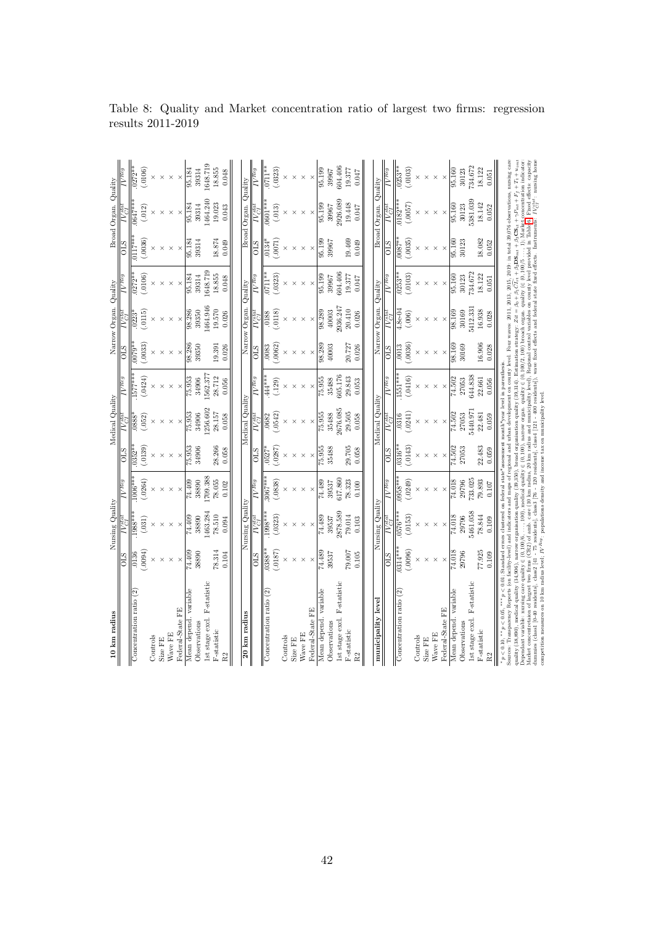| 10 km radius                                                                                                                                                                                                                                                                                                                                                                                                                                                                                    |            | Nursing Quality |                                                                                                  |          | Medical Quality |                      |         | Narrow Organ. | Quality                                                                                                                      |                 | Broad Organ. Quality |          |
|-------------------------------------------------------------------------------------------------------------------------------------------------------------------------------------------------------------------------------------------------------------------------------------------------------------------------------------------------------------------------------------------------------------------------------------------------------------------------------------------------|------------|-----------------|--------------------------------------------------------------------------------------------------|----------|-----------------|----------------------|---------|---------------|------------------------------------------------------------------------------------------------------------------------------|-----------------|----------------------|----------|
|                                                                                                                                                                                                                                                                                                                                                                                                                                                                                                 | <b>SIO</b> |                 | $V$ Reg                                                                                          | STO      |                 | $IV$ Reg             | STO     |               |                                                                                                                              | SТО             |                      |          |
| Concentration ratio (2)                                                                                                                                                                                                                                                                                                                                                                                                                                                                         | .0136      | $1988**$        | $006**$                                                                                          | 0352     | 888             | .577**               | $0079*$ |               | 0272*                                                                                                                        | $0117*$         | 0647°                | $0272*$  |
|                                                                                                                                                                                                                                                                                                                                                                                                                                                                                                 | (16000,    | (31)            | .0264)                                                                                           | 0139     | 052             | .0424                | .0033)  | .0115)        | .0106                                                                                                                        | (0036)          | (012)                | .0106)   |
| Controls                                                                                                                                                                                                                                                                                                                                                                                                                                                                                        |            |                 |                                                                                                  |          |                 |                      |         |               |                                                                                                                              |                 |                      |          |
| Size FE                                                                                                                                                                                                                                                                                                                                                                                                                                                                                         |            |                 |                                                                                                  |          |                 |                      |         |               |                                                                                                                              |                 |                      |          |
| Wave FE                                                                                                                                                                                                                                                                                                                                                                                                                                                                                         |            |                 |                                                                                                  |          |                 |                      |         |               |                                                                                                                              | ×               |                      |          |
| Federal-State FE                                                                                                                                                                                                                                                                                                                                                                                                                                                                                |            | $\times$        | $\times$                                                                                         |          |                 |                      |         |               |                                                                                                                              |                 |                      |          |
| Mean depend. variable                                                                                                                                                                                                                                                                                                                                                                                                                                                                           | 74.409     | 74.409          | 74.409                                                                                           | 75.953   | 75.953          | 75.953               | 98.286  | 98.286        | 95.184                                                                                                                       | 95.184          | 95.184               | 95.184   |
| Observations                                                                                                                                                                                                                                                                                                                                                                                                                                                                                    | 38890      | 38890           | 38890                                                                                            | 34906    | 34906           | 34906                | 39350   | 39350         | 39314                                                                                                                        | 39314           | 39314                | 39314    |
| F-statistic<br>ist stage excl.                                                                                                                                                                                                                                                                                                                                                                                                                                                                  |            | 463.284         | 709.388                                                                                          |          | 256.602         | 1562.37              |         | 1464.946      | 1648.719                                                                                                                     |                 | 464.240              | 1648.719 |
| P-statistic                                                                                                                                                                                                                                                                                                                                                                                                                                                                                     | 78.314     | 78.510          | 78.055                                                                                           | 28.266   | 28.157          | 28.712               | 19.391  | 19.570        | 18.855                                                                                                                       | 18.874          | 19.023               | 18.855   |
| R <sub>2</sub>                                                                                                                                                                                                                                                                                                                                                                                                                                                                                  | 0.104      | 0.094           | 0.102                                                                                            | 0.058    | 0.058           | 0.056                | 0.026   | 0.026         | 0.048                                                                                                                        | 0.049           | 0.043                | 0.048    |
|                                                                                                                                                                                                                                                                                                                                                                                                                                                                                                 |            |                 |                                                                                                  |          |                 |                      |         |               |                                                                                                                              |                 |                      |          |
| 20 km radius                                                                                                                                                                                                                                                                                                                                                                                                                                                                                    |            | Nursing Quality |                                                                                                  |          | Medical Quality |                      |         | Narrow Organ. | Quality                                                                                                                      | <b>Broad</b>    | Organ. Quality       |          |
|                                                                                                                                                                                                                                                                                                                                                                                                                                                                                                 | STO        |                 | $\overline{V^{Reg}}$                                                                             | STO      |                 | $\overline{V^{Reg}}$ | STO     |               |                                                                                                                              | $\frac{1}{2}$   |                      |          |
| Concentration ratio                                                                                                                                                                                                                                                                                                                                                                                                                                                                             | $0388*$    | $.998***$       | $3067***$                                                                                        | 0527     | 0682            |                      | 0083    | 0188          | *נב7                                                                                                                         | $\frac{134}{3}$ | $601*$               | $0711**$ |
|                                                                                                                                                                                                                                                                                                                                                                                                                                                                                                 | (187)      | .0323)          | .0838                                                                                            | .0287    | 0542)           | .129                 | .0062   | .0118)        | .0323)                                                                                                                       | .0071           | (.013)               | .0323)   |
| Controls                                                                                                                                                                                                                                                                                                                                                                                                                                                                                        |            |                 |                                                                                                  |          |                 |                      |         |               |                                                                                                                              |                 |                      |          |
| Size FE                                                                                                                                                                                                                                                                                                                                                                                                                                                                                         |            |                 |                                                                                                  |          |                 |                      |         |               |                                                                                                                              |                 |                      |          |
| Wave FE                                                                                                                                                                                                                                                                                                                                                                                                                                                                                         |            | $\times$        |                                                                                                  |          |                 |                      |         |               |                                                                                                                              | $\times$        | $\times$             |          |
| Federal-State FE                                                                                                                                                                                                                                                                                                                                                                                                                                                                                |            | $\times$        |                                                                                                  |          |                 |                      |         |               |                                                                                                                              |                 |                      |          |
| Mean depend. variable                                                                                                                                                                                                                                                                                                                                                                                                                                                                           | 74.489     | 74.489          | 74.489                                                                                           | 75.955   | 75.955          | 75.955               | 98.289  | 98.289        | 95.199                                                                                                                       | 95.199          | 95.199               | 95.199   |
| Observations                                                                                                                                                                                                                                                                                                                                                                                                                                                                                    | 39537      | 39537           | 39537                                                                                            | 35488    | 35488           | 35488                | 40003   | 40003         | 39967                                                                                                                        | 39967           | 39967                | 39967    |
| F-statistic<br>Ist stage excl.                                                                                                                                                                                                                                                                                                                                                                                                                                                                  |            | 2878.589        | 617.860                                                                                          |          | 2676.085        | 605.176              |         | 2936.247      | 604.406                                                                                                                      |                 | 926.089              | 604.406  |
| P-statistic                                                                                                                                                                                                                                                                                                                                                                                                                                                                                     | 700.67     | 79.014          | 78.323                                                                                           | 29.705   | 29.505          | 29.843               | 20.727  | 20.410        | 19.377                                                                                                                       | 19.469          | 19.448               | 19.377   |
| R <sub>2</sub>                                                                                                                                                                                                                                                                                                                                                                                                                                                                                  | 0.105      | 0.103           | 0.100                                                                                            | 0.058    | 0.058           | 0.053                | 0.026   | 0.026         | 0.047                                                                                                                        | 0.049           | 0.047                | 0.047    |
|                                                                                                                                                                                                                                                                                                                                                                                                                                                                                                 |            |                 |                                                                                                  |          |                 |                      |         |               |                                                                                                                              |                 |                      |          |
| municipality level                                                                                                                                                                                                                                                                                                                                                                                                                                                                              |            | Nursing Quality |                                                                                                  |          | Medical Quality |                      |         | Narrow Organ. | Quality                                                                                                                      |                 | Broad Organ. Quality |          |
|                                                                                                                                                                                                                                                                                                                                                                                                                                                                                                 | <b>STO</b> |                 | $V$ Reg                                                                                          | STO      |                 | 7 Req                | STO     |               |                                                                                                                              | SТО             |                      |          |
| Concentration ratio (2)                                                                                                                                                                                                                                                                                                                                                                                                                                                                         | $0314**$   | 0576**          | $\frac{1}{0.058***}$                                                                             | $0316*$  |                 | $.551***$            | 0013    | .<br>8e-0     | $253*$                                                                                                                       | $0087*$         | 9182*                | $0253**$ |
|                                                                                                                                                                                                                                                                                                                                                                                                                                                                                                 | (.0096)    | (0153)          | .0249)                                                                                           | .0143    | 0241)           | (.0416)              | .0036   | (006)         | .0103)                                                                                                                       | (0035)          | (7300.)              | (0103)   |
| Controls                                                                                                                                                                                                                                                                                                                                                                                                                                                                                        |            |                 |                                                                                                  |          |                 |                      |         |               |                                                                                                                              |                 |                      |          |
| Size FE                                                                                                                                                                                                                                                                                                                                                                                                                                                                                         |            | $\times$        |                                                                                                  |          |                 |                      |         |               |                                                                                                                              |                 |                      |          |
| Wave FE                                                                                                                                                                                                                                                                                                                                                                                                                                                                                         |            | $\times$        |                                                                                                  |          | ×               | ×                    |         |               | $\times$                                                                                                                     | ×               | $\times$             |          |
| Federal-State FE                                                                                                                                                                                                                                                                                                                                                                                                                                                                                | $\times$   | $\times$        | $\times$                                                                                         | $\times$ | $\times$        | $\times$             |         | $\times$      | $\times$                                                                                                                     | $\times$        | $\times$             | $\times$ |
| Mean depend. variable                                                                                                                                                                                                                                                                                                                                                                                                                                                                           | 74.018     | 74.018          | 74.018                                                                                           | 74.502   | 74.502          | 74.502               | 98.169  | 98.169        | 95.160                                                                                                                       | 95.160          | 95.160               | 95.160   |
| Observations                                                                                                                                                                                                                                                                                                                                                                                                                                                                                    | 29796      | 29796           | 29796                                                                                            | 27053    | 27053           | 27053                | 30169   | 30169         | 30123                                                                                                                        | 30123           | 30123                | 30123    |
| Ist stage excl. F-statistic                                                                                                                                                                                                                                                                                                                                                                                                                                                                     |            | 5461.058        | 733.025                                                                                          |          | 5440.97         | 644.838              |         | 5412.331      | 734.672                                                                                                                      |                 | 381.039              | 734.672  |
| <b>F-statistic</b>                                                                                                                                                                                                                                                                                                                                                                                                                                                                              | 77.925     | 78.844          | 79.893                                                                                           | 22.483   | 22.481          | 22.661               | 16.906  | 16.938        | 18.122                                                                                                                       | 18.082          | 18.142               | 18.122   |
| $\frac{2}{3}$                                                                                                                                                                                                                                                                                                                                                                                                                                                                                   | 0.109      | 0.109           | $0.107\,$                                                                                        | 0.059    | 0.059           | 0.056                | 0.028   | 0.028         | 0.051                                                                                                                        | 0.052           | 0.052                | 0.051    |
| $p<0.10,$                                                                                                                                                                                                                                                                                                                                                                                                                                                                                       |            |                 | $p < 0.01$ ; Standard errors clustered on federal state*assessment month*year level in parenthes |          |                 |                      |         |               |                                                                                                                              |                 |                      |          |
| Sources: Transparency Reports (on facility-level) and indicators and maps of regional and urban development on county level. Four waves: 2011, 2013, 2015, 2019: in total 39,076 observations, nursing care<br>medical quality (34,906), narrow organisation quality (39,350), broad organisation quality (39,314). Estimation strategy: $Zit = \beta_0 + \beta_1 \overline{C}f_{rr} + \beta_2 \mathbf{DS}_{mt} + \beta_2 \mathbf{CS}_{st} + \gamma P_{mt} + F_l + T_{t+uu}$<br>quality (38,890 |            |                 |                                                                                                  |          |                 |                      |         |               |                                                                                                                              |                 |                      |          |
| le: nursing care quality $\in (0, 100/6$<br>Jependant variab                                                                                                                                                                                                                                                                                                                                                                                                                                    |            |                 | , 100), medical quality $\in (0, 100$                                                            |          |                 |                      |         |               | narrow organ. quality $\in (0, 100/2, 100)$ broach organ. quality $(\in (0, 100/5 \dots, 1);$ Market concentration indicator |                 |                      |          |
| lummies (class1 [0-40 residents], class2 [41 - 75 residents], class3 [76 - 120 residents], class4 [121 - 400 residents]), wave fixed and federal state fixed effects. Instruments: $N_{eff}^{s\mu\mu}$ : nursing home<br>Market concentretaion of largest two firms (CR2) of amb. care (10 km radius, 20 km radius and multipality level). Regional control variables on county level provided in Table 6. Fixed effects: capacity                                                              |            |                 |                                                                                                  |          |                 |                      |         |               |                                                                                                                              |                 |                      |          |
| competition measures on 10 km radius level; $IV^{Reg}$ ; populations density and income tax on municipality level                                                                                                                                                                                                                                                                                                                                                                               |            |                 |                                                                                                  |          |                 |                      |         |               |                                                                                                                              |                 |                      |          |

competition measures on 10 km radius level; IV Reg: populations density and income tax on municipality level.

Table 8: Quality and Market concentration ratio of largest two firms: regression results 2011-2019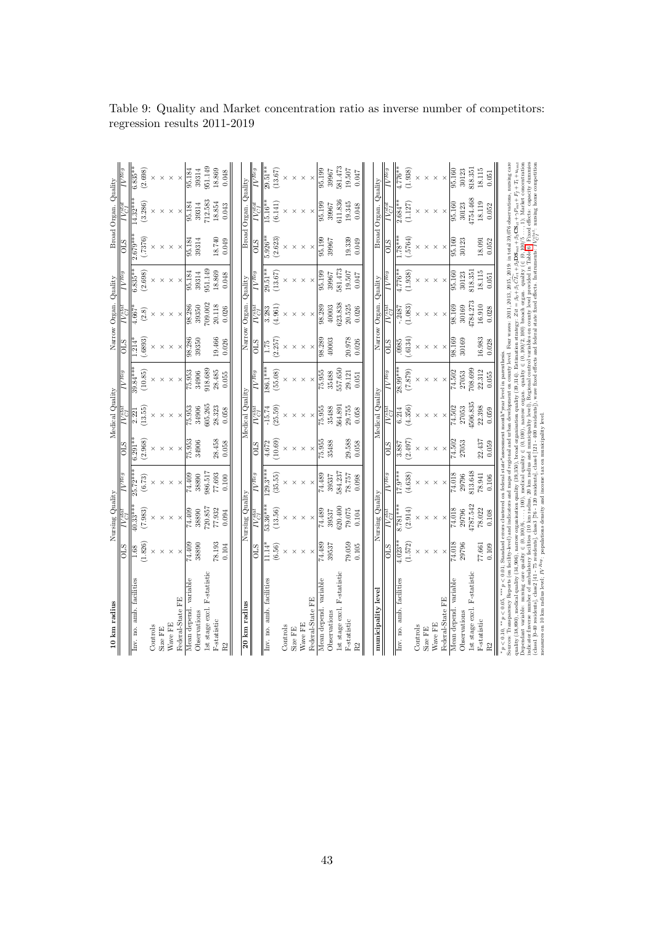| 10 km radius                                                                                                                                                                                                                                                                                                                                                                                                                                                                                                                |                     | Nursing Quality      |                                                                                                        |                  | Medical Quality |                                                                                                  |                 | Narrow Organ    | Quality              |                          | Broad Organ. Quality                     |                                  |
|-----------------------------------------------------------------------------------------------------------------------------------------------------------------------------------------------------------------------------------------------------------------------------------------------------------------------------------------------------------------------------------------------------------------------------------------------------------------------------------------------------------------------------|---------------------|----------------------|--------------------------------------------------------------------------------------------------------|------------------|-----------------|--------------------------------------------------------------------------------------------------|-----------------|-----------------|----------------------|--------------------------|------------------------------------------|----------------------------------|
|                                                                                                                                                                                                                                                                                                                                                                                                                                                                                                                             | $\frac{10}{2}$      |                      | $\overline{N^{Reg}}$                                                                                   | STO              |                 | $\overline{IV^{Reg}}$                                                                            | <b>CTO</b>      |                 |                      | <b>CILS</b>              |                                          |                                  |
| Inv. no. amb. facilities                                                                                                                                                                                                                                                                                                                                                                                                                                                                                                    | $\frac{8}{3}$       | $\sqrt{0.33}$ **     | $25.72***$                                                                                             | $6.291**$        | 2.221           | $39.84***$                                                                                       | $\frac{1}{214}$ | .667            | $6.835**$            | $2.679**$                | $4.32***$                                | $6.835**$                        |
|                                                                                                                                                                                                                                                                                                                                                                                                                                                                                                                             | 1.826)              | (588)                | (6.73)                                                                                                 | (2.968)          | 13.55)          | (10.85)                                                                                          | (.6893)         | (2.8)           | (2.698)              | .7376                    | (3.286)                                  | (2.698)                          |
| Controls                                                                                                                                                                                                                                                                                                                                                                                                                                                                                                                    |                     |                      |                                                                                                        |                  |                 |                                                                                                  |                 |                 |                      |                          |                                          |                                  |
| Size FE                                                                                                                                                                                                                                                                                                                                                                                                                                                                                                                     |                     | $\times$             | $\times$                                                                                               | $\times$         |                 |                                                                                                  |                 |                 |                      |                          |                                          |                                  |
| Wave FE                                                                                                                                                                                                                                                                                                                                                                                                                                                                                                                     |                     | $\times$             | $\times$                                                                                               | $\times$         |                 | $\times$                                                                                         |                 |                 | $\times$             |                          |                                          |                                  |
| Federal-State FE                                                                                                                                                                                                                                                                                                                                                                                                                                                                                                            | $\times$            | $\times$             | $\times$                                                                                               | $\times$         |                 | $\times$                                                                                         |                 |                 | $\times$             |                          |                                          |                                  |
| Mean depend. variable                                                                                                                                                                                                                                                                                                                                                                                                                                                                                                       | 74.409              | 74.409               | 74.409                                                                                                 | 75.953           | 75.953          | 75.953                                                                                           | 98.28           | 98.286          | 95.184               | 95.18<br>                | 95.184                                   | 95.184                           |
| Observations                                                                                                                                                                                                                                                                                                                                                                                                                                                                                                                | 38890               | 38890                | 38890                                                                                                  | 34906            | 34906           | 34906                                                                                            | 39350           | 39350           | 39314                | 39314                    | 39314                                    | 39314                            |
| F-statistic<br>Ist stage excl.                                                                                                                                                                                                                                                                                                                                                                                                                                                                                              |                     | 720.857              | 986.517                                                                                                |                  | 305.265         | 918.689                                                                                          |                 | 709.002         | 951.149              |                          | 712.583                                  | 951.149                          |
| P-statistic                                                                                                                                                                                                                                                                                                                                                                                                                                                                                                                 | 78.193              | 77.932               | 77.693                                                                                                 | 28.458           | 28.323          | 28.485                                                                                           | 19.466          | 20.118          | 18.869               | 18.740                   | 18.854                                   | 18.869                           |
| R <sub>2</sub>                                                                                                                                                                                                                                                                                                                                                                                                                                                                                                              | 0.104               | 0.094                | 0.100                                                                                                  | $0.058\,$        | 0.058           | 0.055                                                                                            | 0.026           | 0.026           | 0.048                | 0.049                    | 0.043                                    | 0.048                            |
|                                                                                                                                                                                                                                                                                                                                                                                                                                                                                                                             |                     |                      |                                                                                                        |                  |                 |                                                                                                  |                 |                 |                      |                          |                                          |                                  |
| 20 km radius                                                                                                                                                                                                                                                                                                                                                                                                                                                                                                                |                     | Nursing Quality      |                                                                                                        |                  | Medical Quality |                                                                                                  |                 | Narrow Organ.   | Quality              |                          | Broad Organ. Quality                     |                                  |
|                                                                                                                                                                                                                                                                                                                                                                                                                                                                                                                             | $\frac{1}{10}$      |                      | $\overline{W^{Reg}}$                                                                                   | STO              |                 | $\overline{N^{Reg}}$                                                                             | $\frac{1}{10}$  | $V_{CI}^{stat}$ | $\overline{N^{Reg}}$ | <b>OLS</b>               |                                          | $IV$ <sup><math>Reg</math></sup> |
| Inv. no. amb. facilities                                                                                                                                                                                                                                                                                                                                                                                                                                                                                                    | $11.14*$            | $53.36***$           | $29.3**$                                                                                               | 4.672            | $-15.74$        | 86.1**                                                                                           |                 | 3.283           | $29.51**$            | $5.926**$                | $5.16*$                                  | $29.51**$                        |
|                                                                                                                                                                                                                                                                                                                                                                                                                                                                                                                             | (6.56)              | (13.56)              | (35.55)                                                                                                | (10.69)          | (25.59)         | (55.08)                                                                                          | (2.257)         | 4.961)          | (13.67)              | (2.623)                  | (6.141)                                  | (13.67)                          |
| Controls                                                                                                                                                                                                                                                                                                                                                                                                                                                                                                                    | $\times$            | $\times$             | $\times$                                                                                               |                  |                 |                                                                                                  |                 |                 |                      |                          |                                          |                                  |
| Size FE                                                                                                                                                                                                                                                                                                                                                                                                                                                                                                                     | ×                   | $\times$             | $\times$                                                                                               | $\times$         | $\times$        |                                                                                                  |                 |                 | $\times$             |                          |                                          | $\times$                         |
| Nave FE                                                                                                                                                                                                                                                                                                                                                                                                                                                                                                                     | ×                   | ×                    | $\times$                                                                                               | $\times$         | $\times$        | $\times$                                                                                         |                 | ×               | $\times$             |                          |                                          |                                  |
| Federal-State FE                                                                                                                                                                                                                                                                                                                                                                                                                                                                                                            | $\times$            | $\times$             | $\times$                                                                                               | $\times$         | $\times$        | $\times$                                                                                         |                 |                 | $\times$             |                          |                                          |                                  |
| Mean depend. variable                                                                                                                                                                                                                                                                                                                                                                                                                                                                                                       | 74.489              | 74.489               | 74.489                                                                                                 | 75.955           | 75.955          | 75.955                                                                                           | 98.289          | 98.289          | 95.199               | 95.199                   | 95.199                                   | 95.199                           |
| Observations                                                                                                                                                                                                                                                                                                                                                                                                                                                                                                                | 39537               | 39537                | 39537                                                                                                  | 35488            | 35488           | 35488                                                                                            | 40003           | 40003           | 39967                | 39967                    | 39967                                    | 39967                            |
| F-statistic<br>Ist stage excl.                                                                                                                                                                                                                                                                                                                                                                                                                                                                                              |                     | 620.400              | 584.237                                                                                                |                  | 564.891         | 557.650                                                                                          |                 | 623.838         | 581.473              |                          | 611.836                                  | 581.473                          |
| <b>F-statistic</b>                                                                                                                                                                                                                                                                                                                                                                                                                                                                                                          | 79.059              | 79.075               | 78.757                                                                                                 | 29.588           | 29.755          | 29.121                                                                                           | 20.978          | 20.525          | 19.507               | 19.339                   | 19.345                                   | 19.507                           |
| $\tilde{\mathcal{E}}$                                                                                                                                                                                                                                                                                                                                                                                                                                                                                                       | 0.105               | 0.104                | 0.098                                                                                                  | 0.058            | 0.058           | 0.051                                                                                            | 0.026           | 0.026           | 0.047                | 0.049                    | 0.048                                    | 0.047                            |
|                                                                                                                                                                                                                                                                                                                                                                                                                                                                                                                             |                     |                      |                                                                                                        |                  |                 |                                                                                                  |                 |                 |                      |                          |                                          |                                  |
| municipality level                                                                                                                                                                                                                                                                                                                                                                                                                                                                                                          |                     | Nursing Quality      |                                                                                                        |                  | Medical Quality |                                                                                                  |                 | Narrow Organ.   | Quality              |                          | Broad Organ. Quality                     |                                  |
|                                                                                                                                                                                                                                                                                                                                                                                                                                                                                                                             | STO                 |                      | $\overline{N^{Reg}}$                                                                                   | $\overline{O}$   |                 | $IV$ Reg                                                                                         | STO             |                 |                      | СПО                      |                                          |                                  |
| Inv. no. amb. facilities                                                                                                                                                                                                                                                                                                                                                                                                                                                                                                    | (1.572)<br>$4.023*$ | $3.781**$<br>(2.914) | $-7.9***$<br>(4.638)                                                                                   | (2.497)<br>3.887 | 4.356)<br>6.214 | $28.99***$<br>(628.7)                                                                            | (.6134)<br>0985 | 1.083)<br>248.  | (1.938)              | .5764)<br>$\frac{1}{18}$ | (1.127)<br>$2.684*$                      | 1.938)<br>1776*                  |
|                                                                                                                                                                                                                                                                                                                                                                                                                                                                                                                             |                     |                      |                                                                                                        |                  |                 |                                                                                                  |                 |                 |                      |                          |                                          |                                  |
| Controls<br>Size FE                                                                                                                                                                                                                                                                                                                                                                                                                                                                                                         |                     |                      |                                                                                                        |                  |                 |                                                                                                  |                 |                 |                      |                          |                                          |                                  |
| Wave FE                                                                                                                                                                                                                                                                                                                                                                                                                                                                                                                     |                     | $\times$             |                                                                                                        | $\times$         | $\times$        |                                                                                                  |                 |                 |                      |                          |                                          |                                  |
|                                                                                                                                                                                                                                                                                                                                                                                                                                                                                                                             |                     | $\times$             | $\times$                                                                                               | $\times$         | $\times$        | $\times$                                                                                         |                 | $\times$        | $\times$             |                          |                                          |                                  |
| Federal-State FE                                                                                                                                                                                                                                                                                                                                                                                                                                                                                                            | $\times$            | $\times$             | $\times$                                                                                               | $\times$         | $\times$        | $\times$                                                                                         | $\times$        | $\times$        | $\times$             | $\times$                 | $\times$                                 | $\times$                         |
| Mean depend. variable                                                                                                                                                                                                                                                                                                                                                                                                                                                                                                       | 74.018              | 74.018               | 74.018                                                                                                 | 74.502           | 74.502          | 74.502                                                                                           | 98.169          | 98.169          | 95.160               | 95.160                   | 95.160                                   | 95.160                           |
| Observations                                                                                                                                                                                                                                                                                                                                                                                                                                                                                                                | 29796               | 29796                | 29796                                                                                                  | 27053            | 27053           | 27053                                                                                            | 30169           | 30169           | 30123                | 30123                    | 30123                                    | 30123                            |
| Ist stage excl. F-statistic                                                                                                                                                                                                                                                                                                                                                                                                                                                                                                 |                     | 1787.542             | 813.648                                                                                                |                  | 1506.835        | 708.699                                                                                          |                 | 1784.273        | 818.351              |                          | 1754.468                                 | 818.351                          |
| F-statistic                                                                                                                                                                                                                                                                                                                                                                                                                                                                                                                 | 77.661              | 78.022               | 78.941                                                                                                 | 22.437           | 22.398          | 22.312                                                                                           | 16.983          | 16.910          | 18.115               | 18.091                   | 18.119                                   | 18.115                           |
| R <sub>2</sub>                                                                                                                                                                                                                                                                                                                                                                                                                                                                                                              | 0.109               | 0.108                | 0.106                                                                                                  | 0.059            | 0.059           | 0.055                                                                                            | 0.028           | 0.028           | 0.051                | 0.052                    | 0.052                                    | 0.051                            |
| ** $p < 0.05$ .<br>$p<0.10,$                                                                                                                                                                                                                                                                                                                                                                                                                                                                                                |                     |                      | *** $p < 0.01$ ; Standard errors clustered on federal state*assessment month*year level in parenthesis |                  |                 |                                                                                                  |                 |                 |                      |                          |                                          |                                  |
| Sources: Transparency Reports (on facility-level) and indicators and maps of regional and urban development on county level. Four waves: 2011, 2013, 2013, 2019 in total 39,076 observations, nursing care<br>, medical quality (34,906), narrow organisation quality (39,350), broad organisation quality (39,314). Estimation strategy: $Zit = \beta_0 + \beta_1 C \overline{L_{t}} + \beta_2 C \overline{L_{t}} + \beta_3 C \overline{S_{t}} + \frac{F}{l} + \Gamma_t + \Gamma_t + u_{im}$<br>$_{\text{quality}}(38,890$ |                     |                      |                                                                                                        |                  |                 |                                                                                                  |                 |                 |                      |                          |                                          |                                  |
| nursing care quality<br>Dependant variable:                                                                                                                                                                                                                                                                                                                                                                                                                                                                                 | $\in (0, 100/6,$    |                      |                                                                                                        |                  |                 | medical quality $\in$ (0,100), narrow organ. quality $\in$ (0,100/2,100) broach organ. quality ( |                 |                 |                      |                          | $(e (0, 100/5, 1);$ Market concentration |                                  |
| ndicator:Inverse number of ambulatory facilities (10 km radius, 20 km radius and municipality level), Regional control variables on county level provided in Table 6. Fixed effects: capacity dummie                                                                                                                                                                                                                                                                                                                        |                     |                      |                                                                                                        |                  |                 |                                                                                                  |                 |                 |                      |                          |                                          |                                  |
| class1 [0-40 residents], class2 [41 - 75 residents], class3 [76 - 120 residents], class4 [121 - 400 residents]), wave fixed effects and federal state fixed effects. Instruments: $IV_{c1}^{8/61}$ : nursing home competition<br>neasures on 10 km radius level; $IV^{Reg}$ ; populations density and income tax on municipality level                                                                                                                                                                                      |                     |                      |                                                                                                        |                  |                 |                                                                                                  |                 |                 |                      |                          |                                          |                                  |

measures on 10 km radius level; IV Reg: populations density and income tax on municipality level.

Table 9: Quality and Market concentration ratio as inverse number of competitors: regression results 2011-2019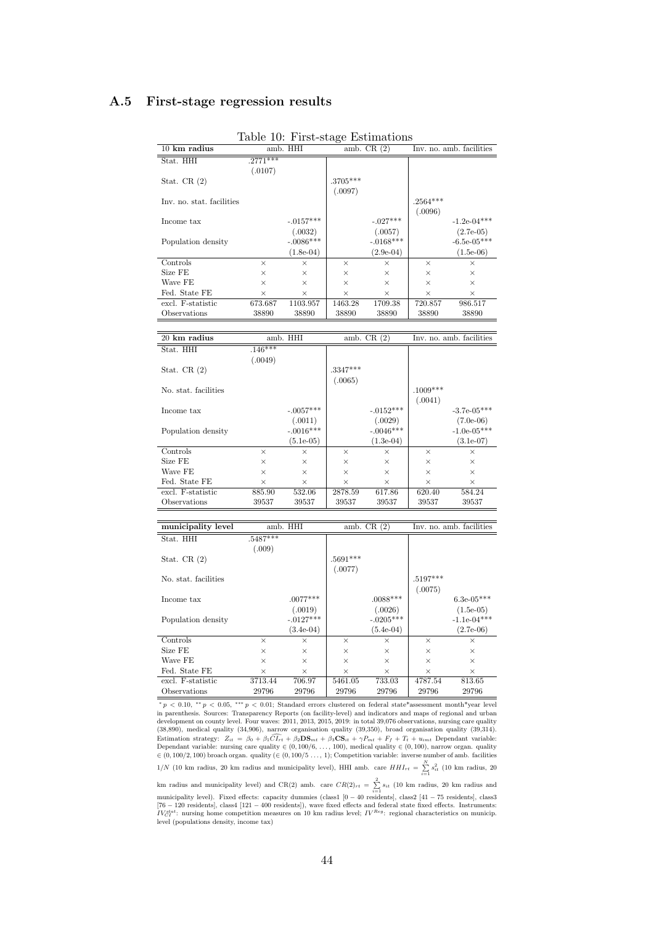## <span id="page-43-1"></span>A.5 First-stage regression results

|                           |             | Lable 10. I Hav-stage Estimations |            |              |            |                          |
|---------------------------|-------------|-----------------------------------|------------|--------------|------------|--------------------------|
| $10 \text{ km}$ radius    |             | amb. HHI                          |            | amb. $CR(2)$ |            | Inv. no. amb. facilities |
| Stat. HHI                 | $.2771$ *** |                                   |            |              |            |                          |
|                           | (.0107)     |                                   |            |              |            |                          |
| Stat. CR $(2)$            |             |                                   | $.3705***$ |              |            |                          |
|                           |             |                                   | (.0097)    |              |            |                          |
| Inv. no. stat. facilities |             |                                   |            |              | $.2564***$ |                          |
|                           |             |                                   |            |              | (.0096)    |                          |
| Income tax                |             | $-.0157***$                       |            | $-.027***$   |            | $-1.2e-04***$            |
|                           |             | (.0032)                           |            | (.0057)      |            | $(2.7e-05)$              |
| Population density        |             | $-.0086^{***}\,$                  |            | $-.0168***$  |            | $-6.5e-05***$            |
|                           |             | $(1.8e-0.4)$                      |            | $(2.9e-04)$  |            | $(1.5e-06)$              |
| Controls                  | $\times$    | $\times$                          | $\times$   | $\times$     | $\times$   | $\times$                 |
| Size FE                   | $\times$    | $\times$                          | $\times$   | $\times$     | $\times$   | $\times$                 |
| Wave FE                   | $\times$    | X                                 | $\times$   | $\times$     | $\times$   | $\times$                 |
| Fed. State FE             | $\times$    | X                                 | $\times$   | X            | $\times$   | $\times$                 |
| excl. F-statistic         | 673.687     | 1103.957                          | 1463.28    | 1709.38      | 720.857    | 986.517                  |
| Observations              | 38890       | 38890                             | 38890      | 38890        | 38890      | 38890                    |

<span id="page-43-0"></span>

|  |  |  | Table 10: First-stage Estimations |
|--|--|--|-----------------------------------|
|--|--|--|-----------------------------------|

| 20 km radius         | amb. HHI  |              | amb. $CR(2)$ |              | Inv. no. amb. facilities |               |  |
|----------------------|-----------|--------------|--------------|--------------|--------------------------|---------------|--|
| Stat. HHI            | $.146***$ |              |              |              |                          |               |  |
|                      | (.0049)   |              |              |              |                          |               |  |
| Stat. CR $(2)$       |           |              | $.3347***$   |              |                          |               |  |
|                      |           |              | (.0065)      |              |                          |               |  |
| No. stat. facilities |           |              |              |              | $.1009***$               |               |  |
|                      |           |              |              |              | (.0041)                  |               |  |
| Income tax           |           | $-.0057***$  |              | $-.0152***$  |                          | $-3.7e-05***$ |  |
|                      |           | (.0011)      |              | (.0029)      |                          | $(7.0e-06)$   |  |
| Population density   |           | $-.0016***$  |              | $-.0046***$  |                          | $-1.0e-05***$ |  |
|                      |           | $(5.1e-0.5)$ |              | $(1.3e-0.4)$ |                          | $(3.1e-07)$   |  |
| Controls             | $\times$  | $\times$     | $\times$     | $\times$     | $\times$                 | $\times$      |  |
| Size FE              | $\times$  | $\times$     | $\times$     | $\times$     | $\times$                 | $\times$      |  |
| Wave FE              | $\times$  | $\times$     | $\times$     | $\times$     | $\times$                 | $\times$      |  |
| Fed. State FE        | $\times$  | $\times$     | $\times$     | $\times$     | $\times$                 | $\times$      |  |
| excl. F-statistic    | 885.90    | 532.06       | 2878.59      | 617.86       | 620.40                   | 584.24        |  |
| Observations         | 39537     | 39537        | 39537        | 39537        | 39537                    | 39537         |  |

| municipality level   |            | amb. HHI    |            | amb. $CR(2)$ | Inv. no. amb. facilities |               |  |
|----------------------|------------|-------------|------------|--------------|--------------------------|---------------|--|
| Stat. HHI            | $.5487***$ |             |            |              |                          |               |  |
|                      | (.009)     |             |            |              |                          |               |  |
| Stat. CR $(2)$       |            |             | $.5691***$ |              |                          |               |  |
|                      |            |             | (.0077)    |              |                          |               |  |
| No. stat. facilities |            |             |            |              | $.5197***$               |               |  |
|                      |            |             |            |              | (.0075)                  |               |  |
| Income tax           |            | $.0077***$  |            | $.0088***$   |                          | $6.3e-05***$  |  |
|                      |            | (.0019)     |            | (.0026)      |                          | $(1.5e-05)$   |  |
| Population density   |            | $-.0127***$ |            | $-.0205***$  |                          | $-1.1e-04***$ |  |
|                      |            | $(3.4e-04)$ |            | $(5.4e-04)$  |                          | $(2.7e-06)$   |  |
| Controls             | $\times$   | $\times$    | $\times$   | $\times$     | $\times$                 | $\times$      |  |
| Size FE              | $\times$   | $\times$    | $\times$   | $\times$     | $\times$                 | $\times$      |  |
| Wave FE              | $\times$   | $\times$    | $\times$   | $\times$     | $\times$                 | $\times$      |  |
| Fed. State FE        | $\times$   | $\times$    | $\times$   | $\times$     | $\times$                 | $\times$      |  |
| excl. F-statistic    | 3713.44    | 706.97      | 5461.05    | 733.03       | 4787.54                  | 813.65        |  |
| Observations         | 29796      | 29796       | 29796      | 29796        | 29796                    | 29796         |  |

 $^*p < 0.10,$   $^{**}p < 0.05,$   $^{***}p < 0.01$ ; Standard errors clustered on federal state\*assessment month\*year level<br>in parenthesis. Sources: Transparency Reports (on facility-level) and indicators and maps of regional and urb (38,890), medical quality (34,906), narrow organisation quality (39,350), broad organisation quality (39,314). Estimation strategy:  $Z_{it} = \beta_0 + \beta_1 \widehat{CI_{rt}} + \beta_2 \mathbf{DS}_{mt} + \beta_3 \mathbf{CS}_{it} + \gamma P_{mt} + F_f + T_t + u_{int}$  Dependant variable:<br>Dependant variable: nursing care quality  $\in (0, 100/6, ..., 100)$ , medical quality  $\in (0, 100)$ , narrow organ. qual  $1/N$  (10 km radius, 20 km radius and municipality level), HHI amb. care  $HHI_{rt} = \sum_{i=1}^{N} s_{it}^2$  (10 km radius, 20

km radius and municipality level) and CR(2) amb. care  $CR(2)_{rt} = \sum_{i=1}^{2} s_{it}$  (10 km radius, 20 km radius and municipality level). Fixed effects: capacity dummies (class<br>1 $[0-40$  residents], class<br>2 $[41-75$  residents], class<br>4 $[121-400$  residents]), wave fixed effects and federal state fixed effects. In<br>struments:  $IV_{\ell}^{R+1}$ : n